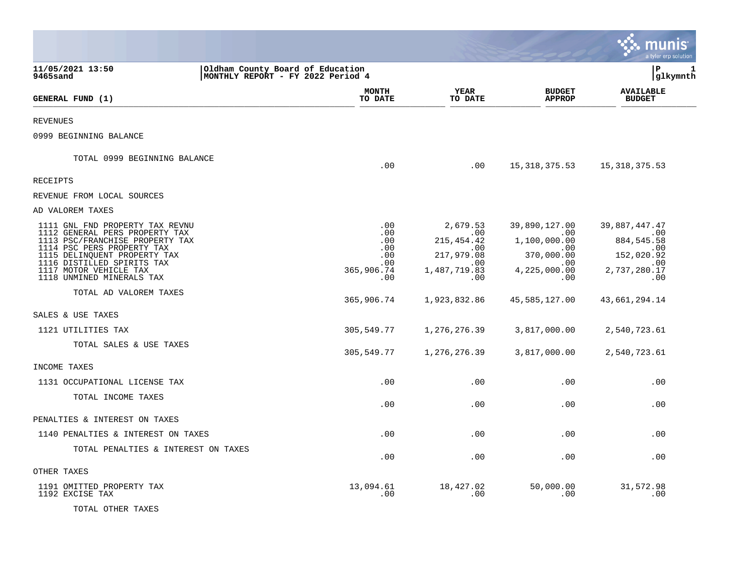|                                                                                                                                                                                                                                                         |                                                                       |                                                             |                                                                                    |                                                                                         | nıs<br>a tyler erp solution                                                                 |   |
|---------------------------------------------------------------------------------------------------------------------------------------------------------------------------------------------------------------------------------------------------------|-----------------------------------------------------------------------|-------------------------------------------------------------|------------------------------------------------------------------------------------|-----------------------------------------------------------------------------------------|---------------------------------------------------------------------------------------------|---|
| 11/05/2021 13:50<br>9465sand                                                                                                                                                                                                                            | Oldham County Board of Education<br>MONTHLY REPORT - FY 2022 Period 4 |                                                             |                                                                                    |                                                                                         | P<br> glkymnth                                                                              | 1 |
| GENERAL FUND (1)                                                                                                                                                                                                                                        |                                                                       | <b>MONTH</b><br>TO DATE                                     | <b>YEAR</b><br>TO DATE                                                             | <b>BUDGET</b><br><b>APPROP</b>                                                          | <b>AVAILABLE</b><br><b>BUDGET</b>                                                           |   |
| REVENUES                                                                                                                                                                                                                                                |                                                                       |                                                             |                                                                                    |                                                                                         |                                                                                             |   |
| 0999 BEGINNING BALANCE                                                                                                                                                                                                                                  |                                                                       |                                                             |                                                                                    |                                                                                         |                                                                                             |   |
| TOTAL 0999 BEGINNING BALANCE                                                                                                                                                                                                                            |                                                                       | .00                                                         | .00                                                                                | 15,318,375.53                                                                           | 15,318,375.53                                                                               |   |
| RECEIPTS                                                                                                                                                                                                                                                |                                                                       |                                                             |                                                                                    |                                                                                         |                                                                                             |   |
| REVENUE FROM LOCAL SOURCES                                                                                                                                                                                                                              |                                                                       |                                                             |                                                                                    |                                                                                         |                                                                                             |   |
| AD VALOREM TAXES                                                                                                                                                                                                                                        |                                                                       |                                                             |                                                                                    |                                                                                         |                                                                                             |   |
| 1111 GNL FND PROPERTY TAX REVNU<br>1112 GENERAL PERS PROPERTY TAX<br>1113 PSC/FRANCHISE PROPERTY TAX<br>1114 PSC PERS PROPERTY TAX<br>1115 DELINQUENT PROPERTY TAX<br>1116 DISTILLED SPIRITS TAX<br>1117 MOTOR VEHICLE TAX<br>1118 UNMINED MINERALS TAX |                                                                       | .00<br>.00<br>.00<br>.00<br>.00<br>.00<br>365,906.74<br>.00 | 2,679.53<br>.00<br>215, 454. 42<br>.00<br>217,979.08<br>.00<br>1,487,719.83<br>.00 | 39,890,127.00<br>.00<br>1,100,000.00<br>.00<br>370,000.00<br>.00<br>4,225,000.00<br>.00 | 39,887,447.47<br>$\,$ .00<br>884, 545.58<br>.00<br>152,020.92<br>.00<br>2,737,280.17<br>.00 |   |
| TOTAL AD VALOREM TAXES                                                                                                                                                                                                                                  |                                                                       | 365,906.74                                                  | 1,923,832.86                                                                       | 45,585,127.00                                                                           | 43,661,294.14                                                                               |   |
| SALES & USE TAXES                                                                                                                                                                                                                                       |                                                                       |                                                             |                                                                                    |                                                                                         |                                                                                             |   |
| 1121 UTILITIES TAX                                                                                                                                                                                                                                      |                                                                       | 305,549.77                                                  | 1,276,276.39                                                                       | 3,817,000.00                                                                            | 2,540,723.61                                                                                |   |
| TOTAL SALES & USE TAXES                                                                                                                                                                                                                                 |                                                                       | 305,549.77                                                  | 1,276,276.39                                                                       | 3,817,000.00                                                                            | 2,540,723.61                                                                                |   |
| INCOME TAXES                                                                                                                                                                                                                                            |                                                                       |                                                             |                                                                                    |                                                                                         |                                                                                             |   |
| 1131 OCCUPATIONAL LICENSE TAX                                                                                                                                                                                                                           |                                                                       | .00                                                         | .00                                                                                | .00                                                                                     | .00                                                                                         |   |
| TOTAL INCOME TAXES                                                                                                                                                                                                                                      |                                                                       | .00                                                         | .00                                                                                | .00                                                                                     | .00                                                                                         |   |
| PENALTIES & INTEREST ON TAXES                                                                                                                                                                                                                           |                                                                       |                                                             |                                                                                    |                                                                                         |                                                                                             |   |
| 1140 PENALTIES & INTEREST ON TAXES                                                                                                                                                                                                                      |                                                                       | .00                                                         | .00                                                                                | .00                                                                                     | .00                                                                                         |   |
| TOTAL PENALTIES & INTEREST ON TAXES                                                                                                                                                                                                                     |                                                                       | .00                                                         | .00                                                                                | .00                                                                                     | .00                                                                                         |   |
| OTHER TAXES                                                                                                                                                                                                                                             |                                                                       |                                                             |                                                                                    |                                                                                         |                                                                                             |   |
| 1191 OMITTED PROPERTY TAX<br>1192 EXCISE TAX<br>TOTAL OTHER TAXES                                                                                                                                                                                       |                                                                       | 13,094.61<br>.00                                            | 18,427.02<br>.00                                                                   | 50,000.00<br>.00                                                                        | 31,572.98<br>.00                                                                            |   |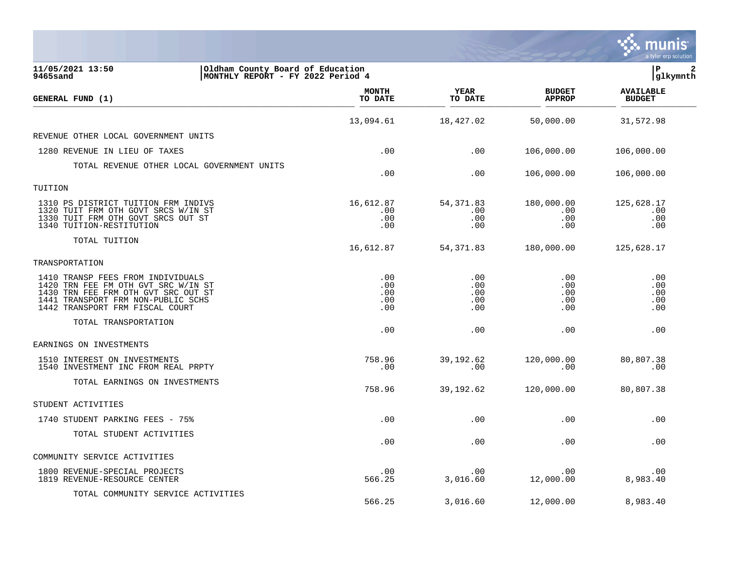|                                                                                                                                                                                          |                                 |                                 |                                 | a tyler erp solution              |
|------------------------------------------------------------------------------------------------------------------------------------------------------------------------------------------|---------------------------------|---------------------------------|---------------------------------|-----------------------------------|
| 11/05/2021 13:50<br>Oldham County Board of Education<br> MONTHLY REPORT - FY 2022 Period 4<br>9465sand                                                                                   |                                 |                                 |                                 | l P<br> glkymnth                  |
| GENERAL FUND (1)                                                                                                                                                                         | <b>MONTH</b><br>TO DATE         | <b>YEAR</b><br>TO DATE          | <b>BUDGET</b><br><b>APPROP</b>  | <b>AVAILABLE</b><br><b>BUDGET</b> |
|                                                                                                                                                                                          | 13,094.61                       | 18,427.02                       | 50,000.00                       | 31,572.98                         |
| REVENUE OTHER LOCAL GOVERNMENT UNITS                                                                                                                                                     |                                 |                                 |                                 |                                   |
| 1280 REVENUE IN LIEU OF TAXES                                                                                                                                                            | .00                             | .00                             | 106,000.00                      | 106,000.00                        |
| TOTAL REVENUE OTHER LOCAL GOVERNMENT UNITS                                                                                                                                               | .00                             | .00                             | 106,000.00                      | 106,000.00                        |
| TUITION                                                                                                                                                                                  |                                 |                                 |                                 |                                   |
| 1310 PS DISTRICT TUITION FRM INDIVS<br>1320 TUIT FRM OTH GOVT SRCS W/IN ST<br>1330 TUIT FRM OTH GOVT SRCS OUT ST<br>1340 TUITION-RESTITUTION                                             | 16,612.87<br>.00<br>.00<br>.00  | 54, 371.83<br>.00<br>.00<br>.00 | 180,000.00<br>.00<br>.00<br>.00 | 125,628.17<br>.00<br>.00<br>.00   |
| TOTAL TUITION                                                                                                                                                                            | 16,612.87                       | 54, 371.83                      | 180,000.00                      | 125,628.17                        |
| TRANSPORTATION                                                                                                                                                                           |                                 |                                 |                                 |                                   |
| 1410 TRANSP FEES FROM INDIVIDUALS<br>1420 TRN FEE FM OTH GVT SRC W/IN ST<br>1430 TRN FEE FRM OTH GVT SRC OUT ST<br>1441 TRANSPORT FRM NON-PUBLIC SCHS<br>1442 TRANSPORT FRM FISCAL COURT | .00<br>.00<br>.00<br>.00<br>.00 | .00<br>.00<br>.00<br>.00<br>.00 | .00<br>.00<br>.00<br>.00<br>.00 | .00<br>.00<br>.00<br>.00<br>.00   |
| TOTAL TRANSPORTATION                                                                                                                                                                     | .00                             | .00                             | .00                             | .00                               |
| EARNINGS ON INVESTMENTS                                                                                                                                                                  |                                 |                                 |                                 |                                   |
| 1510 INTEREST ON INVESTMENTS<br>1540 INVESTMENT INC FROM REAL PRPTY                                                                                                                      | 758.96<br>.00                   | 39,192.62<br>.00                | 120,000.00<br>.00               | 80,807.38<br>.00                  |
| TOTAL EARNINGS ON INVESTMENTS                                                                                                                                                            | 758.96                          | 39, 192.62                      | 120,000.00                      | 80,807.38                         |
| STUDENT ACTIVITIES                                                                                                                                                                       |                                 |                                 |                                 |                                   |
| 1740 STUDENT PARKING FEES - 75%                                                                                                                                                          | .00                             | .00                             | .00                             | .00                               |
| TOTAL STUDENT ACTIVITIES                                                                                                                                                                 | .00                             | .00                             | .00                             | .00                               |
| COMMUNITY SERVICE ACTIVITIES                                                                                                                                                             |                                 |                                 |                                 |                                   |
| 1800 REVENUE-SPECIAL PROJECTS<br>1819 REVENUE-RESOURCE CENTER                                                                                                                            | .00<br>566.25                   | .00<br>3,016.60                 | .00<br>12,000.00                | .00<br>8,983.40                   |
| TOTAL COMMUNITY SERVICE ACTIVITIES                                                                                                                                                       | 566.25                          | 3,016.60                        | 12,000.00                       | 8,983.40                          |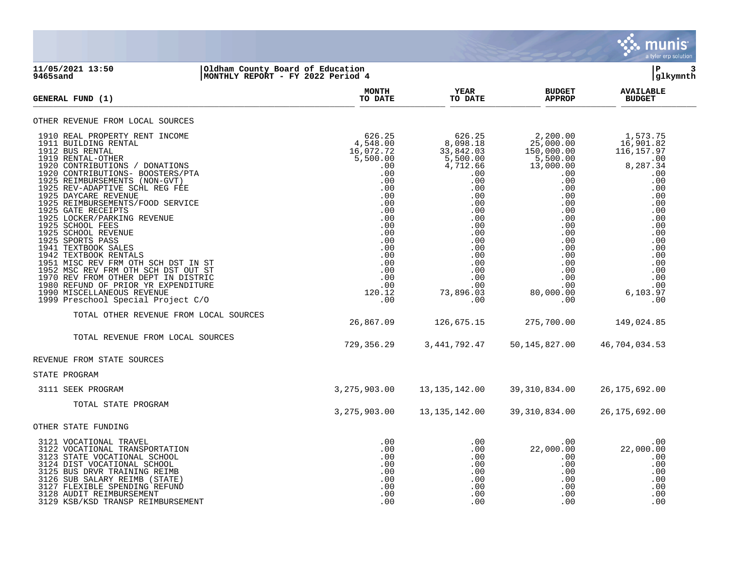

## **11/05/2021 13:50 |Oldham County Board of Education |P 3 9465sand |MONTHLY REPORT - FY 2022 Period 4 |glkymnth**

| <b>GENERAL FUND (1)</b>                                                                                                                                                                                                                                                                                                                                                                                                                                                                                                                                                                                                                                                                                 | <b>MONTH</b><br>TO DATE                                                                                                                                                             | YEAR<br>TO DATE                                                                                                                                                                                            | <b>BUDGET</b><br><b>APPROP</b>                                                                                                                                                                                                   | <b>AVAILABLE</b><br><b>BUDGET</b>                                                                                                                                                          |
|---------------------------------------------------------------------------------------------------------------------------------------------------------------------------------------------------------------------------------------------------------------------------------------------------------------------------------------------------------------------------------------------------------------------------------------------------------------------------------------------------------------------------------------------------------------------------------------------------------------------------------------------------------------------------------------------------------|-------------------------------------------------------------------------------------------------------------------------------------------------------------------------------------|------------------------------------------------------------------------------------------------------------------------------------------------------------------------------------------------------------|----------------------------------------------------------------------------------------------------------------------------------------------------------------------------------------------------------------------------------|--------------------------------------------------------------------------------------------------------------------------------------------------------------------------------------------|
| OTHER REVENUE FROM LOCAL SOURCES                                                                                                                                                                                                                                                                                                                                                                                                                                                                                                                                                                                                                                                                        |                                                                                                                                                                                     |                                                                                                                                                                                                            |                                                                                                                                                                                                                                  |                                                                                                                                                                                            |
| 1910 REAL PROPERTY RENT INCOME<br>1911 BUILDING RENTAL<br>1912 BUS RENTAL<br>1919 RENTAL-OTHER<br>1920 CONTRIBUTIONS / DONATIONS<br>1920 CONTRIBUTIONS- BOOSTERS/PTA<br>1925 REIMBURSEMENTS (NON-GVT)<br>1925 REV-ADAPTIVE SCHL REG FEE<br>1925 DAYCARE REVENUE<br>1925 REIMBURSEMENTS/FOOD SERVICE<br>1925 GATE RECEIPTS<br>1925 LOCKER/PARKING REVENUE<br>1925 SCHOOL FEES<br>1925 SCHOOL REVENUE<br>1925 SPORTS PASS<br>1941 TEXTBOOK SALES<br>1942 TEXTBOOK RENTALS<br>1951 MISC REV FRM OTH SCH DST IN ST<br>1952 MSC REV FRM OTH SCH DST OUT ST<br>1970 REV FROM OTHER DEPT IN DISTRIC<br>1980 REFUND OF PRIOR YR EXPENDITURE<br>1990 MISCELLANEOUS REVENUE<br>1999 Preschool Special Project C/O | 626.25<br>4,548.00<br>16,072.72<br>5,500.00<br>.00<br>.00<br>.00<br>.00<br>.00<br>.00<br>.00<br>.00<br>.00<br>.00<br>.00<br>.00<br>.00<br>.00<br>.00<br>.00<br>.00<br>120.12<br>.00 | 626.25<br>8,098.18<br>33,842.03<br>$\frac{5}{6}$ , 500.00<br>4, 712.66<br>.00<br>.00<br>.00<br>.00<br>.00<br>.00<br>.00<br>.00<br>.00<br>.00<br>.00<br>.00<br>.00<br>.00<br>.00<br>.00<br>73,896.03<br>.00 | 2,200.00<br>25,000.00<br>150,000.00<br>$\frac{5}{13}, \frac{500}{00}.00$<br>.00<br>$.00 \,$<br>.00<br>.00<br>$.00 \,$<br>$.00 \,$<br>.00<br>.00<br>.00<br>.00<br>.00<br>.00<br>.00<br>.00<br>.00<br>.00<br>80,000.00<br>$.00 \,$ | 1,573.75<br>16,901.82<br>116, 157.97<br>.00<br>8,287.34<br>.00<br>.00<br>.00<br>.00<br>.00<br>.00<br>.00<br>.00<br>.00<br>.00<br>.00<br>.00<br>.00<br>.00<br>.00<br>.00<br>6,103.97<br>.00 |
| TOTAL OTHER REVENUE FROM LOCAL SOURCES                                                                                                                                                                                                                                                                                                                                                                                                                                                                                                                                                                                                                                                                  | 26,867.09                                                                                                                                                                           | 126,675.15                                                                                                                                                                                                 | 275,700.00                                                                                                                                                                                                                       | 149,024.85                                                                                                                                                                                 |
| TOTAL REVENUE FROM LOCAL SOURCES                                                                                                                                                                                                                                                                                                                                                                                                                                                                                                                                                                                                                                                                        | 729,356.29                                                                                                                                                                          | 3, 441, 792. 47                                                                                                                                                                                            | 50, 145, 827.00                                                                                                                                                                                                                  | 46,704,034.53                                                                                                                                                                              |
| REVENUE FROM STATE SOURCES                                                                                                                                                                                                                                                                                                                                                                                                                                                                                                                                                                                                                                                                              |                                                                                                                                                                                     |                                                                                                                                                                                                            |                                                                                                                                                                                                                                  |                                                                                                                                                                                            |
| STATE PROGRAM                                                                                                                                                                                                                                                                                                                                                                                                                                                                                                                                                                                                                                                                                           |                                                                                                                                                                                     |                                                                                                                                                                                                            |                                                                                                                                                                                                                                  |                                                                                                                                                                                            |
| 3111 SEEK PROGRAM                                                                                                                                                                                                                                                                                                                                                                                                                                                                                                                                                                                                                                                                                       | 3, 275, 903.00                                                                                                                                                                      | 13, 135, 142.00                                                                                                                                                                                            | 39, 310, 834.00                                                                                                                                                                                                                  | 26, 175, 692.00                                                                                                                                                                            |
| TOTAL STATE PROGRAM                                                                                                                                                                                                                                                                                                                                                                                                                                                                                                                                                                                                                                                                                     | 3,275,903.00                                                                                                                                                                        | 13, 135, 142.00                                                                                                                                                                                            | 39, 310, 834.00                                                                                                                                                                                                                  | 26, 175, 692.00                                                                                                                                                                            |
| OTHER STATE FUNDING                                                                                                                                                                                                                                                                                                                                                                                                                                                                                                                                                                                                                                                                                     |                                                                                                                                                                                     |                                                                                                                                                                                                            |                                                                                                                                                                                                                                  |                                                                                                                                                                                            |
| 3121 VOCATIONAL TRAVEL<br>3122 VOCATIONAL TRANSPORTATION<br>3123 STATE VOCATIONAL SCHOOL<br>3124 DIST VOCATIONAL SCHOOL<br>3125 BUS DRVR TRAINING REIMB<br>3126 SUB SALARY REIMB (STATE)<br>3127 FLEXIBLE SPENDING REFUND<br>3128 AUDIT REIMBURSEMENT<br>3129 KSB/KSD TRANSP REIMBURSEMENT                                                                                                                                                                                                                                                                                                                                                                                                              | .00<br>.00<br>.00<br>.00<br>.00<br>.00<br>.00<br>.00<br>.00                                                                                                                         | .00<br>.00<br>.00<br>.00<br>.00<br>.00<br>.00<br>.00<br>.00                                                                                                                                                | $.00 \,$<br>22,000.00<br>$.00 \,$<br>$.00 \,$<br>.00<br>$.00 \,$<br>$.00 \,$<br>.00<br>.00                                                                                                                                       | .00<br>22,000.00<br>.00<br>.00<br>.00<br>.00<br>.00<br>.00<br>.00                                                                                                                          |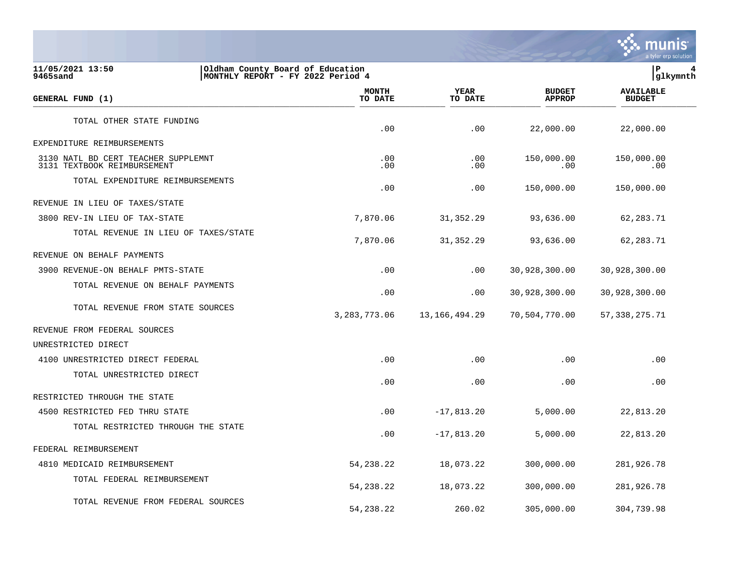

**11/05/2021 13:50 |Oldham County Board of Education |P 4 9465sand |MONTHLY REPORT - FY 2022 Period 4 |glkymnth MONTH AVAILABLE YEAR BUDGET** AVAILABLE **GENERAL FUND (1) TO DATE TO DATE APPROP BUDGET**  TO DATE THE RESERVED FOND (1) TOTAL OTHER STATE FUNDING .00 .00 22,000.00 22,000.00 EXPENDITURE REIMBURSEMENTS 3130 NATL BD CERT TEACHER SUPPLEMNT .00 .00 150,000.00 150,000.00 3131 TEXTBOOK REIMBURSEMENT TOTAL EXPENDITURE REIMBURSEMENTS .00 .00 150,000.00 150,000.00 REVENUE IN LIEU OF TAXES/STATE 3800 REV-IN LIEU OF TAX-STATE 7,870.06 31,352.29 93,636.00 62,283.71 TOTAL REVENUE IN LIEU OF TAXES/STATE 7,870.06 31,352.29 93,636.00 62,283.71 REVENUE ON BEHALF PAYMENTS 3900 REVENUE-ON BEHALF PMTS-STATE .00 .00 30,928,300.00 30,928,300.00 TOTAL REVENUE ON BEHALF PAYMENTS .00 .00 30,928,300.00 30,928,300.00 TOTAL REVENUE FROM STATE SOURCES 3,283,773.06 13,166,494.29 70,504,770.00 57,338,275.71 REVENUE FROM FEDERAL SOURCES UNRESTRICTED DIRECT 4100 UNRESTRICTED DIRECT FEDERAL .00 .00 .00 .00 TOTAL UNRESTRICTED DIRECT .00 .00 .00 .00 RESTRICTED THROUGH THE STATE 4500 RESTRICTED FED THRU STATE .00 -17,813.20 5,000.00 22,813.20 TOTAL RESTRICTED THROUGH THE STATE .00 -17,813.20 5,000.00 22,813.20 FEDERAL REIMBURSEMENT 4810 MEDICAID REIMBURSEMENT 54,238.22 18,073.22 300,000.00 281,926.78 TOTAL FEDERAL REIMBURSEMENT 54,238.22 18,073.22 300,000.00 281,926.78 TOTAL REVENUE FROM FEDERAL SOURCES

54,238.22 260.02 305,000.00 304,739.98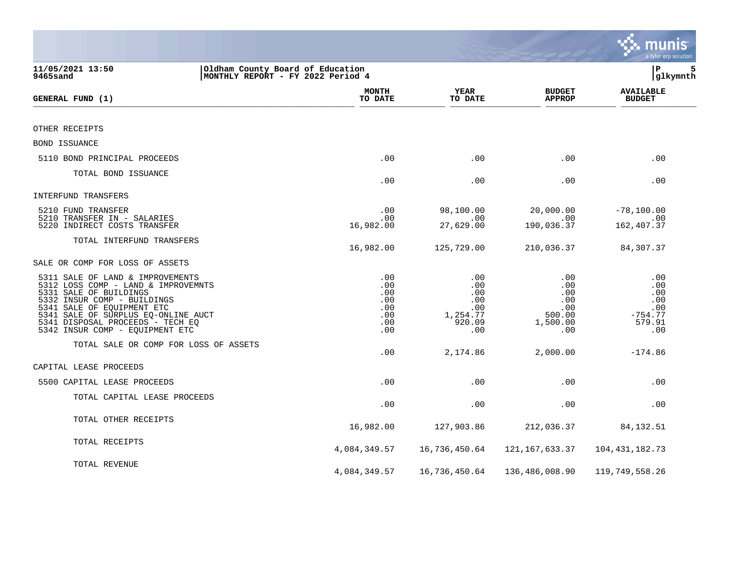|                                                                                                                                                                                                                                                                              |                                                      |                                                              |                                                              | <b>RA munis</b><br>a tyler erp solution                       |
|------------------------------------------------------------------------------------------------------------------------------------------------------------------------------------------------------------------------------------------------------------------------------|------------------------------------------------------|--------------------------------------------------------------|--------------------------------------------------------------|---------------------------------------------------------------|
| 11/05/2021 13:50<br>Oldham County Board of Education<br>MONTHLY REPORT - FY 2022 Period 4<br>9465sand                                                                                                                                                                        |                                                      |                                                              |                                                              | l P<br>5<br> glkymnth                                         |
| GENERAL FUND (1)                                                                                                                                                                                                                                                             | <b>MONTH</b><br>TO DATE                              | YEAR<br>TO DATE                                              | <b>BUDGET</b><br><b>APPROP</b>                               | <b>AVAILABLE</b><br><b>BUDGET</b>                             |
|                                                                                                                                                                                                                                                                              |                                                      |                                                              |                                                              |                                                               |
| OTHER RECEIPTS                                                                                                                                                                                                                                                               |                                                      |                                                              |                                                              |                                                               |
| BOND ISSUANCE                                                                                                                                                                                                                                                                |                                                      |                                                              |                                                              |                                                               |
| 5110 BOND PRINCIPAL PROCEEDS                                                                                                                                                                                                                                                 | .00                                                  | .00                                                          | .00                                                          | .00                                                           |
| TOTAL BOND ISSUANCE                                                                                                                                                                                                                                                          | .00                                                  | .00                                                          | .00                                                          | .00                                                           |
| INTERFUND TRANSFERS                                                                                                                                                                                                                                                          |                                                      |                                                              |                                                              |                                                               |
| 5210 FUND TRANSFER<br>5210 TRANSFER IN - SALARIES<br>5220 INDIRECT COSTS TRANSFER                                                                                                                                                                                            | .00<br>.00<br>16,982.00                              | 98,100.00<br>.00<br>27,629.00                                | 20,000.00<br>.00<br>190,036.37                               | $-78,100.00$<br>.00<br>162, 407.37                            |
| TOTAL INTERFUND TRANSFERS                                                                                                                                                                                                                                                    | 16,982.00                                            | 125,729.00                                                   | 210,036.37                                                   | 84,307.37                                                     |
| SALE OR COMP FOR LOSS OF ASSETS                                                                                                                                                                                                                                              |                                                      |                                                              |                                                              |                                                               |
| 5311 SALE OF LAND & IMPROVEMENTS<br>5312 LOSS COMP - LAND & IMPROVEMNTS<br>5331 SALE OF BUILDINGS<br>5332 INSUR COMP - BUILDINGS<br>5341 SALE OF EQUIPMENT ETC<br>5341 SALE OF SURPLUS EQ-ONLINE AUCT<br>5341 DISPOSAL PROCEEDS - TECH EQ<br>5342 INSUR COMP - EQUIPMENT ETC | .00<br>.00<br>.00<br>.00<br>.00<br>.00<br>.00<br>.00 | .00<br>.00<br>.00<br>.00<br>.00<br>1,254.77<br>920.09<br>.00 | .00<br>.00<br>.00<br>.00<br>.00<br>500.00<br>1,500.00<br>.00 | .00<br>.00<br>.00<br>.00<br>.00<br>$-754.77$<br>579.91<br>.00 |
| TOTAL SALE OR COMP FOR LOSS OF ASSETS                                                                                                                                                                                                                                        | .00                                                  | 2,174.86                                                     | 2,000.00                                                     | $-174.86$                                                     |
| CAPITAL LEASE PROCEEDS                                                                                                                                                                                                                                                       |                                                      |                                                              |                                                              |                                                               |
| 5500 CAPITAL LEASE PROCEEDS                                                                                                                                                                                                                                                  | .00                                                  | .00                                                          | .00                                                          | .00                                                           |
| TOTAL CAPITAL LEASE PROCEEDS                                                                                                                                                                                                                                                 | .00                                                  | .00                                                          | .00                                                          | .00                                                           |
| TOTAL OTHER RECEIPTS                                                                                                                                                                                                                                                         | 16,982.00                                            | 127,903.86                                                   | 212,036.37                                                   | 84,132.51                                                     |
| TOTAL RECEIPTS                                                                                                                                                                                                                                                               | 4,084,349.57                                         | 16,736,450.64                                                | 121,167,633.37                                               | 104, 431, 182. 73                                             |
| TOTAL REVENUE                                                                                                                                                                                                                                                                | 4,084,349.57                                         | 16,736,450.64                                                | 136,486,008.90                                               | 119,749,558.26                                                |

and the state of the state of the state of the state of the state of the state of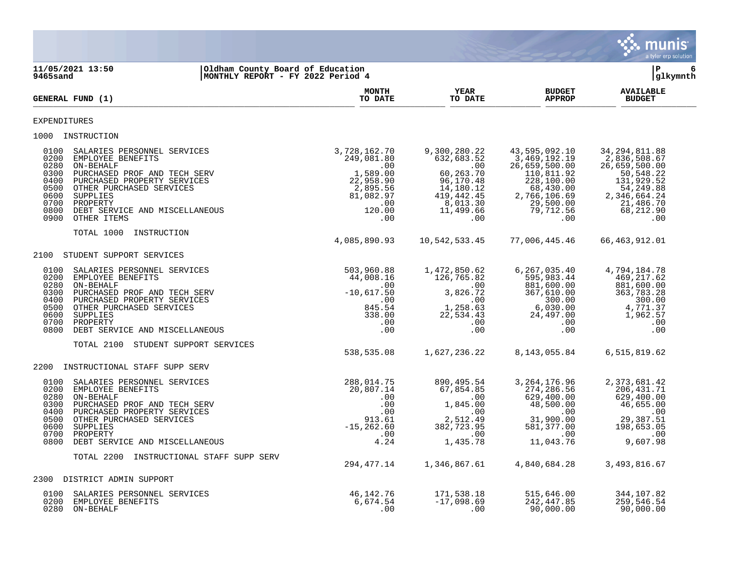|                                              |                                                                                                                                                                                                                                                                           |                                                                                                                                                                                                                                                                                                                        |                           |                                                                                                                                                                                                                                                                                     | munis<br>a tyler erp solution     |
|----------------------------------------------|---------------------------------------------------------------------------------------------------------------------------------------------------------------------------------------------------------------------------------------------------------------------------|------------------------------------------------------------------------------------------------------------------------------------------------------------------------------------------------------------------------------------------------------------------------------------------------------------------------|---------------------------|-------------------------------------------------------------------------------------------------------------------------------------------------------------------------------------------------------------------------------------------------------------------------------------|-----------------------------------|
| 9465sand                                     | 11/05/2021 13:50<br>Oldham County Board of Education<br>MONTHLY REPORT - FY 2022 Period 4                                                                                                                                                                                 |                                                                                                                                                                                                                                                                                                                        |                           |                                                                                                                                                                                                                                                                                     | l P<br>6<br>glkymnth              |
|                                              | GENERAL FUND (1)                                                                                                                                                                                                                                                          | <b>MONTH</b><br>TO DATE                                                                                                                                                                                                                                                                                                | <b>YEAR</b><br>TO DATE    | <b>BUDGET</b><br><b>APPROP</b>                                                                                                                                                                                                                                                      | <b>AVAILABLE</b><br><b>BUDGET</b> |
| <b>EXPENDITURES</b>                          |                                                                                                                                                                                                                                                                           |                                                                                                                                                                                                                                                                                                                        |                           |                                                                                                                                                                                                                                                                                     |                                   |
|                                              | 1000 INSTRUCTION                                                                                                                                                                                                                                                          |                                                                                                                                                                                                                                                                                                                        |                           |                                                                                                                                                                                                                                                                                     |                                   |
| 0400<br>0700                                 | 0100 SALARIES PERSONNEL SERVICES<br>0200 EMPLOYEE BENEFITS<br>0280 ON-BEHALF<br>0300 PURCHASED PROF AND TECH SERV<br>PURCHASED PROPERTY SERVICES<br>0500 OTHER PURCHASED SERVICES<br>0600 SUPPLIES<br>PROPERTY<br>0800 DEBT SERVICE AND MISCELLANEOUS<br>0900 OTHER ITEMS |                                                                                                                                                                                                                                                                                                                        | 3,728,162.70 9,300,280.22 | 43,595,092.10<br>$\begin{array}{cccccc} 728,162.70 & 9,300,280.22 & 43,595,092.10 & 34,294,811.88 \\ 249,081.80 & 632,683.52 & 3,469,192.19 & 2,836,508.67 \\ .00 & 0.00 & 60,263.70 & 110,811.92 & 50,500.00 \\ 22,958.90 & 96,170.48 & 228,100.00 & 131,929.52 \\ 2,895.56 & 14,$ | 34, 294, 811.88                   |
|                                              | TOTAL 1000 INSTRUCTION                                                                                                                                                                                                                                                    |                                                                                                                                                                                                                                                                                                                        |                           | 77,006,445.46                                                                                                                                                                                                                                                                       | 66,463,912.01                     |
|                                              | 2100 STUDENT SUPPORT SERVICES                                                                                                                                                                                                                                             |                                                                                                                                                                                                                                                                                                                        |                           |                                                                                                                                                                                                                                                                                     |                                   |
| 0100<br>0300<br>0400<br>0600                 | SALARIES PERSONNEL SERVICES<br>0200 EMPLOYEE BENEFITS<br>0280 ON-BEHALF<br>PURCHASED PROF AND TECH SERV<br>PURCHASED PROPERTY SERVICES<br>0500 OTHER PURCHASED SERVICES<br>SUPPLIES<br>0700 PROPERTY<br>0800 DEBT SERVICE AND MISCELLANEOUS                               | $\begin{array}{cccccc} 503,960.88 & & 1,472,850.62 & & 6,267,035.40 & & 4,794,184.78 \\ 44,008.16 & & 126,765.82 & & 595,983.44 & & 469,217.62 \\ .00 & & & .00 & & 881,600.00 & & 881,600.00 \\ -10,617.50 & & 3,826.72 & & 367,610.00 & & 363,783.28 \\ 845.54 & & 1,258.63 & & $                                    |                           |                                                                                                                                                                                                                                                                                     |                                   |
|                                              | TOTAL 2100 STUDENT SUPPORT SERVICES                                                                                                                                                                                                                                       |                                                                                                                                                                                                                                                                                                                        |                           | 538,535.08 1,627,236.22 8,143,055.84 6,515,819.62                                                                                                                                                                                                                                   |                                   |
|                                              | 2200 INSTRUCTIONAL STAFF SUPP SERV                                                                                                                                                                                                                                        |                                                                                                                                                                                                                                                                                                                        |                           |                                                                                                                                                                                                                                                                                     |                                   |
| 0100<br>0280<br>0300<br>0400<br>0600<br>0700 | SALARIES PERSONNEL SERVICES<br>0200 EMPLOYEE BENEFITS<br>ON-BEHALF<br>PURCHASED PROF AND TECH SERV<br>PURCHASED PROPERTY SERVICES<br>0500 OTHER PURCHASED SERVICES<br>SUPPLIES<br>PROPERTY<br>0800 DEBT SERVICE AND MISCELLANEOUS                                         | 288,014.75<br>$\begin{array}{cccccc} 288,014\cdot 75 & 890\,, 495\cdot 54 & 3\,, 264\,, 1/6\cdot 96 & 2\,, 3/3\,, 681\cdot 42\, 20\,, 807\cdot 14 & 67\,, 854\cdot 85 & 274\,, 286\cdot 56 & 206\,, 431\cdot 71\, 10\, 00 & 0 & 629\,, 400\cdot 00 & 629\,, 400\cdot 00 & 629\,, 400\cdot 00 & 629\,, 400\cdot 00 & 6$ | 890,495.54                | 3, 264, 176.96                                                                                                                                                                                                                                                                      | 2,373,681.42                      |
|                                              | TOTAL 2200 INSTRUCTIONAL STAFF SUPP SERV                                                                                                                                                                                                                                  |                                                                                                                                                                                                                                                                                                                        |                           | 294,477.14 1,346,867.61 4,840,684.28 3,493,816.67                                                                                                                                                                                                                                   |                                   |
|                                              | 2200 DIOBRICE ADMINI CURROPER                                                                                                                                                                                                                                             |                                                                                                                                                                                                                                                                                                                        |                           |                                                                                                                                                                                                                                                                                     |                                   |

**Contract** 

2300 DISTRICT ADMIN SUPPORT 0100 SALARIES PERSONNEL SERVICES 46,142.76 171,538.18 515,646.00 344,107.82 0200 EMPLOYEE BENEFITS 6,674.54 -17,098.69 242,447.85 259,546.54 0280 ON-BEHALF .00 .00 90,000.00 90,000.00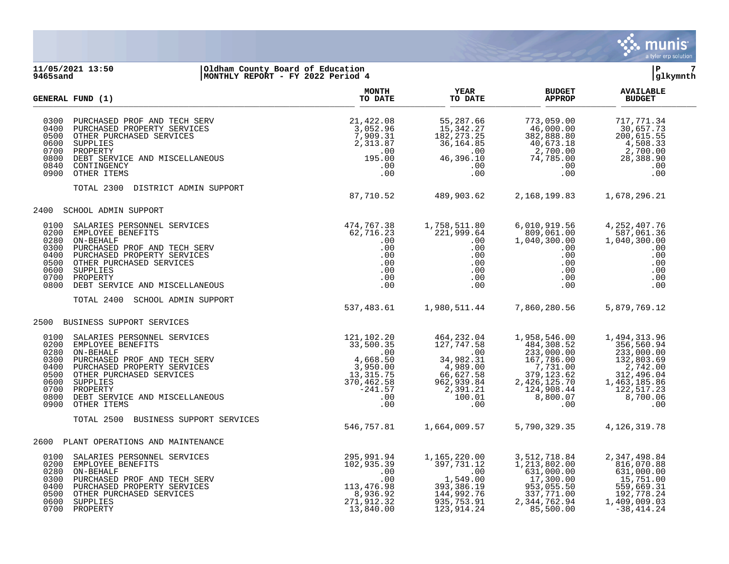

### **11/05/2021 13:50 |Oldham County Board of Education |P 7 9465sand |MONTHLY REPORT - FY 2022 Period 4 |glkymnth**

|                                                                              | <b>GENERAL FUND (1)</b>                                                                                                                                                                                                                                                                                                                                                                                                                                                                                                                                          | <b>MONTH</b><br>TO DATE                   | <b>YEAR</b><br>TO DATE                                                                                                                  | <b>BUDGET</b><br><b>APPROP</b>                                                                                                                                                                 | <b>AVAILABLE</b><br><b>BUDGET</b>                                                                                 |  |
|------------------------------------------------------------------------------|------------------------------------------------------------------------------------------------------------------------------------------------------------------------------------------------------------------------------------------------------------------------------------------------------------------------------------------------------------------------------------------------------------------------------------------------------------------------------------------------------------------------------------------------------------------|-------------------------------------------|-----------------------------------------------------------------------------------------------------------------------------------------|------------------------------------------------------------------------------------------------------------------------------------------------------------------------------------------------|-------------------------------------------------------------------------------------------------------------------|--|
| 0300<br>0400<br>0500<br>0600<br>0700<br>0800<br>0840<br>0900                 | DEBT SERVICE AND MISCELLANEOUS<br>OTHER ITEMS                                                                                                                                                                                                                                                                                                                                                                                                                                                                                                                    |                                           | 55,287.66<br>15,342.27<br>$\begin{array}{r} 182, 273 \\ 36, 164.85 \\ 0 \\ 0 \\ 0 \\ \end{array}$<br>46,396.10<br>.00<br>.00            | $773,059.00\n46,000.00\n382,888.80\n40,673.18\n2,700.00\n74,785.00\n.00\n.00$<br>$7\overline{4}$ , $785.00$<br>.00<br>.00                                                                      | 717,771.34<br>30,657.73<br>200,615.55<br>200,615.55<br>4,508.33<br>2,700.00<br>28,388.90<br>.00<br>.00            |  |
|                                                                              | TOTAL 2300 DISTRICT ADMIN SUPPORT                                                                                                                                                                                                                                                                                                                                                                                                                                                                                                                                | 87,710.52                                 | 489,903.62                                                                                                                              | 2, 168, 199.83 1, 678, 296.21                                                                                                                                                                  |                                                                                                                   |  |
|                                                                              | 2400 SCHOOL ADMIN SUPPORT                                                                                                                                                                                                                                                                                                                                                                                                                                                                                                                                        |                                           |                                                                                                                                         |                                                                                                                                                                                                |                                                                                                                   |  |
| 0100<br>0200<br>0280<br>0300<br>0400<br>0500<br>0600<br>0700<br>0800         | $\begin{array}{cc} \texttt{1S} & \texttt{474,767.38} \\ \texttt{62,716.23} \\ \texttt{1S} & \texttt{.00} \\ \texttt{1S} & \texttt{.00} \\ \texttt{1S} & \texttt{.00} \\ \texttt{00} & \texttt{.00} \\ \texttt{00} & \texttt{.00} \\ \texttt{00} & \texttt{.00} \\ \texttt{00} & \texttt{.00} \\ \texttt{00} & \texttt{.00} \\ \end{array}$<br>SALARIES PERSONNEL SERVICES<br>EMPLOYEE BENEFITS<br>ON-BEHALF<br>PURCHASED PROF AND TECH SERV<br>PURCHASED PROPERTY SERVICES<br>OTHER PURCHASED SERVICES<br>SUPPLIES<br>PROPERTY<br>DEBT SERVICE AND MISCELLANEOUS | $\begin{array}{c} .00 \\ .00 \end{array}$ | 1,758,511.80<br>221,999.64<br>.00<br>.00<br>$\begin{array}{c} .00\ 0.00\ 0.00\ 0.00\ 0.00\ 0.00\ \end{array}$                           | 6,010,919.56<br>809,061.00<br>1,040,300.00<br>$.00 \,$<br>.00<br>$\begin{array}{c} .00\ .00\ .00\ .00\ .00\ . \end{array}$                                                                     | 4, 252, 407. 76<br>587,061.36<br>1,040,300.00<br>.00<br>.00<br>.00<br>.00<br>.00<br>.00                           |  |
|                                                                              | TOTAL 2400<br>SCHOOL ADMIN SUPPORT                                                                                                                                                                                                                                                                                                                                                                                                                                                                                                                               |                                           | 537,483.61    1,980,511.44    7,860,280.56                                                                                              |                                                                                                                                                                                                | 5,879,769.12                                                                                                      |  |
|                                                                              | 2500 BUSINESS SUPPORT SERVICES                                                                                                                                                                                                                                                                                                                                                                                                                                                                                                                                   |                                           |                                                                                                                                         |                                                                                                                                                                                                |                                                                                                                   |  |
| 0100<br>0200<br>0280<br>0300<br>0400<br>0500<br>0600<br>0700<br>0800<br>0900 | JSINESS SUPPORT SERVICES<br>SALARIES PERSONNEL SERVICES<br>EMPLOYEE BENEFITS<br>ON-BEHALF<br>PURCHASED PROF AND TECH SERV<br>PURCHASED PROPERTY SERVICES<br>OTHER PURCHASED SERVICES<br>OTHER PURCHASED SERVICES<br>SPOPERTY<br>SUPPLIES<br>PROPER                                                                                                                                                                                                                                                                                                               |                                           | 464,232.04<br>127,747.58<br>$127,747.300$<br>$34,982.31$<br>$4,989.00$<br>$66,627.58$<br>$962,391.21$<br>$2,391.21$<br>$100.01$<br>$00$ | 1,958,546.00<br>484,308.52<br>$233,000.00$<br>$233,000.00$<br>$167,786.00$<br>$7,731.00$<br>$379,123.62$<br>$2,426,125.70$<br>$1463,185.86$<br>$124,908.44$<br>$122,517.23$<br>8,800.07<br>.00 | 1,494,313.96<br>356,560.94<br>8,700.06<br>.00                                                                     |  |
|                                                                              | TOTAL 2500<br>BUSINESS SUPPORT SERVICES                                                                                                                                                                                                                                                                                                                                                                                                                                                                                                                          | 546,757.81                                | 1,664,009.57                                                                                                                            | 5,790,329.35                                                                                                                                                                                   | 4,126,319.78                                                                                                      |  |
|                                                                              | 2600 PLANT OPERATIONS AND MAINTENANCE                                                                                                                                                                                                                                                                                                                                                                                                                                                                                                                            |                                           |                                                                                                                                         |                                                                                                                                                                                                |                                                                                                                   |  |
| 0100<br>0200<br>0280<br>0300<br>0400<br>0500<br>0600                         | ON-BEHALF BENEFITS SERVICES<br>ON-BEHALF SENEFITS 102,935.39<br>PURCHASED PROF AND TECH SERV<br>PURCHASED PROPERTY SERVICES<br>OTHER PURCHASED SERVICES<br>SUPPLIES<br>ROPERTY<br>ROPERTY<br>ROPERTY<br>0700 PROPERTY                                                                                                                                                                                                                                                                                                                                            |                                           | 1,165,220.00<br>397,731.12<br>$1,549.00$<br>$1,549.00$<br>$393,386.19$<br>$144,992.76$<br>$935.753$<br>935, 753.91<br>123,914.24        | 3, 512, 718.84<br>1, 213, 802.00<br>631,000.00<br>17,300.00<br>953,055.50<br>337,771.00<br>2, 344, 762.94<br>85,500.00                                                                         | 2,347,498.84<br>816,070.88<br>631,000.00<br>15,751.00<br>559,669.31<br>192,778.24<br>1,409,009.03<br>$-38,414.24$ |  |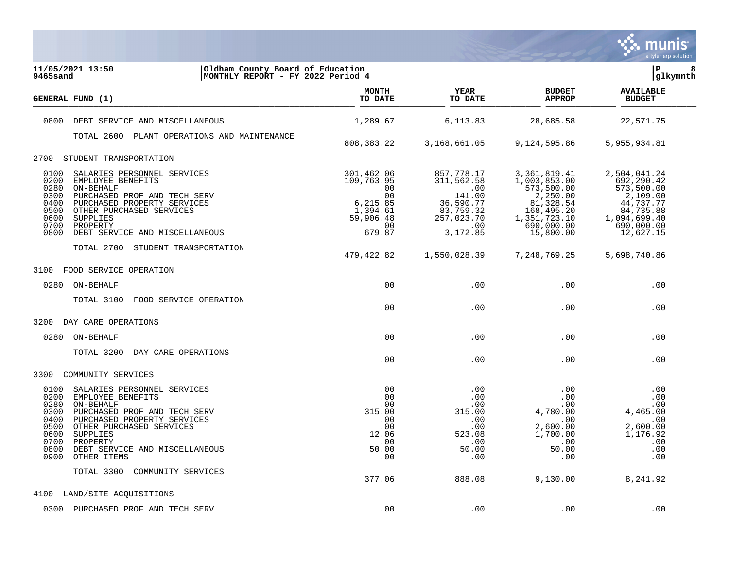

| 11/05/2021 13:50<br>Oldham County Board of Education<br>MONTHLY REPORT - FY 2022 Period 4<br>9465sand                                                                                                                                                                                                             |                                                                                              |                                                                                                      |                                                                                                                                | İР<br>8<br> glkymnth                                                                                                      |  |
|-------------------------------------------------------------------------------------------------------------------------------------------------------------------------------------------------------------------------------------------------------------------------------------------------------------------|----------------------------------------------------------------------------------------------|------------------------------------------------------------------------------------------------------|--------------------------------------------------------------------------------------------------------------------------------|---------------------------------------------------------------------------------------------------------------------------|--|
| GENERAL FUND (1)                                                                                                                                                                                                                                                                                                  | <b>MONTH</b><br>TO DATE                                                                      | YEAR<br>TO DATE                                                                                      | <b>BUDGET</b><br><b>APPROP</b>                                                                                                 | <b>AVAILABLE</b><br><b>BUDGET</b>                                                                                         |  |
| 0800<br>DEBT SERVICE AND MISCELLANEOUS                                                                                                                                                                                                                                                                            | 1,289.67                                                                                     | 6,113.83                                                                                             | 28,685.58                                                                                                                      | 22,571.75                                                                                                                 |  |
| TOTAL 2600 PLANT OPERATIONS AND MAINTENANCE                                                                                                                                                                                                                                                                       | 808, 383. 22                                                                                 | 3,168,661.05                                                                                         | 9,124,595.86                                                                                                                   | 5,955,934.81                                                                                                              |  |
| STUDENT TRANSPORTATION<br>2700                                                                                                                                                                                                                                                                                    |                                                                                              |                                                                                                      |                                                                                                                                |                                                                                                                           |  |
| 0100<br>SALARIES PERSONNEL SERVICES<br>0200<br>EMPLOYEE BENEFITS<br>0280<br>ON-BEHALF<br>0300<br>PURCHASED PROF AND TECH SERV<br>0400<br>PURCHASED PROPERTY SERVICES<br>0500<br>OTHER PURCHASED SERVICES<br>0600<br>SUPPLIES<br>0700<br>PROPERTY<br>0800<br>DEBT SERVICE AND MISCELLANEOUS                        | 301,462.06<br>109,763.95<br>.00<br>.00<br>6,215.85<br>1,394.61<br>59,906.48<br>.00<br>679.87 | 857,778.17<br>311,562.58<br>.00<br>141.00<br>36,590.77<br>83,759.32<br>257,023.70<br>.00<br>3,172.85 | 3, 361, 819.41<br>1,003,853.00<br>573,500.00<br>2,250.00<br>81,328.54<br>168,495.20<br>1,351,723.10<br>690,000.00<br>15,800.00 | 2,504,041.24<br>692,290.42<br>573,500.00<br>2,109.00<br>44,737.77<br>84,735.88<br>1,094,699.40<br>690,000.00<br>12,627.15 |  |
| TOTAL 2700 STUDENT TRANSPORTATION                                                                                                                                                                                                                                                                                 | 479,422.82                                                                                   | 1,550,028.39                                                                                         | 7, 248, 769. 25                                                                                                                | 5,698,740.86                                                                                                              |  |
| FOOD SERVICE OPERATION<br>3100                                                                                                                                                                                                                                                                                    |                                                                                              |                                                                                                      |                                                                                                                                |                                                                                                                           |  |
| 0280<br>ON-BEHALF                                                                                                                                                                                                                                                                                                 | .00                                                                                          | .00                                                                                                  | .00                                                                                                                            | .00                                                                                                                       |  |
| TOTAL 3100<br>FOOD SERVICE OPERATION                                                                                                                                                                                                                                                                              | .00                                                                                          | .00                                                                                                  | .00                                                                                                                            | .00                                                                                                                       |  |
| 3200<br>DAY CARE OPERATIONS                                                                                                                                                                                                                                                                                       |                                                                                              |                                                                                                      |                                                                                                                                |                                                                                                                           |  |
| 0280<br>ON-BEHALF                                                                                                                                                                                                                                                                                                 | .00                                                                                          | .00                                                                                                  | .00                                                                                                                            | .00                                                                                                                       |  |
| TOTAL 3200<br>DAY CARE OPERATIONS                                                                                                                                                                                                                                                                                 | .00                                                                                          | .00                                                                                                  | .00                                                                                                                            | .00                                                                                                                       |  |
| 3300<br>COMMUNITY SERVICES                                                                                                                                                                                                                                                                                        |                                                                                              |                                                                                                      |                                                                                                                                |                                                                                                                           |  |
| 0100<br>SALARIES PERSONNEL SERVICES<br>0200<br>EMPLOYEE BENEFITS<br>0280<br>ON-BEHALF<br>0300<br>PURCHASED PROF AND TECH SERV<br>0400<br>PURCHASED PROPERTY SERVICES<br>0500<br>OTHER PURCHASED SERVICES<br>0600<br>SUPPLIES<br>0700<br>PROPERTY<br>0800<br>DEBT SERVICE AND MISCELLANEOUS<br>0900<br>OTHER ITEMS | .00<br>.00<br>.00<br>315.00<br>.00<br>.00<br>12.06<br>.00<br>50.00<br>.00                    | .00<br>.00.<br>.00<br>315.00<br>.00<br>.00<br>523.08<br>.00<br>50.00<br>.00                          | .00<br>.00<br>.00<br>4,780.00<br>.00<br>2,600.00<br>1,700.00<br>.00<br>50.00<br>.00                                            | .00<br>.00<br>.00<br>4,465.00<br>.00<br>2,600.00<br>1,176.92<br>.00<br>.00<br>.00                                         |  |
| TOTAL 3300<br>COMMUNITY SERVICES                                                                                                                                                                                                                                                                                  | 377.06                                                                                       | 888.08                                                                                               | 9,130.00                                                                                                                       | 8,241.92                                                                                                                  |  |
| 4100<br>LAND/SITE ACQUISITIONS                                                                                                                                                                                                                                                                                    |                                                                                              |                                                                                                      |                                                                                                                                |                                                                                                                           |  |
| 0300<br>PURCHASED PROF AND TECH SERV                                                                                                                                                                                                                                                                              | .00                                                                                          | .00                                                                                                  | .00                                                                                                                            | .00                                                                                                                       |  |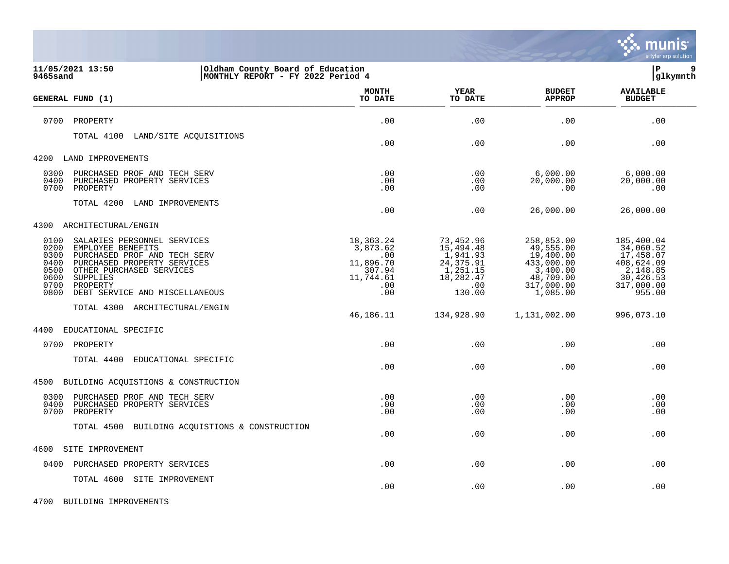

| 11/05/2021 13:50<br>Oldham County Board of Education<br>MONTHLY REPORT - FY 2022 Period 4<br>9465sand                                                                                                                                                                 |                                                                                     |                                                                                            |                                                                                                       | lР<br>9<br> glkymnth                                                                                |
|-----------------------------------------------------------------------------------------------------------------------------------------------------------------------------------------------------------------------------------------------------------------------|-------------------------------------------------------------------------------------|--------------------------------------------------------------------------------------------|-------------------------------------------------------------------------------------------------------|-----------------------------------------------------------------------------------------------------|
| GENERAL FUND (1)                                                                                                                                                                                                                                                      | <b>MONTH</b><br>TO DATE                                                             | <b>YEAR</b><br>TO DATE                                                                     | <b>BUDGET</b><br><b>APPROP</b>                                                                        | <b>AVAILABLE</b><br><b>BUDGET</b>                                                                   |
| 0700<br>PROPERTY                                                                                                                                                                                                                                                      | .00                                                                                 | .00                                                                                        | .00                                                                                                   | .00                                                                                                 |
| TOTAL 4100<br>LAND/SITE ACQUISITIONS                                                                                                                                                                                                                                  | .00                                                                                 | .00                                                                                        | .00                                                                                                   | .00                                                                                                 |
| 4200<br>LAND IMPROVEMENTS                                                                                                                                                                                                                                             |                                                                                     |                                                                                            |                                                                                                       |                                                                                                     |
| PURCHASED PROF AND TECH SERV<br>0300<br>0400<br>PURCHASED PROPERTY SERVICES<br>0700<br>PROPERTY                                                                                                                                                                       | .00<br>.00<br>.00                                                                   | .00<br>.00<br>.00                                                                          | 6,000.00<br>20,000.00<br>.00                                                                          | 6,000.00<br>20,000.00<br>.00                                                                        |
| TOTAL 4200<br>LAND IMPROVEMENTS                                                                                                                                                                                                                                       | .00                                                                                 | .00                                                                                        | 26,000.00                                                                                             | 26,000.00                                                                                           |
| ARCHITECTURAL/ENGIN<br>4300                                                                                                                                                                                                                                           |                                                                                     |                                                                                            |                                                                                                       |                                                                                                     |
| 0100<br>SALARIES PERSONNEL SERVICES<br>0200<br>EMPLOYEE BENEFITS<br>0300<br>PURCHASED PROF AND TECH SERV<br>0400<br>PURCHASED PROPERTY SERVICES<br>0500<br>OTHER PURCHASED SERVICES<br>0600<br>SUPPLIES<br>0700<br>PROPERTY<br>0800<br>DEBT SERVICE AND MISCELLANEOUS | 18,363.24<br>3,873.62<br>$.00 \,$<br>11,896.70<br>307.94<br>11,744.61<br>.00<br>.00 | 73,452.96<br>15,494.48<br>1,941.93<br>24, 375.91<br>1,251.15<br>18,282.47<br>.00<br>130.00 | 258,853.00<br>49,555.00<br>19,400.00<br>433,000.00<br>3,400.00<br>48,709.00<br>317,000.00<br>1,085.00 | 185,400.04<br>34,060.52<br>17,458.07<br>408,624.09<br>2,148.85<br>30,426.53<br>317,000.00<br>955.00 |
| TOTAL 4300 ARCHITECTURAL/ENGIN                                                                                                                                                                                                                                        | 46,186.11                                                                           | 134,928.90                                                                                 | 1,131,002.00                                                                                          | 996,073.10                                                                                          |
| EDUCATIONAL SPECIFIC<br>4400                                                                                                                                                                                                                                          |                                                                                     |                                                                                            |                                                                                                       |                                                                                                     |
| 0700 PROPERTY                                                                                                                                                                                                                                                         | .00                                                                                 | .00                                                                                        | .00                                                                                                   | .00                                                                                                 |
| TOTAL 4400<br>EDUCATIONAL SPECIFIC                                                                                                                                                                                                                                    | .00                                                                                 | .00                                                                                        | .00                                                                                                   | .00                                                                                                 |
| 4500 BUILDING ACQUISTIONS & CONSTRUCTION                                                                                                                                                                                                                              |                                                                                     |                                                                                            |                                                                                                       |                                                                                                     |
| 0300<br>PURCHASED PROF AND TECH SERV<br>0400<br>PURCHASED PROPERTY SERVICES<br>0700<br>PROPERTY                                                                                                                                                                       | .00<br>.00<br>.00                                                                   | .00<br>.00<br>.00                                                                          | .00<br>.00<br>.00                                                                                     | .00<br>.00<br>.00                                                                                   |
| TOTAL 4500 BUILDING ACQUISTIONS & CONSTRUCTION                                                                                                                                                                                                                        | .00                                                                                 | .00                                                                                        | .00                                                                                                   | .00                                                                                                 |
| 4600<br>SITE IMPROVEMENT                                                                                                                                                                                                                                              |                                                                                     |                                                                                            |                                                                                                       |                                                                                                     |
| PURCHASED PROPERTY SERVICES<br>0400                                                                                                                                                                                                                                   | .00                                                                                 | .00                                                                                        | .00                                                                                                   | .00                                                                                                 |
| TOTAL 4600 SITE IMPROVEMENT                                                                                                                                                                                                                                           | .00                                                                                 | .00                                                                                        | .00                                                                                                   | .00                                                                                                 |

4700 BUILDING IMPROVEMENTS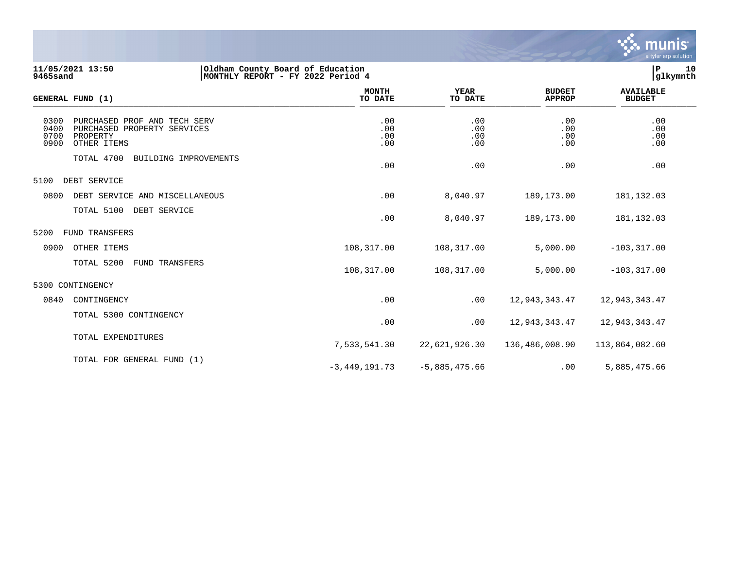

**11/05/2021 13:50 |Oldham County Board of Education |P 10 9465sand |MONTHLY REPORT - FY 2022 Period 4 |glkymnth**

| <b>GENERAL FUND (1)</b>                                                                                                | <b>MONTH</b><br>TO DATE  | <b>YEAR</b><br>TO DATE   | <b>BUDGET</b><br><b>APPROP</b> | <b>AVAILABLE</b><br><b>BUDGET</b> |  |
|------------------------------------------------------------------------------------------------------------------------|--------------------------|--------------------------|--------------------------------|-----------------------------------|--|
| 0300<br>PURCHASED PROF AND TECH SERV<br>0400<br>PURCHASED PROPERTY SERVICES<br>0700<br>PROPERTY<br>0900<br>OTHER ITEMS | .00<br>.00<br>.00<br>.00 | .00<br>.00<br>.00<br>.00 | .00<br>.00<br>.00<br>.00       | .00<br>.00<br>.00<br>.00          |  |
| TOTAL 4700<br>BUILDING IMPROVEMENTS                                                                                    | .00                      | .00                      | .00                            | .00                               |  |
| 5100<br>DEBT SERVICE                                                                                                   |                          |                          |                                |                                   |  |
| 0800<br>DEBT SERVICE AND MISCELLANEOUS                                                                                 | .00                      | 8,040.97                 | 189, 173.00                    | 181, 132.03                       |  |
| TOTAL 5100<br>DEBT SERVICE                                                                                             | .00                      | 8,040.97                 | 189, 173.00                    | 181,132.03                        |  |
| 5200<br><b>FUND TRANSFERS</b>                                                                                          |                          |                          |                                |                                   |  |
| 0900<br>OTHER ITEMS                                                                                                    | 108,317.00               | 108,317.00               | 5,000.00                       | $-103, 317.00$                    |  |
| TOTAL 5200<br><b>FUND TRANSFERS</b>                                                                                    | 108,317.00               | 108,317.00               | 5,000.00                       | $-103, 317.00$                    |  |
| 5300 CONTINGENCY                                                                                                       |                          |                          |                                |                                   |  |
| 0840<br>CONTINGENCY                                                                                                    | .00                      | .00                      | 12,943,343.47                  | 12,943,343.47                     |  |
| TOTAL 5300 CONTINGENCY                                                                                                 | .00                      | .00                      | 12,943,343.47                  | 12,943,343.47                     |  |
| TOTAL EXPENDITURES                                                                                                     | 7,533,541.30             | 22,621,926.30            | 136,486,008.90                 | 113,864,082.60                    |  |
| TOTAL FOR GENERAL FUND (1)                                                                                             | $-3,449,191.73$          | $-5,885,475.66$          | .00                            | 5,885,475.66                      |  |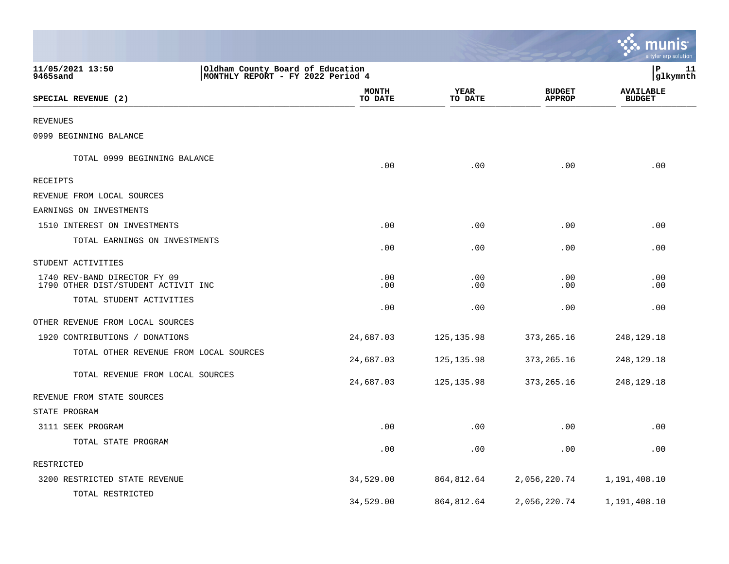|                                                                                                       |                         |                 |                                | <u>ः munis</u><br>a tyler erp solution |
|-------------------------------------------------------------------------------------------------------|-------------------------|-----------------|--------------------------------|----------------------------------------|
| 11/05/2021 13:50<br>Oldham County Board of Education<br>9465sand<br>MONTHLY REPORT - FY 2022 Period 4 |                         |                 |                                | lР<br>11<br> glkymnth                  |
| SPECIAL REVENUE (2)                                                                                   | <b>MONTH</b><br>TO DATE | YEAR<br>TO DATE | <b>BUDGET</b><br><b>APPROP</b> | <b>AVAILABLE</b><br><b>BUDGET</b>      |
| REVENUES                                                                                              |                         |                 |                                |                                        |
| 0999 BEGINNING BALANCE                                                                                |                         |                 |                                |                                        |
| TOTAL 0999 BEGINNING BALANCE                                                                          | .00                     | .00             | .00                            | .00                                    |
| RECEIPTS                                                                                              |                         |                 |                                |                                        |
| REVENUE FROM LOCAL SOURCES                                                                            |                         |                 |                                |                                        |
| EARNINGS ON INVESTMENTS                                                                               |                         |                 |                                |                                        |
| 1510 INTEREST ON INVESTMENTS                                                                          | .00                     | .00             | .00                            | .00                                    |
| TOTAL EARNINGS ON INVESTMENTS                                                                         | .00                     | .00             | .00                            | .00                                    |
| STUDENT ACTIVITIES                                                                                    |                         |                 |                                |                                        |
| 1740 REV-BAND DIRECTOR FY 09<br>1790 OTHER DIST/STUDENT ACTIVIT INC                                   | .00<br>.00              | .00<br>.00      | .00<br>.00                     | .00<br>.00                             |
| TOTAL STUDENT ACTIVITIES                                                                              | .00                     | .00             | .00                            | .00                                    |
| OTHER REVENUE FROM LOCAL SOURCES                                                                      |                         |                 |                                |                                        |
| 1920 CONTRIBUTIONS / DONATIONS                                                                        | 24,687.03               | 125, 135.98     | 373, 265. 16                   | 248,129.18                             |
| TOTAL OTHER REVENUE FROM LOCAL SOURCES                                                                | 24,687.03               | 125, 135.98     | 373, 265. 16                   | 248,129.18                             |
| TOTAL REVENUE FROM LOCAL SOURCES                                                                      | 24,687.03               | 125, 135.98     | 373, 265. 16                   | 248, 129. 18                           |
| REVENUE FROM STATE SOURCES                                                                            |                         |                 |                                |                                        |
| STATE PROGRAM                                                                                         |                         |                 |                                |                                        |
| 3111 SEEK PROGRAM                                                                                     | .00                     | .00             | .00                            | .00                                    |
| TOTAL STATE PROGRAM                                                                                   | .00                     | .00             | .00                            | .00                                    |
| RESTRICTED                                                                                            |                         |                 |                                |                                        |
| 3200 RESTRICTED STATE REVENUE                                                                         | 34,529.00               | 864,812.64      | 2,056,220.74                   | 1,191,408.10                           |
| TOTAL RESTRICTED                                                                                      | 34,529.00               | 864,812.64      | 2,056,220.74                   | 1,191,408.10                           |

the control of the state of the control of the control of the control of the control of the control of the control of the control of the control of the control of the control of the control of the control of the control of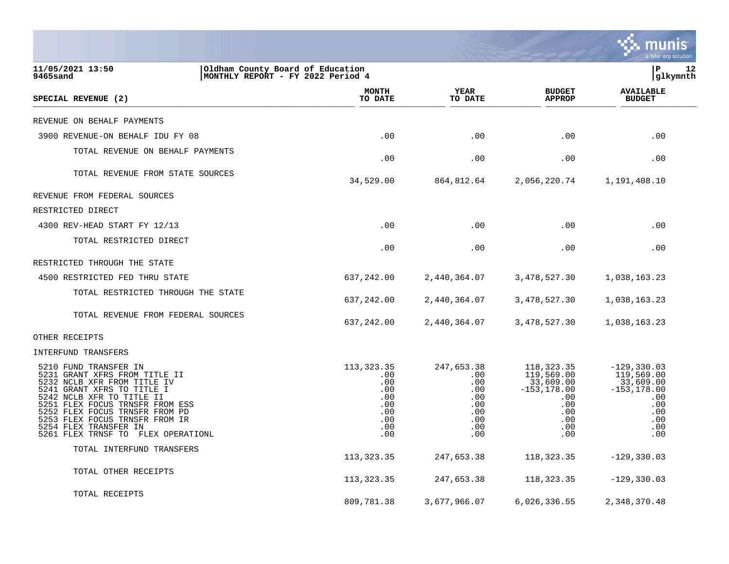|                                                                                                                                                                                                                                                                                                                        |                                                                             |                                                                           |                                                                                                     | a tyler erp solution                                                                                  |
|------------------------------------------------------------------------------------------------------------------------------------------------------------------------------------------------------------------------------------------------------------------------------------------------------------------------|-----------------------------------------------------------------------------|---------------------------------------------------------------------------|-----------------------------------------------------------------------------------------------------|-------------------------------------------------------------------------------------------------------|
| 11/05/2021 13:50<br>Oldham County Board of Education<br>MONTHLY REPORT - FY 2022 Period 4<br><b>9465sand</b>                                                                                                                                                                                                           |                                                                             |                                                                           |                                                                                                     | lР<br>12<br> glkymnth                                                                                 |
| SPECIAL REVENUE (2)                                                                                                                                                                                                                                                                                                    | <b>MONTH</b><br>TO DATE                                                     | YEAR<br>TO DATE                                                           | <b>BUDGET</b><br><b>APPROP</b>                                                                      | <b>AVAILABLE</b><br><b>BUDGET</b>                                                                     |
| REVENUE ON BEHALF PAYMENTS                                                                                                                                                                                                                                                                                             |                                                                             |                                                                           |                                                                                                     |                                                                                                       |
| 3900 REVENUE-ON BEHALF IDU FY 08                                                                                                                                                                                                                                                                                       | .00                                                                         | .00                                                                       | .00                                                                                                 | .00                                                                                                   |
| TOTAL REVENUE ON BEHALF PAYMENTS                                                                                                                                                                                                                                                                                       | .00                                                                         | .00                                                                       | .00                                                                                                 | .00                                                                                                   |
| TOTAL REVENUE FROM STATE SOURCES                                                                                                                                                                                                                                                                                       | 34,529.00                                                                   | 864,812.64                                                                | 2,056,220.74                                                                                        | 1,191,408.10                                                                                          |
| REVENUE FROM FEDERAL SOURCES                                                                                                                                                                                                                                                                                           |                                                                             |                                                                           |                                                                                                     |                                                                                                       |
| RESTRICTED DIRECT                                                                                                                                                                                                                                                                                                      |                                                                             |                                                                           |                                                                                                     |                                                                                                       |
| 4300 REV-HEAD START FY 12/13                                                                                                                                                                                                                                                                                           | .00                                                                         | .00                                                                       | .00                                                                                                 | .00                                                                                                   |
| TOTAL RESTRICTED DIRECT                                                                                                                                                                                                                                                                                                | .00                                                                         | .00                                                                       | .00                                                                                                 | .00                                                                                                   |
| RESTRICTED THROUGH THE STATE                                                                                                                                                                                                                                                                                           |                                                                             |                                                                           |                                                                                                     |                                                                                                       |
| 4500 RESTRICTED FED THRU STATE                                                                                                                                                                                                                                                                                         | 637,242.00                                                                  | 2,440,364.07                                                              | 3, 478, 527.30                                                                                      | 1,038,163.23                                                                                          |
| TOTAL RESTRICTED THROUGH THE STATE                                                                                                                                                                                                                                                                                     | 637,242.00                                                                  | 2,440,364.07                                                              | 3,478,527.30                                                                                        | 1,038,163.23                                                                                          |
| TOTAL REVENUE FROM FEDERAL SOURCES                                                                                                                                                                                                                                                                                     | 637,242.00                                                                  | 2,440,364.07                                                              | 3,478,527.30                                                                                        | 1,038,163.23                                                                                          |
| OTHER RECEIPTS                                                                                                                                                                                                                                                                                                         |                                                                             |                                                                           |                                                                                                     |                                                                                                       |
| INTERFUND TRANSFERS                                                                                                                                                                                                                                                                                                    |                                                                             |                                                                           |                                                                                                     |                                                                                                       |
| 5210 FUND TRANSFER IN<br>5231 GRANT XFRS FROM TITLE II<br>5232 NCLB XFR FROM TITLE IV<br>5241 GRANT XFRS TO TITLE I<br>5242 NCLB XFR TO TITLE II<br>5251 FLEX FOCUS TRNSFR FROM ESS<br>5252 FLEX FOCUS TRNSFR FROM PD<br>5253 FLEX FOCUS TRNSFR FROM IR<br>5254 FLEX TRANSFER IN<br>5261 FLEX TRNSF TO FLEX OPERATIONL | 113, 323. 35<br>.00<br>.00<br>.00<br>.00<br>.00<br>.00<br>.00<br>.00<br>.00 | 247,653.38<br>.00<br>.00<br>.00<br>.00<br>.00<br>.00<br>.00<br>.00<br>.00 | 118, 323. 35<br>119,569.00<br>33,609.00<br>$-153, 178.00$<br>.00<br>.00<br>.00<br>.00<br>.00<br>.00 | $-129, 330.03$<br>119,569.00<br>33,609.00<br>$-153, 178.00$<br>.00<br>.00<br>.00<br>.00<br>.00<br>.00 |
| TOTAL INTERFUND TRANSFERS                                                                                                                                                                                                                                                                                              | 113, 323. 35                                                                | 247,653.38                                                                | 118,323.35                                                                                          | $-129, 330.03$                                                                                        |
| TOTAL OTHER RECEIPTS                                                                                                                                                                                                                                                                                                   | 113, 323.35                                                                 | 247,653.38                                                                | 118, 323. 35                                                                                        | $-129, 330.03$                                                                                        |
| TOTAL RECEIPTS                                                                                                                                                                                                                                                                                                         | 809,781.38                                                                  | 3,677,966.07                                                              | 6,026,336.55                                                                                        | 2,348,370.48                                                                                          |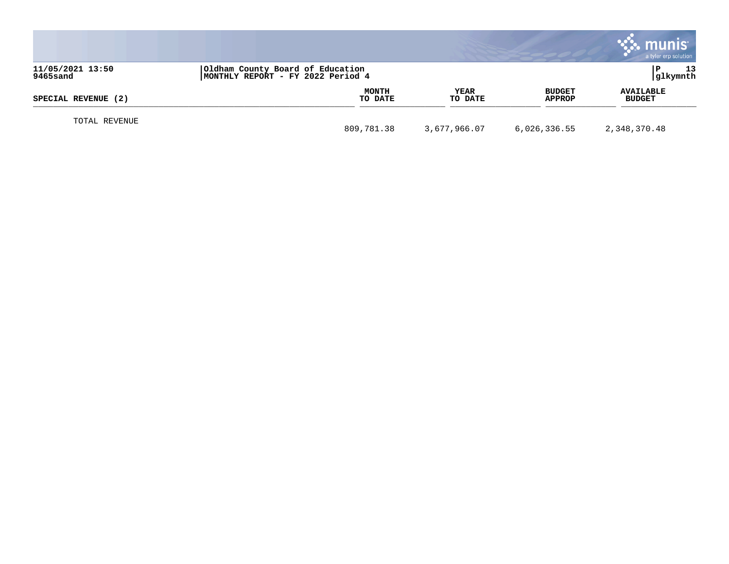|                              |                                                                       |                        |                         | munis<br>a tyler erp solution     |
|------------------------------|-----------------------------------------------------------------------|------------------------|-------------------------|-----------------------------------|
| 11/05/2021 13:50<br>9465sand | Oldham County Board of Education<br>MONTHLY REPORT - FY 2022 Period 4 |                        |                         | 13<br>glkymnth                    |
| SPECIAL REVENUE (2)          | <b>MONTH</b><br>TO DATE                                               | <b>YEAR</b><br>TO DATE | <b>BUDGET</b><br>APPROP | <b>AVAILABLE</b><br><b>BUDGET</b> |
| TOTAL REVENUE                | 809,781.38                                                            | 3,677,966.07           | 6,026,336.55            | 2,348,370.48                      |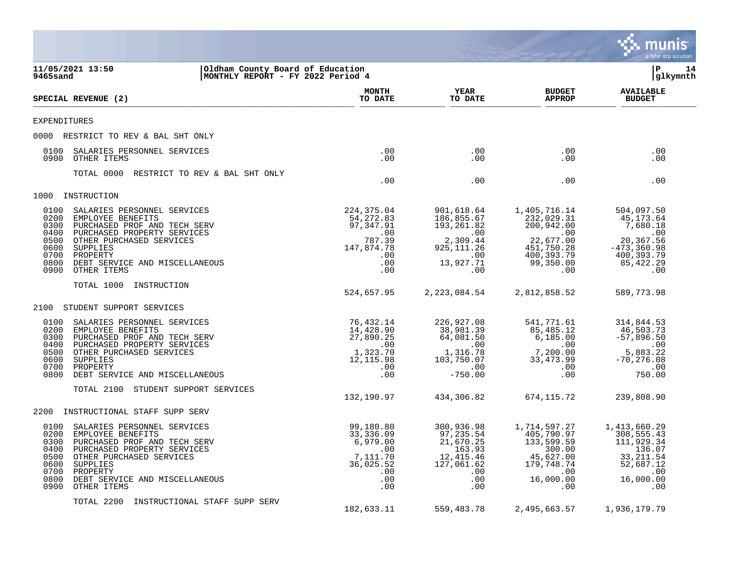|                                                                                                                                                                                                                                                                               |                                                                                              |                                                                                                |                                                                                                               | munis<br>a tyler erp solution                                                                            |
|-------------------------------------------------------------------------------------------------------------------------------------------------------------------------------------------------------------------------------------------------------------------------------|----------------------------------------------------------------------------------------------|------------------------------------------------------------------------------------------------|---------------------------------------------------------------------------------------------------------------|----------------------------------------------------------------------------------------------------------|
| 11/05/2021 13:50<br>Oldham County Board of Education<br>9465sand<br>MONTHLY REPORT - FY 2022 Period 4                                                                                                                                                                         |                                                                                              |                                                                                                |                                                                                                               | lР<br>14<br>glkymnth                                                                                     |
| SPECIAL REVENUE (2)                                                                                                                                                                                                                                                           | <b>MONTH</b><br>TO DATE                                                                      | YEAR<br>TO DATE                                                                                | <b>BUDGET</b><br><b>APPROP</b>                                                                                | <b>AVAILABLE</b><br><b>BUDGET</b>                                                                        |
| <b>EXPENDITURES</b>                                                                                                                                                                                                                                                           |                                                                                              |                                                                                                |                                                                                                               |                                                                                                          |
| 0000 RESTRICT TO REV & BAL SHT ONLY                                                                                                                                                                                                                                           |                                                                                              |                                                                                                |                                                                                                               |                                                                                                          |
| 0100<br>SALARIES PERSONNEL SERVICES<br>0900<br>OTHER ITEMS                                                                                                                                                                                                                    | .00<br>.00                                                                                   | .00<br>.00                                                                                     | $.00 \,$<br>$.00 \,$                                                                                          | .00<br>.00                                                                                               |
| TOTAL 0000<br>RESTRICT TO REV & BAL SHT ONLY                                                                                                                                                                                                                                  | .00                                                                                          | .00                                                                                            | $.00 \,$                                                                                                      | .00                                                                                                      |
| 1000<br>INSTRUCTION                                                                                                                                                                                                                                                           |                                                                                              |                                                                                                |                                                                                                               |                                                                                                          |
| 0100<br>SALARIES PERSONNEL SERVICES<br>0200<br>EMPLOYEE BENEFITS<br>0300<br>PURCHASED PROF AND TECH SERV<br>0400<br>PURCHASED PROPERTY SERVICES<br>OTHER PURCHASED SERVICES<br>0500<br>0600<br>SUPPLIES<br>0700<br>PROPERTY<br>0800<br>DEBT SERVICE AND MISCELLANEOUS         | 224,375.04<br>54,272.83<br>97,347.91<br>.00<br>787.39<br>147,874.78<br>.00<br>.00            | 901,618.64<br>186,855.67<br>193,261.82<br>.00<br>2,309.44<br>925, 111.26<br>.00<br>13,927.71   | 1,405,716.14<br>232,029.31<br>200,942.00<br>$\sim 00$<br>22,677.00<br>451,750.28<br>400,393.79<br>99,350.00   | 504,097.50<br>45,173.64<br>7,680.18<br>.00<br>20,367.56<br>$-473, 360.98$<br>400,393.79<br>85, 422.29    |
| 0900<br>OTHER ITEMS                                                                                                                                                                                                                                                           | .00                                                                                          | .00                                                                                            | $.00 \,$                                                                                                      | .00                                                                                                      |
| TOTAL 1000<br>INSTRUCTION                                                                                                                                                                                                                                                     | 524,657.95                                                                                   | 2, 223, 084.54                                                                                 | 2,812,858.52                                                                                                  | 589,773.98                                                                                               |
| 2100<br>STUDENT SUPPORT SERVICES                                                                                                                                                                                                                                              |                                                                                              |                                                                                                |                                                                                                               |                                                                                                          |
| 0100<br>SALARIES PERSONNEL SERVICES<br>0200<br>EMPLOYEE BENEFITS<br>0300<br>PURCHASED PROF AND TECH SERV<br>PURCHASED PROPERTY SERVICES<br>0400<br>0500<br>OTHER PURCHASED SERVICES<br>0600<br>SUPPLIES<br>0700<br>PROPERTY<br>0800<br>DEBT SERVICE AND MISCELLANEOUS         | 76,432.14<br>14,428.90<br>27,890.25<br>.00<br>1,323.70<br>12,115.98<br>$.00 \,$<br>.00       | 226,927.08<br>38,981.39<br>64,081.50<br>.00<br>1,316.78<br>103,750.07<br>.00<br>$-750.00$      | 541,771.61<br>85,485.12<br>6, 185.00<br>$.00 \,$<br>7,200.00<br>33, 473.99<br>$.00 \,$<br>.00                 | 314,844.53<br>46,503.73<br>$-57,896.50$<br>.00<br>5,883.22<br>$-70, 276.08$<br>.00<br>750.00             |
| TOTAL 2100<br>STUDENT SUPPORT SERVICES                                                                                                                                                                                                                                        | 132,190.97                                                                                   | 434,306.82                                                                                     | 674,115.72                                                                                                    | 239,808.90                                                                                               |
| 2200<br>INSTRUCTIONAL STAFF SUPP SERV                                                                                                                                                                                                                                         |                                                                                              |                                                                                                |                                                                                                               |                                                                                                          |
| 0100<br>SALARIES PERSONNEL SERVICES<br>0200<br>EMPLOYEE BENEFITS<br>0300 PURCHASED PROF AND TECH SERV<br>0400 PURCHASED PROPERTY SERVICES<br>0500 OTHER PURCHASED SERVICES<br>0600 SUPPLIES<br>0700 PROPERTY<br>0800<br>DEBT SERVICE AND MISCELLANEOUS<br>0900<br>OTHER ITEMS | 99,180.80<br>33,336.09<br>6,979.00<br>.00<br>7,111.70<br>36,025.52<br>$.00 \,$<br>.00<br>.00 | 300,936.98<br>97,235.54<br>21,670.25<br>163.93<br>12,415.46<br>127,061.62<br>.00<br>.00<br>.00 | 1,714,597.27<br>405,790.97<br>133,599.59<br>300.00<br>45,627.00<br>179,748.74<br>$.00 \,$<br>16,000.00<br>.00 | 1,413,660.29<br>308,555.43<br>111,929.34<br>136.07<br>33, 211.54<br>52,687.12<br>.00<br>16,000.00<br>.00 |
| TOTAL 2200<br>INSTRUCTIONAL STAFF SUPP SERV                                                                                                                                                                                                                                   | 182,633.11                                                                                   | 559,483.78                                                                                     | 2,495,663.57                                                                                                  | 1,936,179.79                                                                                             |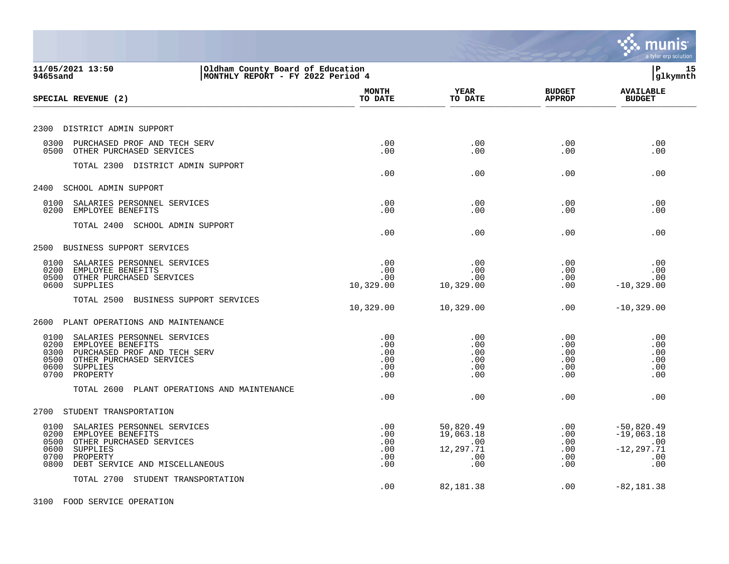|                                                                                                                                                                                        |                                        |                                                          |                                        | munis<br>a tyler erp solution                                      |
|----------------------------------------------------------------------------------------------------------------------------------------------------------------------------------------|----------------------------------------|----------------------------------------------------------|----------------------------------------|--------------------------------------------------------------------|
| 11/05/2021 13:50<br>Oldham County Board of Education<br>MONTHLY REPORT - FY 2022 Period 4<br>9465sand                                                                                  |                                        |                                                          |                                        | l P<br>15<br> glkymnth                                             |
| SPECIAL REVENUE (2)                                                                                                                                                                    | <b>MONTH</b><br>TO DATE                | <b>YEAR</b><br>TO DATE                                   | <b>BUDGET</b><br><b>APPROP</b>         | <b>AVAILABLE</b><br><b>BUDGET</b>                                  |
| 2300 DISTRICT ADMIN SUPPORT                                                                                                                                                            |                                        |                                                          |                                        |                                                                    |
| 0300<br>PURCHASED PROF AND TECH SERV<br>0500<br>OTHER PURCHASED SERVICES                                                                                                               | .00<br>.00                             | .00<br>.00                                               | .00<br>.00                             | .00<br>.00                                                         |
| TOTAL 2300 DISTRICT ADMIN SUPPORT                                                                                                                                                      | .00                                    | .00                                                      | .00                                    | .00                                                                |
| SCHOOL ADMIN SUPPORT<br>2400                                                                                                                                                           |                                        |                                                          |                                        |                                                                    |
| 0100<br>SALARIES PERSONNEL SERVICES<br>0200<br>EMPLOYEE BENEFITS                                                                                                                       | .00<br>.00                             | .00<br>.00                                               | .00<br>.00                             | .00<br>.00                                                         |
| TOTAL 2400 SCHOOL ADMIN SUPPORT                                                                                                                                                        | .00                                    | .00                                                      | .00                                    | .00                                                                |
| BUSINESS SUPPORT SERVICES<br>2500                                                                                                                                                      |                                        |                                                          |                                        |                                                                    |
| 0100<br>SALARIES PERSONNEL SERVICES<br>0200<br>EMPLOYEE BENEFITS<br>OTHER PURCHASED SERVICES<br>0500<br><b>SUPPLIES</b><br>0600                                                        | .00<br>.00<br>.00<br>10,329.00         | .00<br>.00<br>.00<br>10,329.00                           | .00<br>.00<br>.00<br>.00               | .00<br>.00<br>.00<br>$-10, 329.00$                                 |
| TOTAL 2500<br>BUSINESS SUPPORT SERVICES                                                                                                                                                | 10,329.00                              | 10,329.00                                                | .00                                    | $-10, 329.00$                                                      |
| PLANT OPERATIONS AND MAINTENANCE<br>2600                                                                                                                                               |                                        |                                                          |                                        |                                                                    |
| 0100<br>SALARIES PERSONNEL SERVICES<br>0200<br>EMPLOYEE BENEFITS<br>0300<br>PURCHASED PROF AND TECH SERV<br>OTHER PURCHASED SERVICES<br>0500<br>SUPPLIES<br>0600<br>0700<br>PROPERTY   | .00<br>.00<br>.00<br>.00<br>.00<br>.00 | .00<br>.00<br>.00<br>.00<br>.00<br>.00                   | .00<br>.00<br>.00<br>.00<br>.00<br>.00 | .00<br>.00<br>.00<br>.00<br>.00<br>.00                             |
| TOTAL 2600<br>PLANT OPERATIONS AND MAINTENANCE                                                                                                                                         | .00                                    | .00                                                      | .00                                    | .00                                                                |
| 2700<br>STUDENT TRANSPORTATION                                                                                                                                                         |                                        |                                                          |                                        |                                                                    |
| 0100<br>SALARIES PERSONNEL SERVICES<br>0200<br>EMPLOYEE BENEFITS<br>OTHER PURCHASED SERVICES<br>0500<br>0600<br>SUPPLIES<br>0700<br>PROPERTY<br>DEBT SERVICE AND MISCELLANEOUS<br>0800 | .00<br>.00<br>.00<br>.00<br>.00<br>.00 | 50,820.49<br>19,063.18<br>.00<br>12,297.71<br>.00<br>.00 | .00<br>.00<br>.00<br>.00<br>.00<br>.00 | $-50,820.49$<br>$-19,063.18$<br>.00<br>$-12, 297.71$<br>.00<br>.00 |
| TOTAL 2700 STUDENT TRANSPORTATION                                                                                                                                                      | .00                                    | 82,181.38                                                | .00                                    | $-82, 181.38$                                                      |
| 3100 FOOD SERVICE OPERATION                                                                                                                                                            |                                        |                                                          |                                        |                                                                    |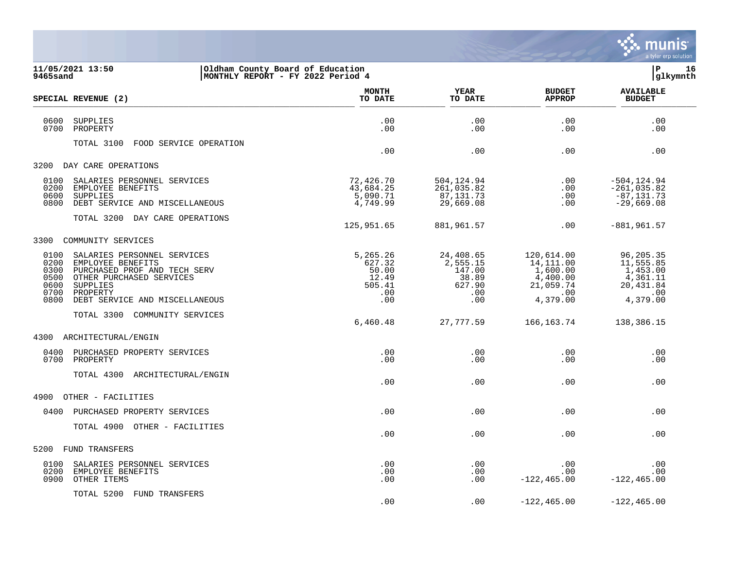

| 9465sand                                             | 11/05/2021 13:50<br>Oldham County Board of Education                                                                                                                   | MONTHLY REPORT - FY 2022 Period 4                            |                                                                  |                                                                                      | l P<br>16<br>glkymnth                                                               |
|------------------------------------------------------|------------------------------------------------------------------------------------------------------------------------------------------------------------------------|--------------------------------------------------------------|------------------------------------------------------------------|--------------------------------------------------------------------------------------|-------------------------------------------------------------------------------------|
|                                                      | SPECIAL REVENUE (2)                                                                                                                                                    | <b>MONTH</b><br>TO DATE                                      | <b>YEAR</b><br>TO DATE                                           | <b>BUDGET</b><br><b>APPROP</b>                                                       | <b>AVAILABLE</b><br><b>BUDGET</b>                                                   |
| 0600<br>0700                                         | SUPPLIES<br>PROPERTY                                                                                                                                                   | .00<br>.00                                                   | .00<br>.00                                                       | .00<br>.00                                                                           | .00<br>.00                                                                          |
|                                                      | TOTAL 3100<br>FOOD SERVICE OPERATION                                                                                                                                   | .00                                                          | .00                                                              | .00                                                                                  | .00                                                                                 |
| 3200                                                 | DAY CARE OPERATIONS                                                                                                                                                    |                                                              |                                                                  |                                                                                      |                                                                                     |
| 0100<br>0200<br>0600<br>0800                         | SALARIES PERSONNEL SERVICES<br>EMPLOYEE BENEFITS<br>SUPPLIES<br>DEBT SERVICE AND MISCELLANEOUS                                                                         | 72,426.70<br>43,684.25<br>5,090.71<br>4,749.99               | 504,124.94<br>261,035.82<br>87, 131. 73<br>29,669.08             | $.00 \,$<br>.00<br>.00<br>.00                                                        | $-504, 124.94$<br>$-261,035.82$<br>$-87, 131.73$<br>$-29,669.08$                    |
|                                                      | TOTAL 3200 DAY CARE OPERATIONS                                                                                                                                         | 125,951.65                                                   | 881,961.57                                                       | .00                                                                                  | $-881,961.57$                                                                       |
| 3300                                                 | COMMUNITY SERVICES                                                                                                                                                     |                                                              |                                                                  |                                                                                      |                                                                                     |
| 0100<br>0200<br>0300<br>0500<br>0600<br>0700<br>0800 | SALARIES PERSONNEL SERVICES<br>EMPLOYEE BENEFITS<br>PURCHASED PROF AND TECH SERV<br>OTHER PURCHASED SERVICES<br>SUPPLIES<br>PROPERTY<br>DEBT SERVICE AND MISCELLANEOUS | 5,265.26<br>627.32<br>50.00<br>12.49<br>505.41<br>.00<br>.00 | 24,408.65<br>2,555.15<br>147.00<br>38.89<br>627.90<br>.00<br>.00 | 120,614.00<br>14,111.00<br>1,600.00<br>4,400.00<br>21,059.74<br>$.00 \,$<br>4,379.00 | 96,205.35<br>11,555.85<br>1,453.00<br>4,361.11<br>20,431.84<br>$\,$ .00<br>4,379.00 |
|                                                      | TOTAL 3300 COMMUNITY SERVICES                                                                                                                                          | 6,460.48                                                     | 27,777.59                                                        | 166, 163.74                                                                          | 138,386.15                                                                          |
| 4300                                                 | ARCHITECTURAL/ENGIN                                                                                                                                                    |                                                              |                                                                  |                                                                                      |                                                                                     |
| 0400<br>0700                                         | PURCHASED PROPERTY SERVICES<br>PROPERTY                                                                                                                                | .00<br>.00                                                   | .00<br>.00                                                       | .00<br>.00                                                                           | .00<br>.00                                                                          |
|                                                      | TOTAL 4300 ARCHITECTURAL/ENGIN                                                                                                                                         | .00                                                          | .00                                                              | .00                                                                                  | .00                                                                                 |
| 4900                                                 | OTHER - FACILITIES                                                                                                                                                     |                                                              |                                                                  |                                                                                      |                                                                                     |
| 0400                                                 | PURCHASED PROPERTY SERVICES                                                                                                                                            | .00                                                          | .00                                                              | .00                                                                                  | .00                                                                                 |
|                                                      | TOTAL 4900 OTHER - FACILITIES                                                                                                                                          | .00                                                          | .00                                                              | .00                                                                                  | .00                                                                                 |
| 5200                                                 | FUND TRANSFERS                                                                                                                                                         |                                                              |                                                                  |                                                                                      |                                                                                     |
| 0100<br>0200<br>0900                                 | SALARIES PERSONNEL SERVICES<br>EMPLOYEE BENEFITS<br>OTHER ITEMS                                                                                                        | .00<br>.00<br>.00                                            | .00<br>.00<br>.00                                                | .00<br>.00<br>$-122, 465.00$                                                         | .00<br>.00<br>$-122, 465.00$                                                        |

.00 .00 -122,465.00 -122,465.00

TOTAL 5200 FUND TRANSFERS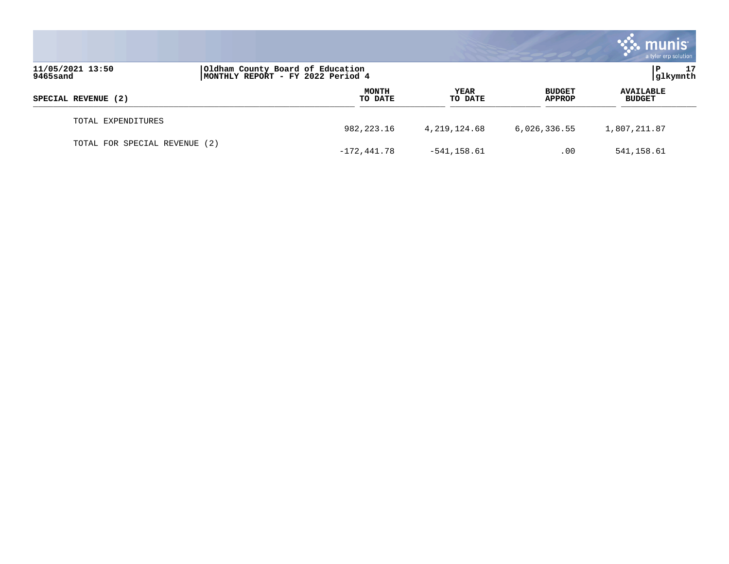|                                                                                                       |  |                         |                        |                         | <b>munis</b><br>a tyler erp solution |
|-------------------------------------------------------------------------------------------------------|--|-------------------------|------------------------|-------------------------|--------------------------------------|
| 11/05/2021 13:50<br>Oldham County Board of Education<br>MONTHLY REPORT - FY 2022 Period 4<br>9465sand |  |                         |                        |                         |                                      |
| SPECIAL REVENUE (2)                                                                                   |  | <b>MONTH</b><br>TO DATE | <b>YEAR</b><br>TO DATE | <b>BUDGET</b><br>APPROP | <b>AVAILABLE</b><br><b>BUDGET</b>    |
| TOTAL EXPENDITURES                                                                                    |  | 982, 223. 16            | 4,219,124.68           | 6,026,336.55            | 1,807,211.87                         |
| TOTAL FOR SPECIAL REVENUE (2)                                                                         |  | $-172, 441.78$          | $-541, 158.61$         | .00                     | 541,158.61                           |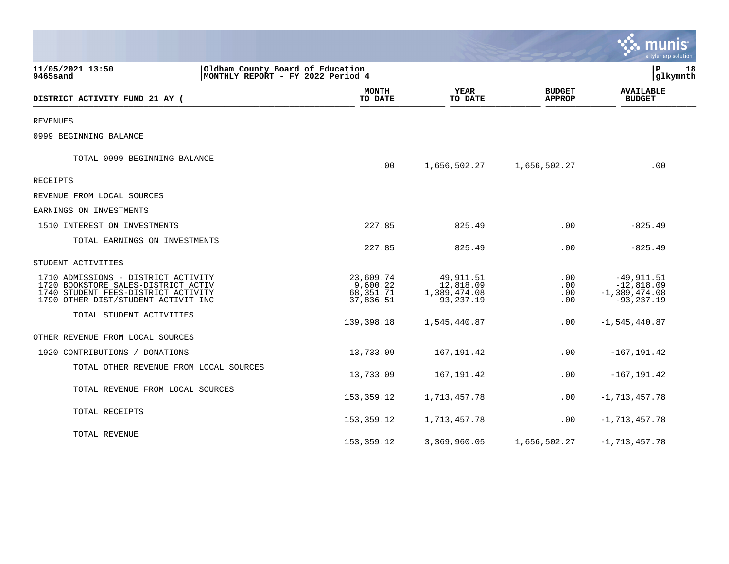|                                                                                                                                                          |                                                 |                                                     |                                | a tyler erp solution                                             |
|----------------------------------------------------------------------------------------------------------------------------------------------------------|-------------------------------------------------|-----------------------------------------------------|--------------------------------|------------------------------------------------------------------|
| 11/05/2021 13:50<br>Oldham County Board of Education<br>9465sand<br>MONTHLY REPORT - FY 2022 Period 4                                                    |                                                 | l P<br>18<br> glkymnth                              |                                |                                                                  |
| DISTRICT ACTIVITY FUND 21 AY (                                                                                                                           | <b>MONTH</b><br>TO DATE                         | <b>YEAR</b><br>TO DATE                              | <b>BUDGET</b><br><b>APPROP</b> | <b>AVAILABLE</b><br><b>BUDGET</b>                                |
| <b>REVENUES</b>                                                                                                                                          |                                                 |                                                     |                                |                                                                  |
| 0999 BEGINNING BALANCE                                                                                                                                   |                                                 |                                                     |                                |                                                                  |
| TOTAL 0999 BEGINNING BALANCE                                                                                                                             | .00                                             | 1,656,502.27                                        | 1,656,502.27                   | .00                                                              |
| RECEIPTS                                                                                                                                                 |                                                 |                                                     |                                |                                                                  |
| REVENUE FROM LOCAL SOURCES                                                                                                                               |                                                 |                                                     |                                |                                                                  |
| EARNINGS ON INVESTMENTS                                                                                                                                  |                                                 |                                                     |                                |                                                                  |
| 1510 INTEREST ON INVESTMENTS                                                                                                                             | 227.85                                          | 825.49                                              | .00                            | $-825.49$                                                        |
| TOTAL EARNINGS ON INVESTMENTS                                                                                                                            | 227.85                                          | 825.49                                              | .00                            | $-825.49$                                                        |
| STUDENT ACTIVITIES                                                                                                                                       |                                                 |                                                     |                                |                                                                  |
| 1710 ADMISSIONS - DISTRICT ACTIVITY<br>1720 BOOKSTORE SALES-DISTRICT ACTIV<br>1740 STUDENT FEES-DISTRICT ACTIVITY<br>1790 OTHER DIST/STUDENT ACTIVIT INC | 23,609.74<br>9,600.22<br>68,351.71<br>37,836.51 | 49,911.51<br>12,818.09<br>1,389,474.08<br>93,237.19 | .00<br>.00<br>$.00 \,$<br>.00  | $-49,911.51$<br>$-12,818.09$<br>$-1,389,474.08$<br>$-93, 237.19$ |
| TOTAL STUDENT ACTIVITIES                                                                                                                                 | 139,398.18                                      | 1,545,440.87                                        | $.00 \,$                       | $-1, 545, 440.87$                                                |
| OTHER REVENUE FROM LOCAL SOURCES                                                                                                                         |                                                 |                                                     |                                |                                                                  |
| 1920 CONTRIBUTIONS / DONATIONS                                                                                                                           | 13,733.09                                       | 167, 191.42                                         | .00                            | $-167, 191.42$                                                   |
| TOTAL OTHER REVENUE FROM LOCAL SOURCES                                                                                                                   | 13,733.09                                       | 167, 191.42                                         | .00                            | $-167, 191.42$                                                   |
| TOTAL REVENUE FROM LOCAL SOURCES                                                                                                                         | 153,359.12                                      | 1,713,457.78                                        | $.00 \,$                       | $-1, 713, 457.78$                                                |
| TOTAL RECEIPTS                                                                                                                                           | 153,359.12                                      | 1,713,457.78                                        | $.00 \,$                       | $-1,713,457.78$                                                  |
| TOTAL REVENUE                                                                                                                                            | 153,359.12                                      | 3,369,960.05                                        | 1,656,502.27                   | $-1,713,457.78$                                                  |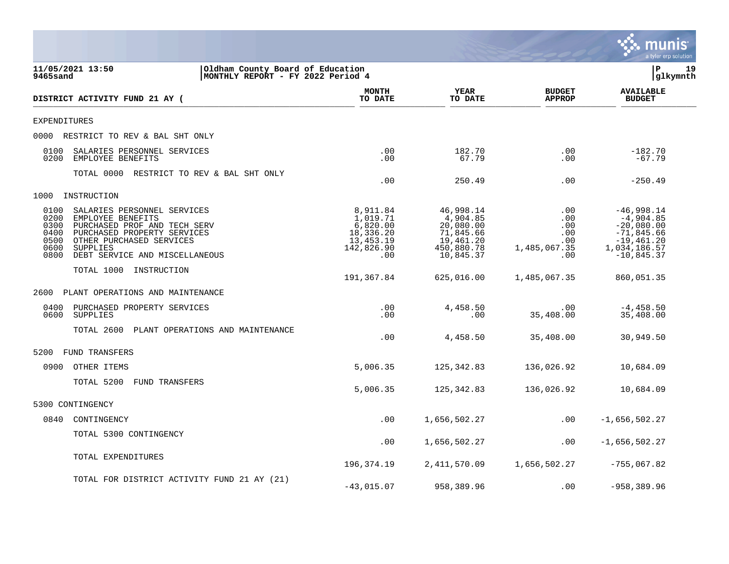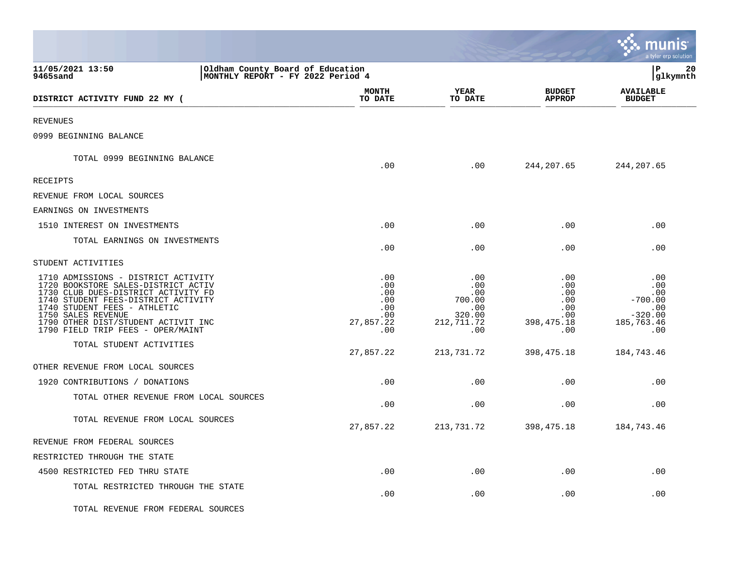|                                                                                                                                                                                                                                                                                            |                                                            |                                                                   |                                                                            | munis<br>a tyler erp solution                                           |
|--------------------------------------------------------------------------------------------------------------------------------------------------------------------------------------------------------------------------------------------------------------------------------------------|------------------------------------------------------------|-------------------------------------------------------------------|----------------------------------------------------------------------------|-------------------------------------------------------------------------|
| 11/05/2021 13:50<br>Oldham County Board of Education<br>9465sand<br>MONTHLY REPORT - FY 2022 Period 4                                                                                                                                                                                      |                                                            |                                                                   |                                                                            | l P<br>20<br> glkymnth                                                  |
| DISTRICT ACTIVITY FUND 22 MY (                                                                                                                                                                                                                                                             | <b>MONTH</b><br>TO DATE                                    | YEAR<br>TO DATE                                                   | <b>BUDGET</b><br><b>APPROP</b>                                             | <b>AVAILABLE</b><br><b>BUDGET</b>                                       |
| <b>REVENUES</b>                                                                                                                                                                                                                                                                            |                                                            |                                                                   |                                                                            |                                                                         |
| 0999 BEGINNING BALANCE                                                                                                                                                                                                                                                                     |                                                            |                                                                   |                                                                            |                                                                         |
| TOTAL 0999 BEGINNING BALANCE                                                                                                                                                                                                                                                               | .00                                                        | .00                                                               | 244,207.65                                                                 | 244,207.65                                                              |
| RECEIPTS                                                                                                                                                                                                                                                                                   |                                                            |                                                                   |                                                                            |                                                                         |
| REVENUE FROM LOCAL SOURCES                                                                                                                                                                                                                                                                 |                                                            |                                                                   |                                                                            |                                                                         |
| EARNINGS ON INVESTMENTS                                                                                                                                                                                                                                                                    |                                                            |                                                                   |                                                                            |                                                                         |
| 1510 INTEREST ON INVESTMENTS                                                                                                                                                                                                                                                               | .00                                                        | .00                                                               | .00                                                                        | .00                                                                     |
| TOTAL EARNINGS ON INVESTMENTS                                                                                                                                                                                                                                                              | .00                                                        | .00                                                               | .00                                                                        | .00                                                                     |
| STUDENT ACTIVITIES                                                                                                                                                                                                                                                                         |                                                            |                                                                   |                                                                            |                                                                         |
| 1710 ADMISSIONS - DISTRICT ACTIVITY<br>1720 BOOKSTORE SALES-DISTRICT ACTIV<br>1730 CLUB DUES-DISTRICT ACTIVITY FD<br>1740 STUDENT FEES-DISTRICT ACTIVITY<br>1740 STUDENT FEES - ATHLETIC<br>1750 SALES REVENUE<br>1790 OTHER DIST/STUDENT ACTIVIT INC<br>1790 FIELD TRIP FEES - OPER/MAINT | .00<br>.00<br>.00<br>.00<br>.00<br>.00<br>27,857.22<br>.00 | .00<br>.00<br>.00<br>700.00<br>.00<br>320.00<br>212,711.72<br>.00 | .00<br>.00<br>$.00 \ \rm$<br>.00<br>.00<br>$.00 \,$<br>398, 475. 18<br>.00 | .00<br>.00<br>.00<br>$-700.00$<br>.00<br>$-320.00$<br>185,763.46<br>.00 |
| TOTAL STUDENT ACTIVITIES                                                                                                                                                                                                                                                                   | 27,857.22                                                  | 213,731.72                                                        | 398, 475. 18                                                               | 184,743.46                                                              |
| OTHER REVENUE FROM LOCAL SOURCES                                                                                                                                                                                                                                                           |                                                            |                                                                   |                                                                            |                                                                         |
| 1920 CONTRIBUTIONS / DONATIONS                                                                                                                                                                                                                                                             | .00                                                        | .00                                                               | .00                                                                        | .00                                                                     |
| TOTAL OTHER REVENUE FROM LOCAL SOURCES                                                                                                                                                                                                                                                     | .00                                                        | .00                                                               | .00                                                                        | .00                                                                     |
| TOTAL REVENUE FROM LOCAL SOURCES                                                                                                                                                                                                                                                           | 27,857.22                                                  | 213,731.72                                                        | 398, 475. 18                                                               | 184,743.46                                                              |
| REVENUE FROM FEDERAL SOURCES                                                                                                                                                                                                                                                               |                                                            |                                                                   |                                                                            |                                                                         |
| RESTRICTED THROUGH THE STATE                                                                                                                                                                                                                                                               |                                                            |                                                                   |                                                                            |                                                                         |
| 4500 RESTRICTED FED THRU STATE                                                                                                                                                                                                                                                             | .00                                                        | .00                                                               | .00                                                                        | .00                                                                     |
| TOTAL RESTRICTED THROUGH THE STATE                                                                                                                                                                                                                                                         | .00                                                        | .00                                                               | $.00 \,$                                                                   | .00                                                                     |
| TOTAL REVENUE FROM FEDERAL SOURCES                                                                                                                                                                                                                                                         |                                                            |                                                                   |                                                                            |                                                                         |

 $\mathcal{L}$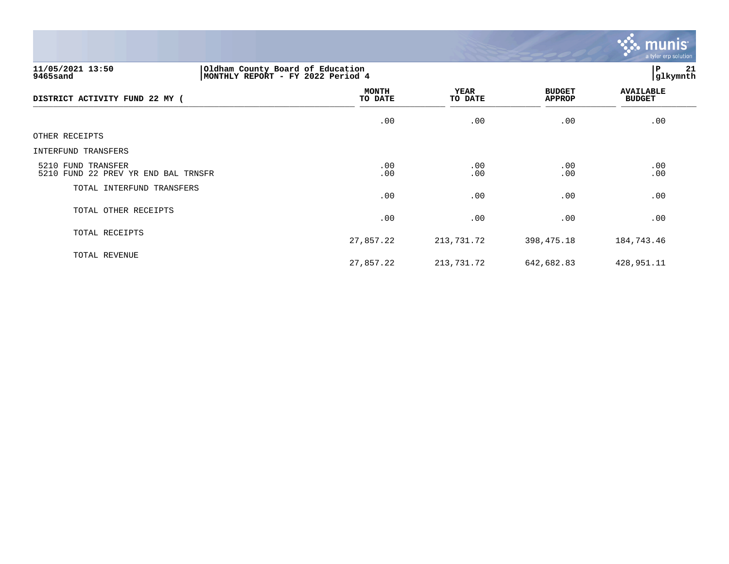

# **11/05/2021 13:50 |Oldham County Board of Education |P 21 9465sand |MONTHLY REPORT - FY 2022 Period 4 |glkymnth**

| DISTRICT ACTIVITY FUND 22 MY (                            | <b>MONTH</b><br>TO DATE | YEAR<br>TO DATE | <b>BUDGET</b><br>APPROP | <b>AVAILABLE</b><br><b>BUDGET</b> |
|-----------------------------------------------------------|-------------------------|-----------------|-------------------------|-----------------------------------|
|                                                           | .00                     | .00             | .00                     | .00                               |
| OTHER RECEIPTS                                            |                         |                 |                         |                                   |
| INTERFUND TRANSFERS                                       |                         |                 |                         |                                   |
| 5210 FUND TRANSFER<br>5210 FUND 22 PREV YR END BAL TRNSFR | .00<br>.00              | .00<br>.00      | .00<br>.00              | .00<br>.00                        |
| TOTAL INTERFUND TRANSFERS                                 | .00                     | .00             | .00                     | .00                               |
| TOTAL OTHER RECEIPTS                                      | .00                     | .00             | .00                     | .00                               |
| TOTAL RECEIPTS                                            | 27,857.22               | 213,731.72      | 398,475.18              | 184,743.46                        |
| TOTAL REVENUE                                             | 27,857.22               | 213,731.72      | 642,682.83              | 428,951.11                        |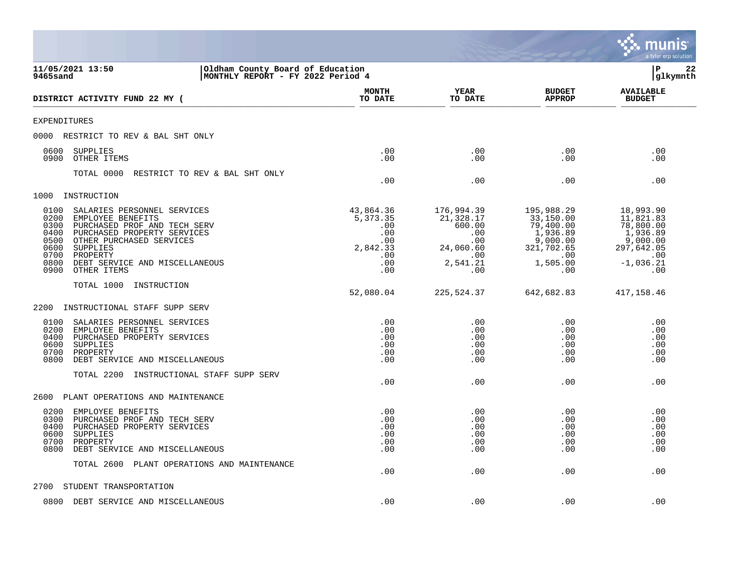|                                                                                                                                                                                                                                                                                              |                                                                             |                                                                                        |                                                                                                      | munis<br>a tyler erp solution                                                                          |
|----------------------------------------------------------------------------------------------------------------------------------------------------------------------------------------------------------------------------------------------------------------------------------------------|-----------------------------------------------------------------------------|----------------------------------------------------------------------------------------|------------------------------------------------------------------------------------------------------|--------------------------------------------------------------------------------------------------------|
| 11/05/2021 13:50<br>Oldham County Board of Education<br>9465sand<br>MONTHLY REPORT - FY 2022 Period 4                                                                                                                                                                                        |                                                                             |                                                                                        |                                                                                                      | ΙP<br>22<br>glkymnth                                                                                   |
| DISTRICT ACTIVITY FUND 22 MY (                                                                                                                                                                                                                                                               | <b>MONTH</b><br>TO DATE                                                     | YEAR<br>TO DATE                                                                        | <b>BUDGET</b><br><b>APPROP</b>                                                                       | <b>AVAILABLE</b><br><b>BUDGET</b>                                                                      |
| <b>EXPENDITURES</b>                                                                                                                                                                                                                                                                          |                                                                             |                                                                                        |                                                                                                      |                                                                                                        |
| RESTRICT TO REV & BAL SHT ONLY<br>0000                                                                                                                                                                                                                                                       |                                                                             |                                                                                        |                                                                                                      |                                                                                                        |
| 0600<br>SUPPLIES<br>OTHER ITEMS<br>0900                                                                                                                                                                                                                                                      | .00<br>.00                                                                  | .00<br>.00                                                                             | .00<br>.00                                                                                           | .00<br>.00                                                                                             |
| TOTAL 0000<br>RESTRICT TO REV & BAL SHT ONLY                                                                                                                                                                                                                                                 | .00                                                                         | .00                                                                                    | .00                                                                                                  | .00                                                                                                    |
| 1000<br>INSTRUCTION                                                                                                                                                                                                                                                                          |                                                                             |                                                                                        |                                                                                                      |                                                                                                        |
| 0100<br>SALARIES PERSONNEL SERVICES<br>0200<br>EMPLOYEE BENEFITS<br>0300<br>PURCHASED PROF AND TECH SERV<br>0400<br>PURCHASED PROPERTY SERVICES<br>0500<br>OTHER PURCHASED SERVICES<br>0600<br>SUPPLIES<br>0700<br>PROPERTY<br>0800<br>DEBT SERVICE AND MISCELLANEOUS<br>0900<br>OTHER ITEMS | 43,864.36<br>5,373.35<br>.00<br>.00<br>.00<br>2,842.33<br>.00<br>.00<br>.00 | 176,994.39<br>21,328.17<br>600.00<br>.00<br>.00<br>24,060.60<br>.00<br>2,541.21<br>.00 | 195,988.29<br>33,150.00<br>79,400.00<br>1,936.89<br>9,000.00<br>321,702.65<br>.00<br>1,505.00<br>.00 | 18,993.90<br>11,821.83<br>78,800.00<br>1,936.89<br>9,000.00<br>297,642.05<br>.00<br>$-1,036.21$<br>.00 |
| TOTAL 1000<br>INSTRUCTION                                                                                                                                                                                                                                                                    |                                                                             |                                                                                        |                                                                                                      |                                                                                                        |
|                                                                                                                                                                                                                                                                                              | 52,080.04                                                                   | 225,524.37                                                                             | 642,682.83                                                                                           | 417,158.46                                                                                             |
| 2200<br>INSTRUCTIONAL STAFF SUPP SERV                                                                                                                                                                                                                                                        |                                                                             |                                                                                        |                                                                                                      |                                                                                                        |
| SALARIES PERSONNEL SERVICES<br>0100<br>0200<br>EMPLOYEE BENEFITS<br>0400<br>PURCHASED PROPERTY SERVICES<br>0600<br>SUPPLIES<br>0700<br>PROPERTY<br>0800<br>DEBT SERVICE AND MISCELLANEOUS<br>TOTAL 2200<br>INSTRUCTIONAL STAFF SUPP SERV                                                     | .00<br>.00<br>.00<br>.00<br>.00<br>.00<br>.00                               | .00<br>.00<br>.00<br>.00<br>.00<br>.00<br>.00                                          | .00<br>.00<br>.00<br>.00<br>.00<br>.00<br>.00                                                        | .00<br>.00<br>.00<br>.00<br>.00<br>.00<br>.00                                                          |
|                                                                                                                                                                                                                                                                                              |                                                                             |                                                                                        |                                                                                                      |                                                                                                        |
| 2600<br>PLANT OPERATIONS AND MAINTENANCE<br>0200<br>EMPLOYEE BENEFITS<br>0300<br>PURCHASED PROF AND TECH SERV<br>PURCHASED PROPERTY SERVICES<br>0400<br>0600<br>SUPPLIES<br>0700<br>PROPERTY<br>0800<br>DEBT SERVICE AND MISCELLANEOUS<br>TOTAL 2600 PLANT OPERATIONS AND MAINTENANCE        | .00<br>.00<br>.00<br>.00<br>.00<br>.00<br>.00                               | .00<br>.00<br>.00<br>.00<br>.00<br>.00<br>.00                                          | .00<br>.00<br>.00<br>.00<br>.00<br>.00<br>.00                                                        | .00<br>.00<br>.00<br>.00<br>.00<br>.00<br>.00                                                          |
| STUDENT TRANSPORTATION<br>2700                                                                                                                                                                                                                                                               |                                                                             |                                                                                        |                                                                                                      |                                                                                                        |
| 0800 DEBT SERVICE AND MISCELLANEOUS                                                                                                                                                                                                                                                          | .00                                                                         | .00                                                                                    | .00                                                                                                  | .00                                                                                                    |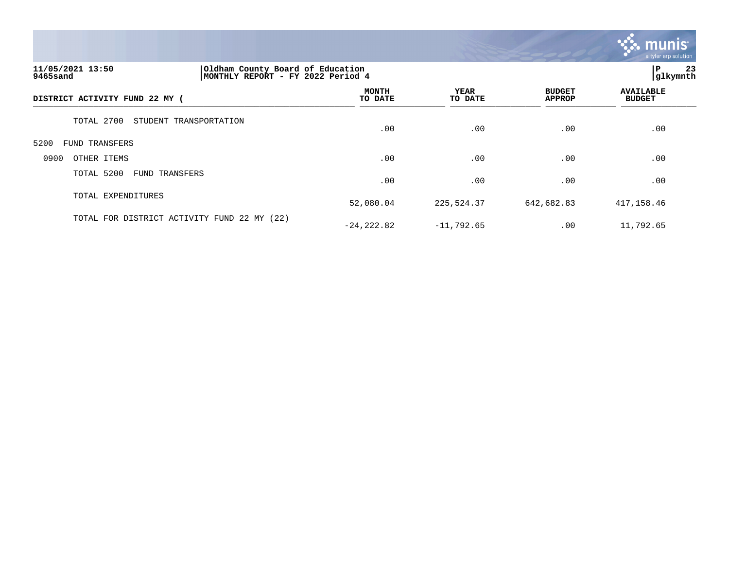

# **11/05/2021 13:50 |Oldham County Board of Education |P 23 9465sand |MONTHLY REPORT - FY 2022 Period 4 |glkymnth**

| DISTRICT ACTIVITY FUND 22 MY (              | <b>MONTH</b><br>TO DATE | YEAR<br>TO DATE | <b>BUDGET</b><br><b>APPROP</b> | <b>AVAILABLE</b><br><b>BUDGET</b> |  |
|---------------------------------------------|-------------------------|-----------------|--------------------------------|-----------------------------------|--|
| TOTAL 2700<br>STUDENT TRANSPORTATION        | .00                     | .00             | .00                            | .00                               |  |
| 5200<br>FUND TRANSFERS                      |                         |                 |                                |                                   |  |
| OTHER ITEMS<br>0900                         | .00                     | .00             | .00                            | .00                               |  |
| TOTAL 5200<br>FUND TRANSFERS                | .00                     | .00             | .00                            | .00                               |  |
| TOTAL EXPENDITURES                          | 52,080.04               | 225,524.37      | 642,682.83                     | 417,158.46                        |  |
| TOTAL FOR DISTRICT ACTIVITY FUND 22 MY (22) | $-24, 222.82$           | $-11,792.65$    | .00                            | 11,792.65                         |  |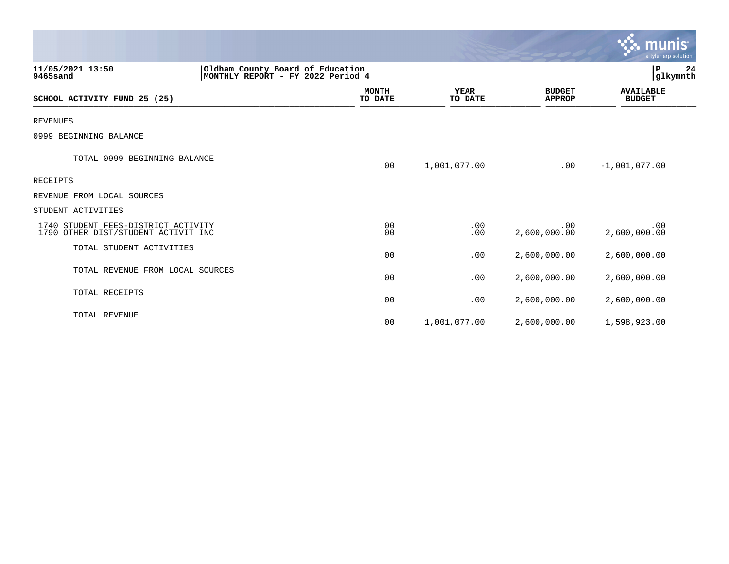|                                                                                                       |                         |                        |                                | munis<br>a tyler erp solution     |
|-------------------------------------------------------------------------------------------------------|-------------------------|------------------------|--------------------------------|-----------------------------------|
| 11/05/2021 13:50<br>Oldham County Board of Education<br>MONTHLY REPORT - FY 2022 Period 4<br>9465sand |                         |                        |                                | $\, {\bf P}$<br>24<br>glkymnth    |
| SCHOOL ACTIVITY FUND 25 (25)                                                                          | <b>MONTH</b><br>TO DATE | <b>YEAR</b><br>TO DATE | <b>BUDGET</b><br><b>APPROP</b> | <b>AVAILABLE</b><br><b>BUDGET</b> |
| <b>REVENUES</b>                                                                                       |                         |                        |                                |                                   |
| 0999 BEGINNING BALANCE                                                                                |                         |                        |                                |                                   |
| TOTAL 0999 BEGINNING BALANCE                                                                          | .00                     | 1,001,077.00           | .00                            | $-1,001,077.00$                   |
| <b>RECEIPTS</b>                                                                                       |                         |                        |                                |                                   |
| REVENUE FROM LOCAL SOURCES                                                                            |                         |                        |                                |                                   |
| STUDENT ACTIVITIES                                                                                    |                         |                        |                                |                                   |
| 1740 STUDENT FEES-DISTRICT ACTIVITY<br>1790 OTHER DIST/STUDENT ACTIVIT INC                            | .00<br>.00              | .00<br>.00             | .00<br>2,600,000.00            | .00<br>2,600,000.00               |
| TOTAL STUDENT ACTIVITIES                                                                              | .00                     | .00                    | 2,600,000.00                   | 2,600,000.00                      |
| TOTAL REVENUE FROM LOCAL SOURCES                                                                      | .00                     | .00                    | 2,600,000.00                   | 2,600,000.00                      |
| TOTAL RECEIPTS                                                                                        | .00                     | .00                    | 2,600,000.00                   | 2,600,000.00                      |
| TOTAL REVENUE                                                                                         | .00                     | 1,001,077.00           | 2,600,000.00                   | 1,598,923.00                      |

 $\bullet$ 

**College**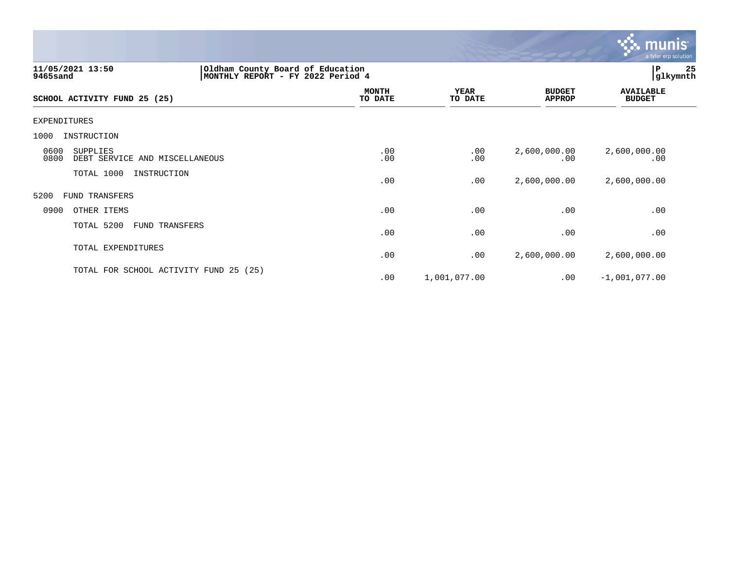

| 11/05/2021 13:50<br>9465sand                               | Oldham County Board of Education<br>MONTHLY REPORT - FY 2022 Period 4 |                         |                        |                                | P<br> glkymnth                    | 25 |
|------------------------------------------------------------|-----------------------------------------------------------------------|-------------------------|------------------------|--------------------------------|-----------------------------------|----|
| SCHOOL ACTIVITY FUND 25 (25)                               |                                                                       | <b>MONTH</b><br>TO DATE | <b>YEAR</b><br>TO DATE | <b>BUDGET</b><br><b>APPROP</b> | <b>AVAILABLE</b><br><b>BUDGET</b> |    |
| EXPENDITURES                                               |                                                                       |                         |                        |                                |                                   |    |
| 1000<br>INSTRUCTION                                        |                                                                       |                         |                        |                                |                                   |    |
| 0600<br>SUPPLIES<br>0800<br>DEBT SERVICE AND MISCELLANEOUS |                                                                       | .00<br>.00              | $.00 \,$<br>.00        | 2,600,000.00<br>.00            | 2,600,000.00<br>.00               |    |
| TOTAL 1000<br>INSTRUCTION                                  |                                                                       | .00                     | .00                    | 2,600,000.00                   | 2,600,000.00                      |    |
| 5200<br>FUND TRANSFERS                                     |                                                                       |                         |                        |                                |                                   |    |
| 0900<br>OTHER ITEMS                                        |                                                                       | .00                     | .00                    | .00                            | .00                               |    |
| TOTAL 5200<br>FUND TRANSFERS                               |                                                                       | .00                     | .00                    | .00                            | .00                               |    |
| TOTAL EXPENDITURES                                         |                                                                       | .00                     | .00                    | 2,600,000.00                   | 2,600,000.00                      |    |
| TOTAL FOR SCHOOL ACTIVITY FUND 25 (25)                     |                                                                       | .00                     | 1,001,077.00           | .00                            | $-1,001,077.00$                   |    |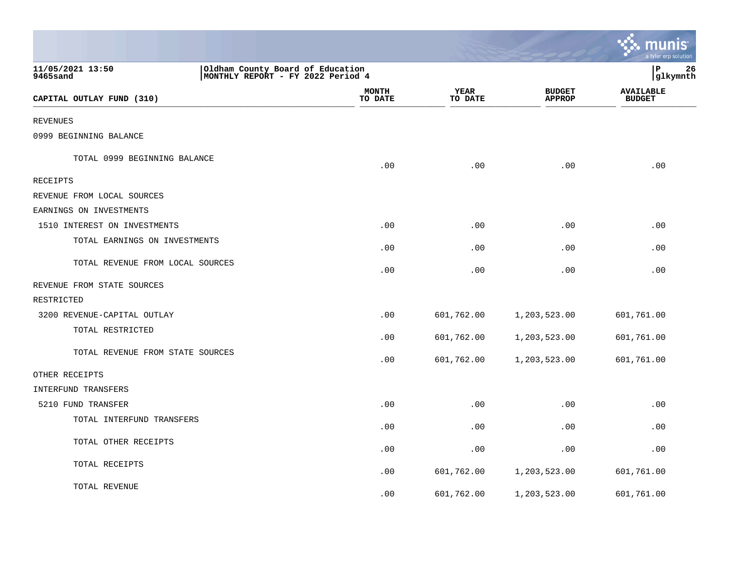|                                                                                                       |                         |                 |                                | munis<br>a tyler erp solution     |
|-------------------------------------------------------------------------------------------------------|-------------------------|-----------------|--------------------------------|-----------------------------------|
| 11/05/2021 13:50<br>Oldham County Board of Education<br>MONTHLY REPORT - FY 2022 Period 4<br>9465sand |                         |                 |                                | l P<br>26<br>glkymnth             |
| CAPITAL OUTLAY FUND (310)                                                                             | <b>MONTH</b><br>TO DATE | YEAR<br>TO DATE | <b>BUDGET</b><br><b>APPROP</b> | <b>AVAILABLE</b><br><b>BUDGET</b> |
| <b>REVENUES</b>                                                                                       |                         |                 |                                |                                   |
| 0999 BEGINNING BALANCE                                                                                |                         |                 |                                |                                   |
| TOTAL 0999 BEGINNING BALANCE                                                                          | .00                     | .00             | .00                            | .00                               |
| RECEIPTS                                                                                              |                         |                 |                                |                                   |
| REVENUE FROM LOCAL SOURCES                                                                            |                         |                 |                                |                                   |
| EARNINGS ON INVESTMENTS                                                                               |                         |                 |                                |                                   |
| 1510 INTEREST ON INVESTMENTS                                                                          | .00                     | .00             | .00                            | .00                               |
| TOTAL EARNINGS ON INVESTMENTS                                                                         | .00                     | .00             | .00                            | .00                               |
| TOTAL REVENUE FROM LOCAL SOURCES                                                                      | .00                     | .00             | .00                            | .00                               |
| REVENUE FROM STATE SOURCES                                                                            |                         |                 |                                |                                   |
| RESTRICTED                                                                                            |                         |                 |                                |                                   |
| 3200 REVENUE-CAPITAL OUTLAY                                                                           | .00                     | 601,762.00      | 1,203,523.00                   | 601,761.00                        |
| TOTAL RESTRICTED                                                                                      | .00                     | 601,762.00      | 1,203,523.00                   | 601,761.00                        |
| TOTAL REVENUE FROM STATE SOURCES                                                                      | .00                     | 601,762.00      | 1,203,523.00                   | 601,761.00                        |
| OTHER RECEIPTS                                                                                        |                         |                 |                                |                                   |
| INTERFUND TRANSFERS                                                                                   |                         |                 |                                |                                   |
| 5210 FUND TRANSFER                                                                                    | .00                     | .00             | .00                            | .00                               |
| TOTAL INTERFUND TRANSFERS                                                                             | .00                     | .00             | .00                            | .00                               |
| TOTAL OTHER RECEIPTS                                                                                  | .00                     | .00             | .00                            | .00                               |
| TOTAL RECEIPTS                                                                                        | .00                     | 601,762.00      | 1,203,523.00                   | 601,761.00                        |
| TOTAL REVENUE                                                                                         | .00                     | 601,762.00      | 1,203,523.00                   | 601,761.00                        |

the control of the state of the control of the control of the control of the control of the control of the control of the control of the control of the control of the control of the control of the control of the control of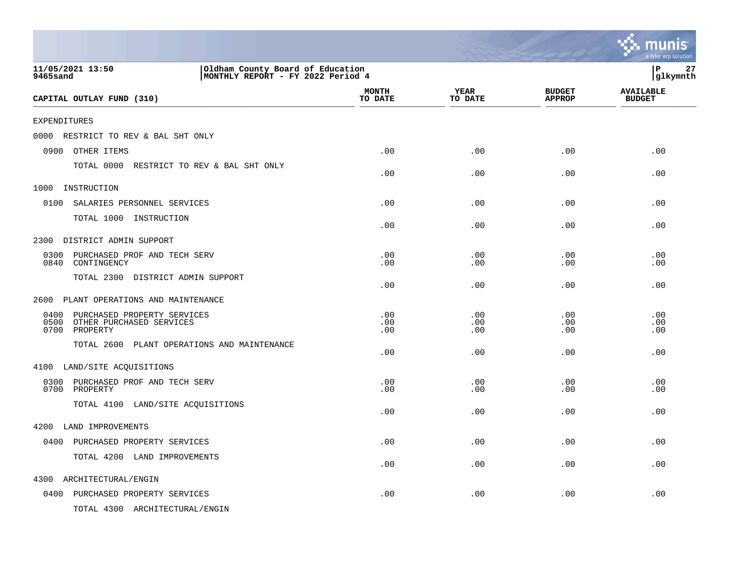|                                                                                                              |                         |                        |                                | munis<br>a tyler erp solution     |
|--------------------------------------------------------------------------------------------------------------|-------------------------|------------------------|--------------------------------|-----------------------------------|
| 11/05/2021 13:50<br>Oldham County Board of Education<br>MONTHLY REPORT - FY 2022 Period 4<br><b>9465sand</b> |                         |                        |                                | ${\bf P}$<br>27<br> glkymnth      |
| CAPITAL OUTLAY FUND (310)                                                                                    | <b>MONTH</b><br>TO DATE | <b>YEAR</b><br>TO DATE | <b>BUDGET</b><br><b>APPROP</b> | <b>AVAILABLE</b><br><b>BUDGET</b> |
| <b>EXPENDITURES</b>                                                                                          |                         |                        |                                |                                   |
| RESTRICT TO REV & BAL SHT ONLY<br>0000                                                                       |                         |                        |                                |                                   |
| 0900<br>OTHER ITEMS                                                                                          | .00                     | .00                    | .00                            | .00                               |
| TOTAL 0000 RESTRICT TO REV & BAL SHT ONLY                                                                    | .00                     | .00                    | .00                            | .00                               |
| 1000<br>INSTRUCTION                                                                                          |                         |                        |                                |                                   |
| 0100<br>SALARIES PERSONNEL SERVICES                                                                          | .00                     | .00                    | .00                            | .00                               |
| TOTAL 1000 INSTRUCTION                                                                                       | .00                     | .00                    | .00                            | .00                               |
| DISTRICT ADMIN SUPPORT<br>2300                                                                               |                         |                        |                                |                                   |
| 0300<br>PURCHASED PROF AND TECH SERV<br>0840<br>CONTINGENCY                                                  | .00<br>.00              | .00<br>.00             | .00<br>.00                     | .00<br>.00                        |
| TOTAL 2300 DISTRICT ADMIN SUPPORT                                                                            | .00                     | .00                    | .00                            | .00                               |
| PLANT OPERATIONS AND MAINTENANCE<br>2600                                                                     |                         |                        |                                |                                   |
| PURCHASED PROPERTY SERVICES<br>0400<br>0500 OTHER PURCHASED SERVICES<br>0700 PROPERTY                        | .00<br>.00<br>.00       | .00<br>.00<br>.00      | .00<br>.00<br>.00              | .00<br>.00<br>.00                 |
| TOTAL 2600 PLANT OPERATIONS AND MAINTENANCE                                                                  | .00                     | .00                    | .00                            | .00                               |
| 4100 LAND/SITE ACQUISITIONS                                                                                  |                         |                        |                                |                                   |
| 0300 PURCHASED PROF AND TECH SERV<br>0700 PROPERTY                                                           | .00<br>.00              | .00<br>.00             | .00<br>.00                     | .00<br>.00                        |
| TOTAL 4100 LAND/SITE ACQUISITIONS                                                                            | .00                     | .00                    | .00                            | .00                               |
| 4200 LAND IMPROVEMENTS                                                                                       |                         |                        |                                |                                   |
| 0400 PURCHASED PROPERTY SERVICES                                                                             | .00                     | .00                    | .00                            | .00                               |
| TOTAL 4200 LAND IMPROVEMENTS                                                                                 | .00                     | .00                    | .00                            | .00                               |
| 4300<br>ARCHITECTURAL/ENGIN                                                                                  |                         |                        |                                |                                   |
| 0400 PURCHASED PROPERTY SERVICES                                                                             | .00                     | .00                    | .00                            | .00                               |
| TOTAL 4300 ARCHITECTURAL/ENGIN                                                                               |                         |                        |                                |                                   |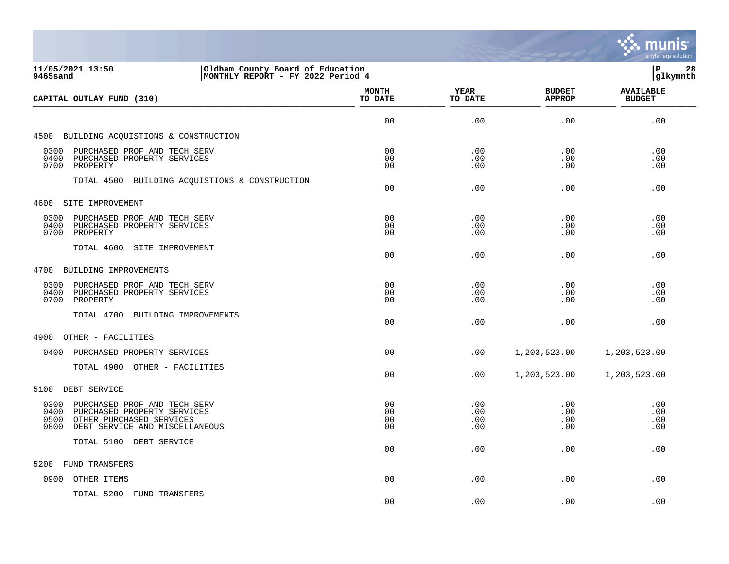

| 11/05/2021 13:50<br>Oldham County Board of Education<br>9465sand<br>MONTHLY REPORT - FY 2022 Period 4                                                     |                          |                          |                                | lР<br>28<br> glkymnth             |
|-----------------------------------------------------------------------------------------------------------------------------------------------------------|--------------------------|--------------------------|--------------------------------|-----------------------------------|
| CAPITAL OUTLAY FUND (310)                                                                                                                                 | <b>MONTH</b><br>TO DATE  | <b>YEAR</b><br>TO DATE   | <b>BUDGET</b><br><b>APPROP</b> | <b>AVAILABLE</b><br><b>BUDGET</b> |
|                                                                                                                                                           | .00                      | .00                      | .00                            | .00                               |
| 4500 BUILDING ACQUISTIONS & CONSTRUCTION                                                                                                                  |                          |                          |                                |                                   |
| 0300<br>PURCHASED PROF AND TECH SERV<br>0400<br>PURCHASED PROPERTY SERVICES<br>0700<br>PROPERTY                                                           | .00<br>.00<br>.00        | .00<br>.00<br>.00        | .00<br>.00<br>.00              | .00<br>.00<br>.00                 |
| TOTAL 4500 BUILDING ACQUISTIONS & CONSTRUCTION                                                                                                            | .00                      | .00                      | .00                            | .00                               |
| 4600 SITE IMPROVEMENT                                                                                                                                     |                          |                          |                                |                                   |
| 0300<br>PURCHASED PROF AND TECH SERV<br>0400<br>PURCHASED PROPERTY SERVICES<br>0700<br>PROPERTY                                                           | .00<br>.00<br>.00        | .00<br>.00<br>.00        | .00<br>.00<br>.00              | .00<br>.00<br>.00                 |
| TOTAL 4600<br>SITE IMPROVEMENT                                                                                                                            | .00                      | .00                      | .00                            | .00                               |
| 4700 BUILDING IMPROVEMENTS                                                                                                                                |                          |                          |                                |                                   |
| 0300<br>PURCHASED PROF AND TECH SERV<br>0400<br>PURCHASED PROPERTY SERVICES<br>PROPERTY<br>0700                                                           | .00<br>.00<br>.00        | .00<br>.00<br>.00        | .00<br>.00<br>.00              | .00<br>.00<br>.00                 |
| TOTAL 4700 BUILDING IMPROVEMENTS                                                                                                                          | .00                      | .00                      | .00                            | .00                               |
| 4900<br>OTHER - FACILITIES                                                                                                                                |                          |                          |                                |                                   |
| 0400<br>PURCHASED PROPERTY SERVICES                                                                                                                       | .00                      | .00                      | 1,203,523.00                   | 1,203,523.00                      |
| TOTAL 4900 OTHER - FACILITIES                                                                                                                             | .00                      | $.00 \,$                 | 1,203,523.00                   | 1,203,523.00                      |
| DEBT SERVICE<br>5100                                                                                                                                      |                          |                          |                                |                                   |
| 0300<br>PURCHASED PROF AND TECH SERV<br>0400<br>PURCHASED PROPERTY SERVICES<br>0500<br>OTHER PURCHASED SERVICES<br>0800<br>DEBT SERVICE AND MISCELLANEOUS | .00<br>.00<br>.00<br>.00 | .00<br>.00<br>.00<br>.00 | .00<br>.00<br>.00<br>.00       | .00<br>.00<br>.00<br>.00          |
| TOTAL 5100 DEBT SERVICE                                                                                                                                   | .00                      | .00                      | .00                            | .00                               |
| FUND TRANSFERS<br>5200                                                                                                                                    |                          |                          |                                |                                   |
| OTHER ITEMS<br>0900                                                                                                                                       | .00                      | .00                      | .00                            | .00                               |
| TOTAL 5200 FUND TRANSFERS                                                                                                                                 | .00                      | .00                      | .00                            | .00                               |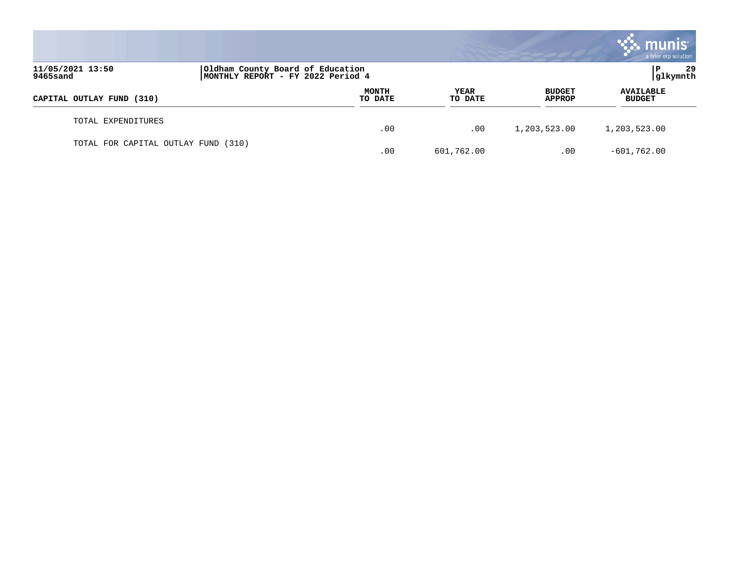|                                     |                                                                       |                  |                 |                                | <b>munis</b><br>a tyler erp solution |
|-------------------------------------|-----------------------------------------------------------------------|------------------|-----------------|--------------------------------|--------------------------------------|
| 11/05/2021 13:50<br>9465sand        | Oldham County Board of Education<br>MONTHLY REPORT - FY 2022 Period 4 |                  |                 |                                | 29<br>P<br> glkymnth                 |
| CAPITAL OUTLAY FUND (310)           |                                                                       | MONTH<br>TO DATE | YEAR<br>TO DATE | <b>BUDGET</b><br><b>APPROP</b> | <b>AVAILABLE</b><br><b>BUDGET</b>    |
| TOTAL EXPENDITURES                  |                                                                       | .00              | .00             | 1,203,523.00                   | 1,203,523.00                         |
| TOTAL FOR CAPITAL OUTLAY FUND (310) |                                                                       | .00              | 601,762.00      | .00                            | $-601,762.00$                        |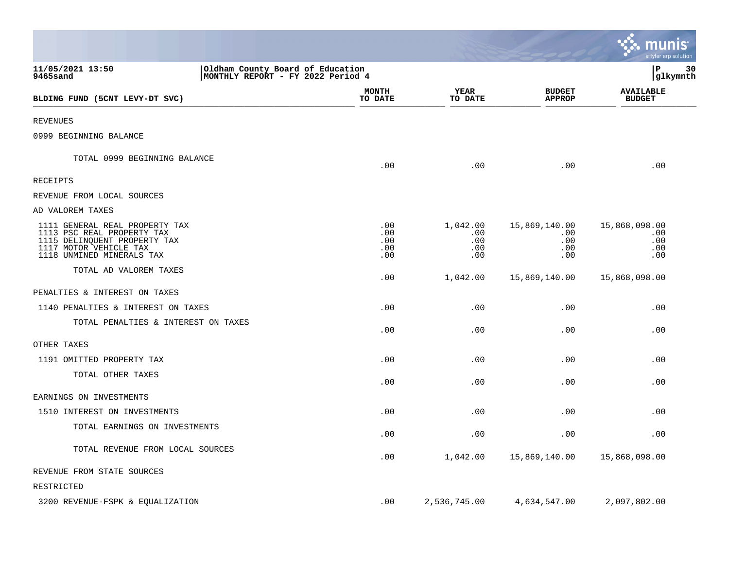|                                                                                                                                                     |                                                                       |                                 |                                      |                                           | munis<br>a tyler erp solution             |
|-----------------------------------------------------------------------------------------------------------------------------------------------------|-----------------------------------------------------------------------|---------------------------------|--------------------------------------|-------------------------------------------|-------------------------------------------|
| 11/05/2021 13:50<br>9465sand                                                                                                                        | Oldham County Board of Education<br>MONTHLY REPORT - FY 2022 Period 4 |                                 |                                      |                                           | P<br>30<br> glkymnth                      |
| BLDING FUND (5CNT LEVY-DT SVC)                                                                                                                      |                                                                       | <b>MONTH</b><br>TO DATE         | <b>YEAR</b><br>TO DATE               | <b>BUDGET</b><br><b>APPROP</b>            | <b>AVAILABLE</b><br><b>BUDGET</b>         |
| <b>REVENUES</b>                                                                                                                                     |                                                                       |                                 |                                      |                                           |                                           |
| 0999 BEGINNING BALANCE                                                                                                                              |                                                                       |                                 |                                      |                                           |                                           |
| TOTAL 0999 BEGINNING BALANCE                                                                                                                        |                                                                       | .00                             | .00                                  | .00                                       | .00                                       |
| RECEIPTS                                                                                                                                            |                                                                       |                                 |                                      |                                           |                                           |
| REVENUE FROM LOCAL SOURCES                                                                                                                          |                                                                       |                                 |                                      |                                           |                                           |
| AD VALOREM TAXES                                                                                                                                    |                                                                       |                                 |                                      |                                           |                                           |
| 1111 GENERAL REAL PROPERTY TAX<br>1113 PSC REAL PROPERTY TAX<br>1115 DELINQUENT PROPERTY TAX<br>1117 MOTOR VEHICLE TAX<br>1118 UNMINED MINERALS TAX |                                                                       | .00<br>.00<br>.00<br>.00<br>.00 | 1,042.00<br>.00<br>.00<br>.00<br>.00 | 15,869,140.00<br>.00<br>.00<br>.00<br>.00 | 15,868,098.00<br>.00<br>.00<br>.00<br>.00 |
| TOTAL AD VALOREM TAXES                                                                                                                              |                                                                       | .00                             | 1,042.00                             | 15,869,140.00                             | 15,868,098.00                             |
| PENALTIES & INTEREST ON TAXES                                                                                                                       |                                                                       |                                 |                                      |                                           |                                           |
| 1140 PENALTIES & INTEREST ON TAXES                                                                                                                  |                                                                       | .00                             | .00                                  | .00                                       | .00                                       |
| TOTAL PENALTIES & INTEREST ON TAXES                                                                                                                 |                                                                       | .00                             | .00                                  | .00                                       | .00                                       |
| OTHER TAXES                                                                                                                                         |                                                                       |                                 |                                      |                                           |                                           |
| 1191 OMITTED PROPERTY TAX                                                                                                                           |                                                                       | .00                             | .00                                  | .00                                       | .00                                       |
| TOTAL OTHER TAXES                                                                                                                                   |                                                                       | .00                             | .00                                  | .00                                       | .00                                       |
| EARNINGS ON INVESTMENTS                                                                                                                             |                                                                       |                                 |                                      |                                           |                                           |
| 1510 INTEREST ON INVESTMENTS                                                                                                                        |                                                                       | .00                             | .00                                  | .00                                       | .00                                       |
| TOTAL EARNINGS ON INVESTMENTS                                                                                                                       |                                                                       | .00                             | .00                                  | .00                                       | .00                                       |
| TOTAL REVENUE FROM LOCAL SOURCES                                                                                                                    |                                                                       | .00                             | 1,042.00                             | 15,869,140.00                             | 15,868,098.00                             |
| REVENUE FROM STATE SOURCES                                                                                                                          |                                                                       |                                 |                                      |                                           |                                           |
| RESTRICTED                                                                                                                                          |                                                                       |                                 |                                      |                                           |                                           |
| 3200 REVENUE-FSPK & EQUALIZATION                                                                                                                    |                                                                       | .00                             | 2,536,745.00                         | 4,634,547.00                              | 2,097,802.00                              |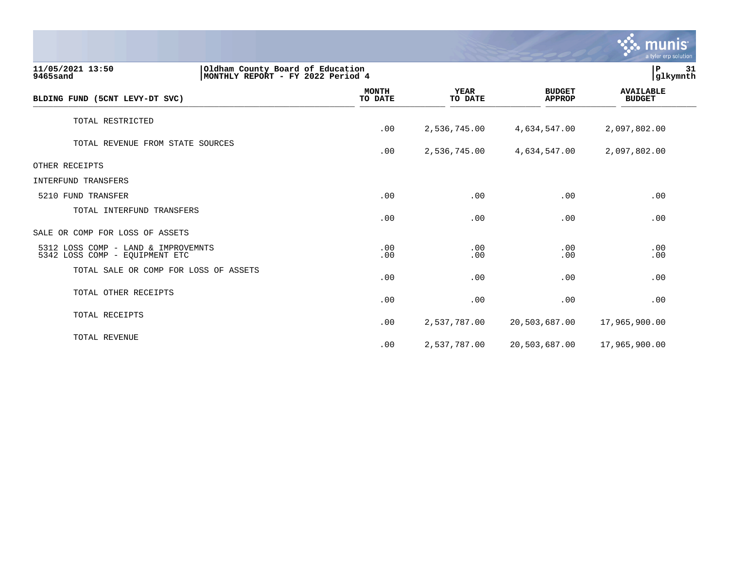|                                                                                                       |                         |                        |                                | munis<br>a tyler erp solution     |    |
|-------------------------------------------------------------------------------------------------------|-------------------------|------------------------|--------------------------------|-----------------------------------|----|
| 11/05/2021 13:50<br>Oldham County Board of Education<br>MONTHLY REPORT - FY 2022 Period 4<br>9465sand |                         |                        |                                | P<br>glkymnth                     | 31 |
| BLDING FUND (5CNT LEVY-DT SVC)                                                                        | <b>MONTH</b><br>TO DATE | <b>YEAR</b><br>TO DATE | <b>BUDGET</b><br><b>APPROP</b> | <b>AVAILABLE</b><br><b>BUDGET</b> |    |
| TOTAL RESTRICTED                                                                                      | .00                     | 2,536,745.00           | 4,634,547.00                   | 2,097,802.00                      |    |
| TOTAL REVENUE FROM STATE SOURCES                                                                      | .00                     | 2,536,745.00           | 4,634,547.00                   | 2,097,802.00                      |    |
| OTHER RECEIPTS                                                                                        |                         |                        |                                |                                   |    |
| <b>INTERFUND TRANSFERS</b>                                                                            |                         |                        |                                |                                   |    |
| 5210 FUND TRANSFER                                                                                    | .00                     | .00                    | .00                            | .00                               |    |
| TOTAL INTERFUND TRANSFERS                                                                             | .00                     | .00                    | .00                            | .00                               |    |
| SALE OR COMP FOR LOSS OF ASSETS                                                                       |                         |                        |                                |                                   |    |
| 5312 LOSS COMP - LAND & IMPROVEMNTS<br>5342 LOSS COMP - EQUIPMENT ETC                                 | .00<br>.00              | .00<br>.00             | .00<br>.00                     | .00<br>.00                        |    |
| TOTAL SALE OR COMP FOR LOSS OF ASSETS                                                                 | .00                     | .00                    | .00                            | .00                               |    |
| TOTAL OTHER RECEIPTS                                                                                  | .00                     | .00                    | .00                            | .00                               |    |
| TOTAL RECEIPTS                                                                                        | .00                     | 2,537,787.00           | 20,503,687.00                  | 17,965,900.00                     |    |
| TOTAL REVENUE                                                                                         | .00                     | 2,537,787.00           | 20,503,687.00                  | 17,965,900.00                     |    |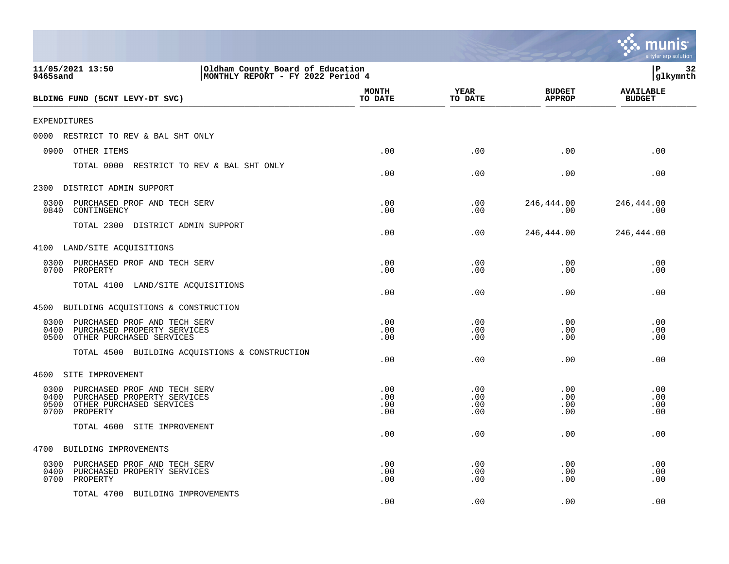|                                                                                                                                     |                                                                       |                          |                          |                                | a tyler erp solution              |
|-------------------------------------------------------------------------------------------------------------------------------------|-----------------------------------------------------------------------|--------------------------|--------------------------|--------------------------------|-----------------------------------|
| 11/05/2021 13:50<br>9465sand                                                                                                        | Oldham County Board of Education<br>MONTHLY REPORT - FY 2022 Period 4 |                          |                          |                                | ΙP<br>32<br>glkymnth              |
| BLDING FUND (5CNT LEVY-DT SVC)                                                                                                      |                                                                       | <b>MONTH</b><br>TO DATE  | <b>YEAR</b><br>TO DATE   | <b>BUDGET</b><br><b>APPROP</b> | <b>AVAILABLE</b><br><b>BUDGET</b> |
| <b>EXPENDITURES</b>                                                                                                                 |                                                                       |                          |                          |                                |                                   |
| 0000 RESTRICT TO REV & BAL SHT ONLY                                                                                                 |                                                                       |                          |                          |                                |                                   |
| 0900<br>OTHER ITEMS                                                                                                                 |                                                                       | .00                      | .00                      | .00                            | .00                               |
| TOTAL 0000                                                                                                                          | RESTRICT TO REV & BAL SHT ONLY                                        | .00                      | .00                      | .00                            | .00                               |
| 2300<br>DISTRICT ADMIN SUPPORT                                                                                                      |                                                                       |                          |                          |                                |                                   |
| PURCHASED PROF AND TECH SERV<br>0300<br>0840<br>CONTINGENCY                                                                         |                                                                       | .00<br>.00               | .00<br>.00               | 246,444.00<br>.00              | 246,444.00<br>.00                 |
| TOTAL 2300 DISTRICT ADMIN SUPPORT                                                                                                   |                                                                       | .00                      | .00                      | 246, 444.00                    | 246,444.00                        |
| 4100 LAND/SITE ACQUISITIONS                                                                                                         |                                                                       |                          |                          |                                |                                   |
| PURCHASED PROF AND TECH SERV<br>0300<br>0700<br>PROPERTY                                                                            |                                                                       | .00<br>.00               | .00<br>.00               | .00<br>.00                     | .00<br>.00                        |
| TOTAL 4100<br>LAND/SITE ACQUISITIONS                                                                                                |                                                                       | .00                      | .00                      | .00                            | .00                               |
| BUILDING ACQUISTIONS & CONSTRUCTION<br>4500                                                                                         |                                                                       |                          |                          |                                |                                   |
| 0300<br>PURCHASED PROF AND TECH SERV<br>0400<br>PURCHASED PROPERTY SERVICES<br>0500<br>OTHER PURCHASED SERVICES                     |                                                                       | .00<br>.00<br>.00        | .00<br>.00<br>.00        | .00<br>.00<br>.00              | .00<br>.00<br>.00                 |
| TOTAL 4500                                                                                                                          | BUILDING ACQUISTIONS & CONSTRUCTION                                   | .00                      | .00                      | .00                            | .00                               |
| SITE IMPROVEMENT<br>4600                                                                                                            |                                                                       |                          |                          |                                |                                   |
| 0300<br>PURCHASED PROF AND TECH SERV<br>0400<br>PURCHASED PROPERTY SERVICES<br>0500<br>OTHER PURCHASED SERVICES<br>0700<br>PROPERTY |                                                                       | .00<br>.00<br>.00<br>.00 | .00<br>.00<br>.00<br>.00 | .00<br>.00<br>.00<br>.00       | .00<br>.00<br>.00<br>.00          |
| TOTAL 4600<br>SITE IMPROVEMENT                                                                                                      |                                                                       | .00                      | .00                      | .00                            | .00                               |
| 4700<br>BUILDING IMPROVEMENTS                                                                                                       |                                                                       |                          |                          |                                |                                   |
| PURCHASED PROF AND TECH SERV<br>0300<br>0400<br>PURCHASED PROPERTY SERVICES<br>0700<br>PROPERTY                                     |                                                                       | .00<br>.00<br>.00        | .00<br>.00<br>.00        | .00<br>.00<br>.00              | .00<br>.00<br>.00                 |
| TOTAL 4700<br>BUILDING IMPROVEMENTS                                                                                                 |                                                                       | .00                      | .00                      | .00                            | .00                               |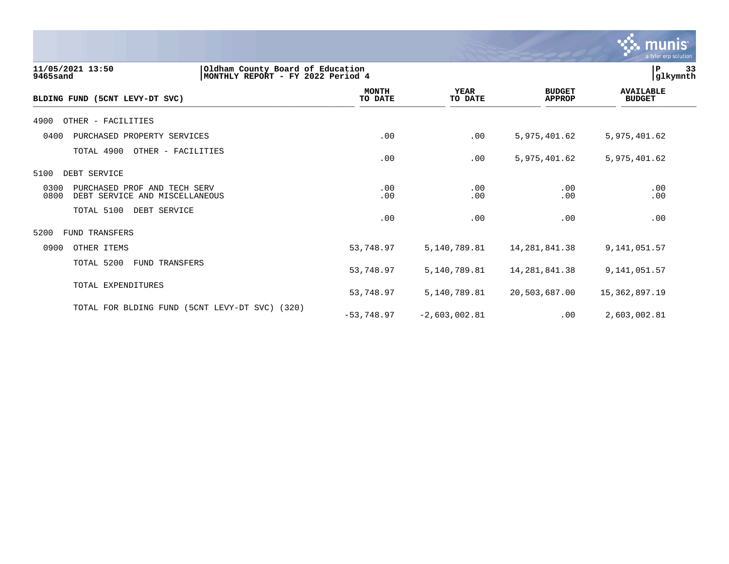

| 11/05/2021 13:50<br>9465sand                                                   | Oldham County Board of Education<br>MONTHLY REPORT - FY 2022 Period 4 |                          |                                |                                   |
|--------------------------------------------------------------------------------|-----------------------------------------------------------------------|--------------------------|--------------------------------|-----------------------------------|
| (5CNT LEVY-DT SVC)<br><b>BLDING FUND</b>                                       | <b>MONTH</b><br>TO DATE                                               | <b>YEAR</b><br>TO DATE   | <b>BUDGET</b><br><b>APPROP</b> | <b>AVAILABLE</b><br><b>BUDGET</b> |
| 4900<br>OTHER - FACILITIES                                                     |                                                                       |                          |                                |                                   |
| 0400<br>PURCHASED PROPERTY SERVICES                                            |                                                                       | .00<br>.00               | 5,975,401.62                   | 5,975,401.62                      |
| TOTAL 4900<br>OTHER - FACILITIES                                               |                                                                       | .00<br>.00               | 5,975,401.62                   | 5,975,401.62                      |
| 5100<br>DEBT SERVICE                                                           |                                                                       |                          |                                |                                   |
| 0300<br>PURCHASED PROF AND TECH SERV<br>0800<br>DEBT SERVICE AND MISCELLANEOUS |                                                                       | .00<br>.00<br>.00<br>.00 | .00<br>.00                     | .00<br>.00                        |
| TOTAL 5100<br>DEBT SERVICE                                                     |                                                                       | .00<br>.00               | .00                            | .00                               |
| 5200<br><b>FUND TRANSFERS</b>                                                  |                                                                       |                          |                                |                                   |
| 0900<br>OTHER ITEMS                                                            | 53,748.97                                                             | 5,140,789.81             | 14, 281, 841.38                | 9,141,051.57                      |
| TOTAL 5200<br><b>FUND TRANSFERS</b>                                            | 53,748.97                                                             | 5,140,789.81             | 14, 281, 841.38                | 9,141,051.57                      |
| TOTAL EXPENDITURES                                                             | 53,748.97                                                             | 5,140,789.81             | 20,503,687.00                  | 15,362,897.19                     |
| TOTAL FOR BLDING FUND (5CNT LEVY-DT SVC) (320)                                 | $-53,748.97$                                                          | $-2,603,002.81$          | .00                            | 2,603,002.81                      |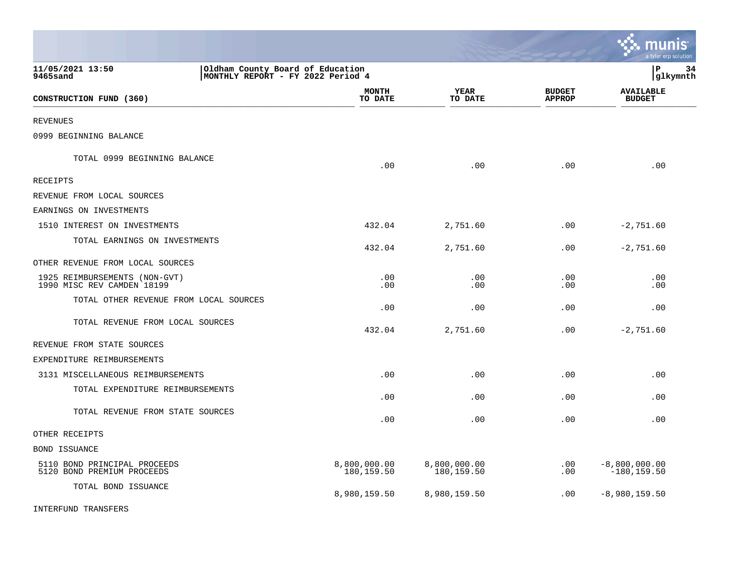|                                                                                                       |                            |                            |                                | munis<br>a tyler erp solution     |
|-------------------------------------------------------------------------------------------------------|----------------------------|----------------------------|--------------------------------|-----------------------------------|
| 11/05/2021 13:50<br>Oldham County Board of Education<br>9465sand<br>MONTHLY REPORT - FY 2022 Period 4 |                            |                            |                                | l P<br>34<br> glkymnth            |
| CONSTRUCTION FUND (360)                                                                               | <b>MONTH</b><br>TO DATE    | <b>YEAR</b><br>TO DATE     | <b>BUDGET</b><br><b>APPROP</b> | <b>AVAILABLE</b><br><b>BUDGET</b> |
| <b>REVENUES</b>                                                                                       |                            |                            |                                |                                   |
| 0999 BEGINNING BALANCE                                                                                |                            |                            |                                |                                   |
| TOTAL 0999 BEGINNING BALANCE                                                                          | .00                        | .00                        | .00                            | .00                               |
| <b>RECEIPTS</b>                                                                                       |                            |                            |                                |                                   |
| REVENUE FROM LOCAL SOURCES                                                                            |                            |                            |                                |                                   |
| EARNINGS ON INVESTMENTS                                                                               |                            |                            |                                |                                   |
| 1510 INTEREST ON INVESTMENTS                                                                          | 432.04                     | 2,751.60                   | .00                            | $-2,751.60$                       |
| TOTAL EARNINGS ON INVESTMENTS                                                                         | 432.04                     | 2,751.60                   | .00.                           | $-2,751.60$                       |
| OTHER REVENUE FROM LOCAL SOURCES                                                                      |                            |                            |                                |                                   |
| 1925 REIMBURSEMENTS (NON-GVT)<br>1990 MISC REV CAMDEN 18199                                           | .00<br>.00                 | .00<br>.00                 | .00<br>.00                     | .00<br>.00                        |
| TOTAL OTHER REVENUE FROM LOCAL SOURCES                                                                | .00                        | .00                        | .00                            | .00                               |
| TOTAL REVENUE FROM LOCAL SOURCES                                                                      | 432.04                     | 2,751.60                   | .00                            | $-2,751.60$                       |
| REVENUE FROM STATE SOURCES                                                                            |                            |                            |                                |                                   |
| EXPENDITURE REIMBURSEMENTS                                                                            |                            |                            |                                |                                   |
| 3131 MISCELLANEOUS REIMBURSEMENTS                                                                     | .00                        | .00                        | .00                            | .00                               |
| TOTAL EXPENDITURE REIMBURSEMENTS                                                                      | .00                        | .00                        | .00                            | .00                               |
| TOTAL REVENUE FROM STATE SOURCES                                                                      | .00                        | .00                        | .00                            | .00                               |
| OTHER RECEIPTS                                                                                        |                            |                            |                                |                                   |
| <b>BOND ISSUANCE</b>                                                                                  |                            |                            |                                |                                   |
| 5110 BOND PRINCIPAL PROCEEDS<br>5120 BOND PREMIUM PROCEEDS                                            | 8,800,000.00<br>180,159.50 | 8,800,000.00<br>180,159.50 | $.00 \,$<br>.00                | $-8,800,000.00$<br>$-180, 159.50$ |
| TOTAL BOND ISSUANCE                                                                                   | 8,980,159.50               | 8,980,159.50               | .00                            | $-8,980,159.50$                   |
| <b>INTERFUND TRANSFERS</b>                                                                            |                            |                            |                                |                                   |

 $\mathcal{L}^{\text{max}}$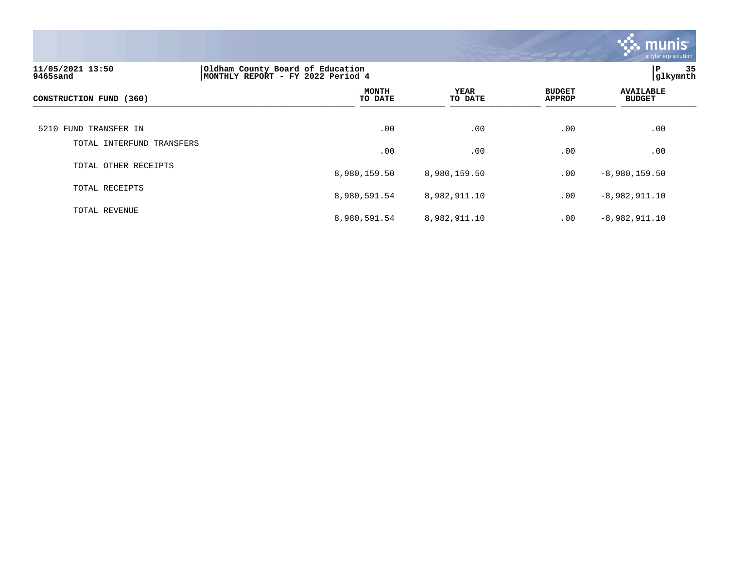

| 11/05/2021 13:50<br>9465sand | Oldham County Board of Education<br>MONTHLY REPORT - FY 2022 Period 4 |                        |                                |                                   |
|------------------------------|-----------------------------------------------------------------------|------------------------|--------------------------------|-----------------------------------|
| CONSTRUCTION FUND (360)      | <b>MONTH</b><br>TO DATE                                               | <b>YEAR</b><br>TO DATE | <b>BUDGET</b><br><b>APPROP</b> | <b>AVAILABLE</b><br><b>BUDGET</b> |
| 5210 FUND TRANSFER IN        | .00                                                                   | .00                    | .00                            | .00                               |
| TOTAL INTERFUND TRANSFERS    | .00                                                                   | .00                    | .00                            | .00                               |
| TOTAL OTHER RECEIPTS         | 8,980,159.50                                                          | 8,980,159.50           | .00                            | $-8,980,159.50$                   |
| TOTAL RECEIPTS               | 8,980,591.54                                                          | 8,982,911.10           | .00                            | $-8,982,911.10$                   |
| TOTAL REVENUE                | 8,980,591.54                                                          | 8,982,911.10           | .00                            | $-8,982,911.10$                   |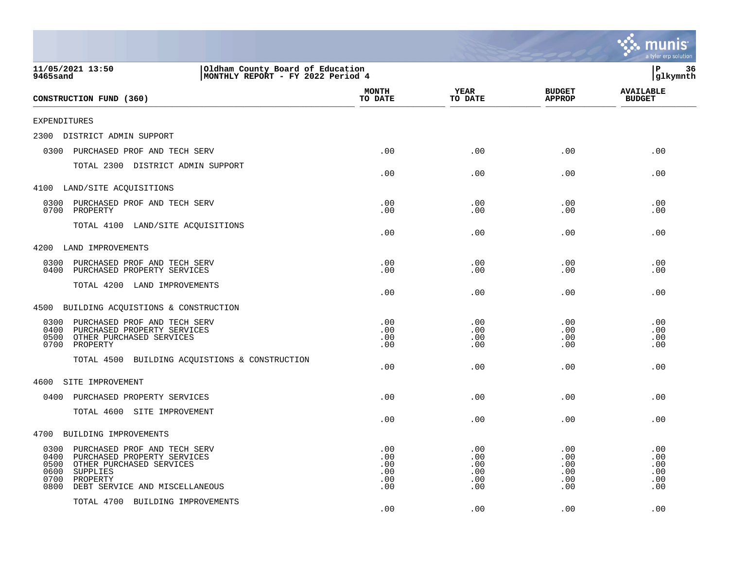|                                                                                                                                                                                                   |                                        |                                        |                                        | a tyler erp solution                   |
|---------------------------------------------------------------------------------------------------------------------------------------------------------------------------------------------------|----------------------------------------|----------------------------------------|----------------------------------------|----------------------------------------|
| 11/05/2021 13:50<br>Oldham County Board of Education<br>9465sand<br>MONTHLY REPORT - FY 2022 Period 4                                                                                             |                                        |                                        |                                        | ΙP<br>36<br>glkymnth                   |
| CONSTRUCTION FUND (360)                                                                                                                                                                           | <b>MONTH</b><br>TO DATE                | <b>YEAR</b><br>TO DATE                 | <b>BUDGET</b><br><b>APPROP</b>         | <b>AVAILABLE</b><br><b>BUDGET</b>      |
| <b>EXPENDITURES</b>                                                                                                                                                                               |                                        |                                        |                                        |                                        |
| 2300<br>DISTRICT ADMIN SUPPORT                                                                                                                                                                    |                                        |                                        |                                        |                                        |
| 0300<br>PURCHASED PROF AND TECH SERV                                                                                                                                                              | .00                                    | .00                                    | .00                                    | .00                                    |
| TOTAL 2300 DISTRICT ADMIN SUPPORT                                                                                                                                                                 | .00                                    | .00                                    | .00                                    | .00                                    |
| 4100 LAND/SITE ACQUISITIONS                                                                                                                                                                       |                                        |                                        |                                        |                                        |
| 0300<br>PURCHASED PROF AND TECH SERV<br>0700<br>PROPERTY                                                                                                                                          | .00<br>.00                             | .00<br>.00                             | .00<br>.00                             | .00<br>.00                             |
| TOTAL 4100<br>LAND/SITE ACQUISITIONS                                                                                                                                                              | .00                                    | .00                                    | .00                                    | .00                                    |
| 4200<br>LAND IMPROVEMENTS                                                                                                                                                                         |                                        |                                        |                                        |                                        |
| 0300<br>PURCHASED PROF AND TECH SERV<br>0400<br>PURCHASED PROPERTY SERVICES                                                                                                                       | .00<br>.00                             | .00<br>.00                             | .00<br>.00                             | .00<br>.00                             |
| TOTAL 4200 LAND IMPROVEMENTS                                                                                                                                                                      | .00                                    | .00                                    | .00                                    | .00                                    |
| 4500<br>BUILDING ACQUISTIONS & CONSTRUCTION                                                                                                                                                       |                                        |                                        |                                        |                                        |
| 0300<br>PURCHASED PROF AND TECH SERV<br>0400<br>PURCHASED PROPERTY SERVICES<br>0500<br>OTHER PURCHASED SERVICES<br>0700<br>PROPERTY<br>BUILDING ACQUISTIONS & CONSTRUCTION<br>TOTAL 4500          | .00<br>.00<br>.00<br>.00               | .00<br>.00<br>.00<br>.00               | .00<br>.00<br>.00<br>.00               | .00<br>.00<br>.00<br>.00               |
|                                                                                                                                                                                                   | .00                                    | .00                                    | .00                                    | .00                                    |
| 4600<br>SITE IMPROVEMENT                                                                                                                                                                          |                                        |                                        |                                        |                                        |
| 0400<br>PURCHASED PROPERTY SERVICES                                                                                                                                                               | .00                                    | .00                                    | .00                                    | .00                                    |
| TOTAL 4600 SITE IMPROVEMENT                                                                                                                                                                       | .00                                    | .00                                    | .00                                    | .00                                    |
| BUILDING IMPROVEMENTS<br>4700                                                                                                                                                                     |                                        |                                        |                                        |                                        |
| 0300<br>PURCHASED PROF AND TECH SERV<br>0400<br>PURCHASED PROPERTY SERVICES<br>0500<br>OTHER PURCHASED SERVICES<br>0600<br>SUPPLIES<br>0700<br>PROPERTY<br>0800<br>DEBT SERVICE AND MISCELLANEOUS | .00<br>.00<br>.00<br>.00<br>.00<br>.00 | .00<br>.00<br>.00<br>.00<br>.00<br>.00 | .00<br>.00<br>.00<br>.00<br>.00<br>.00 | .00<br>.00<br>.00<br>.00<br>.00<br>.00 |
| TOTAL 4700 BUILDING IMPROVEMENTS                                                                                                                                                                  | .00                                    | .00                                    | .00                                    | .00                                    |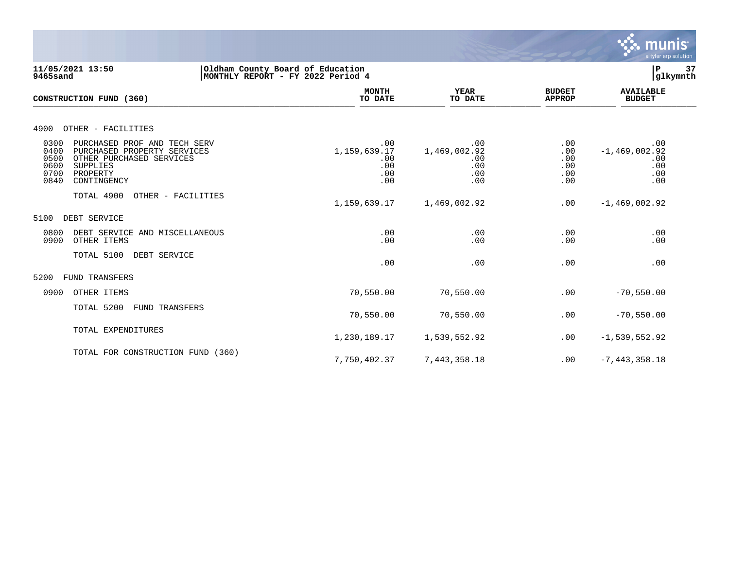

**11/05/2021 13:50 |Oldham County Board of Education |P 37 9465sand |MONTHLY REPORT - FY 2022 Period 4 |glkymnth MONTH AVAILABLE YEAR BUDGET** AVAILABLE **CONSTRUCTION FUND (360) TO DATE TO DATE APPROP BUDGET**  \_\_\_\_\_\_\_\_\_\_\_\_\_\_\_\_\_\_\_\_\_\_\_\_\_\_\_\_\_\_\_\_\_\_\_\_\_\_\_\_\_\_\_\_\_\_\_\_\_\_\_\_\_\_\_\_\_\_\_\_\_\_\_\_ \_\_\_\_\_\_\_\_\_\_\_\_\_\_\_\_\_ \_\_\_\_\_\_\_\_\_\_\_\_\_\_\_\_\_\_ \_\_\_\_\_\_\_\_\_\_\_\_\_\_ \_\_\_\_\_\_\_\_\_\_\_\_\_\_\_ 4900 OTHER - FACILITIES 0300 PURCHASED PROF AND TECH SERV .00 .00 .00 .00 0400 PURCHASED PROPERTY SERVICES 1,159,639.17 1,469,002.92 .00 -1,469,002.92 .00 -1,469,002.92 .00 .00 .00 .00 .00 .00 .00 .00 .00 0500 OTHER PURCHASED SERVICES .00 .00 .00 .00 0600 SUPPLIES .00 .00 .00 .00 0700 PROPERTY .00 .00 .00 .00 0840 CONTINGENCY .00 .00 .00 .00 TOTAL 4900 OTHER - FACILITIES 1,159,639.17 1,469,002.92 .00 -1,469,002.92 5100 DEBT SERVICE 0800 DEBT SERVICE AND MISCELLANEOUS .00 .00 .00 .00 0900 OTHER ITEMS TOTAL 5100 DEBT SERVICE .00 .00 .00 .00 5200 FUND TRANSFERS 0900 OTHER ITEMS 70,550.00 70,550.00 -70,550.00 TOTAL 5200 FUND TRANSFERS 70,550.00 70,550.00 .00 -70,550.00 TOTAL EXPENDITURES 1,230,189.17 1,539,552.92 .00 -1,539,552.92 TOTAL FOR CONSTRUCTION FUND (360) 7,750,402.37 7,443,358.18 .00 -7,443,358.18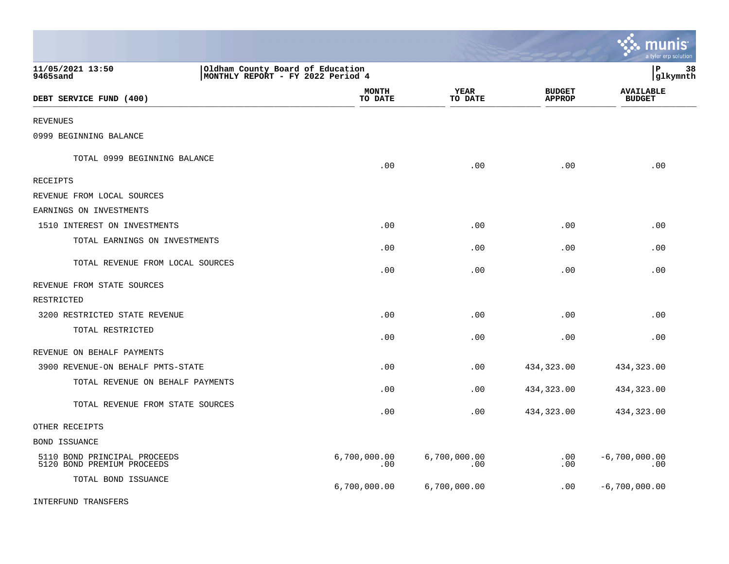|                                                            |                                                                       |                     |                                | munis<br>a tyler erp solution     |
|------------------------------------------------------------|-----------------------------------------------------------------------|---------------------|--------------------------------|-----------------------------------|
| 11/05/2021 13:50<br>9465sand                               | Oldham County Board of Education<br>MONTHLY REPORT - FY 2022 Period 4 |                     |                                | lР<br>38<br> glkymnth             |
| DEBT SERVICE FUND (400)                                    | <b>MONTH</b><br>TO DATE                                               | YEAR<br>TO DATE     | <b>BUDGET</b><br><b>APPROP</b> | <b>AVAILABLE</b><br><b>BUDGET</b> |
| <b>REVENUES</b>                                            |                                                                       |                     |                                |                                   |
| 0999 BEGINNING BALANCE                                     |                                                                       |                     |                                |                                   |
| TOTAL 0999 BEGINNING BALANCE                               | .00                                                                   | .00                 | .00                            | .00                               |
| RECEIPTS                                                   |                                                                       |                     |                                |                                   |
| REVENUE FROM LOCAL SOURCES                                 |                                                                       |                     |                                |                                   |
| EARNINGS ON INVESTMENTS                                    |                                                                       |                     |                                |                                   |
| 1510 INTEREST ON INVESTMENTS                               | .00                                                                   | .00                 | .00                            | .00                               |
| TOTAL EARNINGS ON INVESTMENTS                              | .00                                                                   | .00                 | .00                            | .00                               |
| TOTAL REVENUE FROM LOCAL SOURCES                           | .00                                                                   | .00                 | .00                            | .00                               |
| REVENUE FROM STATE SOURCES                                 |                                                                       |                     |                                |                                   |
| RESTRICTED                                                 |                                                                       |                     |                                |                                   |
| 3200 RESTRICTED STATE REVENUE                              | .00                                                                   | .00                 | .00                            | .00                               |
| TOTAL RESTRICTED                                           | .00                                                                   | .00                 | .00                            | .00                               |
| REVENUE ON BEHALF PAYMENTS                                 |                                                                       |                     |                                |                                   |
| 3900 REVENUE-ON BEHALF PMTS-STATE                          | .00                                                                   | .00                 | 434,323.00                     | 434,323.00                        |
| TOTAL REVENUE ON BEHALF PAYMENTS                           | .00                                                                   | .00                 | 434,323.00                     | 434,323.00                        |
| TOTAL REVENUE FROM STATE SOURCES                           | .00                                                                   | .00                 | 434,323.00                     | 434,323.00                        |
| OTHER RECEIPTS                                             |                                                                       |                     |                                |                                   |
| BOND ISSUANCE                                              |                                                                       |                     |                                |                                   |
| 5110 BOND PRINCIPAL PROCEEDS<br>5120 BOND PREMIUM PROCEEDS | 6,700,000.00<br>.00                                                   | 6,700,000.00<br>.00 | .00<br>.00                     | $-6,700,000.00$<br>.00            |
| TOTAL BOND ISSUANCE                                        | 6,700,000.00                                                          | 6,700,000.00        | .00                            | $-6,700,000.00$                   |
| INTERFUND TRANSFERS                                        |                                                                       |                     |                                |                                   |

 $\mathcal{L}^{\text{max}}$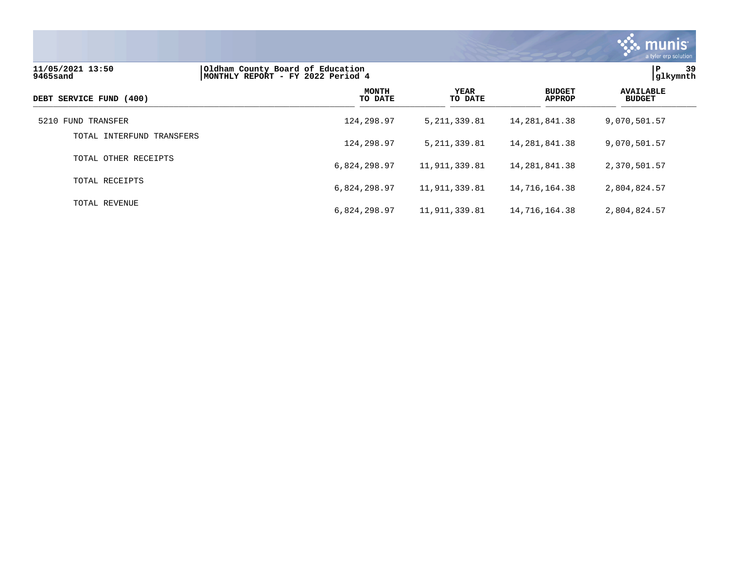

| 11/05/2021 13:50<br>9465sand | Oldham County Board of Education<br>MONTHLY REPORT - FY 2022 Period 4 |                        |                                |                                   |
|------------------------------|-----------------------------------------------------------------------|------------------------|--------------------------------|-----------------------------------|
| DEBT SERVICE FUND (400)      | <b>MONTH</b><br>TO DATE                                               | <b>YEAR</b><br>TO DATE | <b>BUDGET</b><br><b>APPROP</b> | <b>AVAILABLE</b><br><b>BUDGET</b> |
| 5210 FUND TRANSFER           | 124,298.97                                                            | 5, 211, 339.81         | 14, 281, 841. 38               | 9,070,501.57                      |
| TOTAL INTERFUND TRANSFERS    | 124,298.97                                                            | 5, 211, 339.81         | 14, 281, 841. 38               | 9,070,501.57                      |
| TOTAL OTHER RECEIPTS         | 6,824,298.97                                                          | 11,911,339.81          | 14, 281, 841. 38               | 2,370,501.57                      |
| TOTAL RECEIPTS               | 6,824,298.97                                                          | 11,911,339.81          | 14,716,164.38                  | 2,804,824.57                      |
| TOTAL REVENUE                | 6,824,298.97                                                          | 11,911,339.81          | 14,716,164.38                  | 2,804,824.57                      |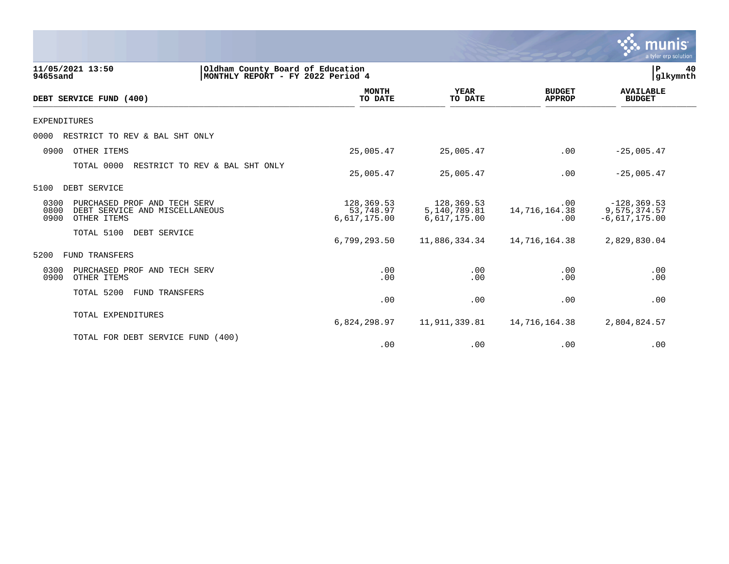|                              |                                                                               |                                         |                                            |                                | munis<br>a tyler erp solution                     |
|------------------------------|-------------------------------------------------------------------------------|-----------------------------------------|--------------------------------------------|--------------------------------|---------------------------------------------------|
| 11/05/2021 13:50<br>9465sand | Oldham County Board of Education<br>MONTHLY REPORT - FY 2022 Period 4         |                                         |                                            |                                | ${\bf P}$<br>40<br>glkymnth                       |
| DEBT SERVICE FUND (400)      |                                                                               | <b>MONTH</b><br>TO DATE                 | <b>YEAR</b><br>TO DATE                     | <b>BUDGET</b><br><b>APPROP</b> | <b>AVAILABLE</b><br><b>BUDGET</b>                 |
| <b>EXPENDITURES</b>          |                                                                               |                                         |                                            |                                |                                                   |
| 0000                         | RESTRICT TO REV & BAL SHT ONLY                                                |                                         |                                            |                                |                                                   |
| 0900                         | OTHER ITEMS                                                                   | 25,005.47                               | 25,005.47                                  | .00                            | $-25,005.47$                                      |
|                              | TOTAL 0000<br>RESTRICT TO REV & BAL SHT ONLY                                  | 25,005.47                               | 25,005.47                                  | .00                            | $-25,005.47$                                      |
| DEBT SERVICE<br>5100         |                                                                               |                                         |                                            |                                |                                                   |
| 0300<br>0800<br>0900         | PURCHASED PROF AND TECH SERV<br>DEBT SERVICE AND MISCELLANEOUS<br>OTHER ITEMS | 128,369.53<br>53,748.97<br>6,617,175.00 | 128,369.53<br>5,140,789.81<br>6,617,175.00 | .00<br>14,716,164.38<br>.00    | $-128, 369.53$<br>9,575,374.57<br>$-6,617,175.00$ |
|                              | TOTAL 5100<br>DEBT SERVICE                                                    | 6,799,293.50                            | 11,886,334.34                              | 14,716,164.38                  | 2,829,830.04                                      |
| 5200                         | FUND TRANSFERS                                                                |                                         |                                            |                                |                                                   |
| 0300<br>0900                 | PURCHASED PROF AND TECH SERV<br>OTHER ITEMS                                   | .00<br>.00                              | .00<br>.00                                 | .00<br>.00                     | .00<br>.00                                        |
|                              | TOTAL 5200<br>FUND TRANSFERS                                                  | .00                                     | .00                                        | .00                            | .00                                               |
|                              | TOTAL EXPENDITURES                                                            | 6,824,298.97                            | 11,911,339.81                              | 14,716,164.38                  | 2,804,824.57                                      |
|                              | TOTAL FOR DEBT SERVICE FUND<br>(400)                                          | .00                                     | .00                                        | .00                            | .00                                               |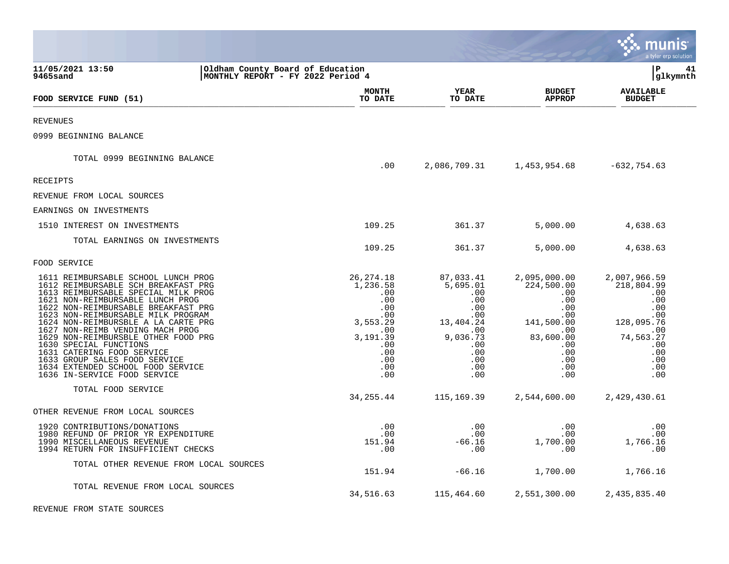|                                                                                                                                                                                                                                                                                                                                                                                                                                                                                                                    |                                                                                                                       |                                                                                                                      |                                                                                                                                                      | a tyler erp solution                                                                                                        |
|--------------------------------------------------------------------------------------------------------------------------------------------------------------------------------------------------------------------------------------------------------------------------------------------------------------------------------------------------------------------------------------------------------------------------------------------------------------------------------------------------------------------|-----------------------------------------------------------------------------------------------------------------------|----------------------------------------------------------------------------------------------------------------------|------------------------------------------------------------------------------------------------------------------------------------------------------|-----------------------------------------------------------------------------------------------------------------------------|
| 11/05/2021 13:50<br>Oldham County Board of Education<br>MONTHLY REPORT - FY 2022 Period 4<br>9465sand                                                                                                                                                                                                                                                                                                                                                                                                              |                                                                                                                       |                                                                                                                      |                                                                                                                                                      | lР<br>41<br> glkymnth                                                                                                       |
| FOOD SERVICE FUND (51)                                                                                                                                                                                                                                                                                                                                                                                                                                                                                             | <b>MONTH</b><br>TO DATE                                                                                               | <b>YEAR</b><br>TO DATE                                                                                               | <b>BUDGET</b><br><b>APPROP</b>                                                                                                                       | <b>AVAILABLE</b><br><b>BUDGET</b>                                                                                           |
| <b>REVENUES</b>                                                                                                                                                                                                                                                                                                                                                                                                                                                                                                    |                                                                                                                       |                                                                                                                      |                                                                                                                                                      |                                                                                                                             |
| 0999 BEGINNING BALANCE                                                                                                                                                                                                                                                                                                                                                                                                                                                                                             |                                                                                                                       |                                                                                                                      |                                                                                                                                                      |                                                                                                                             |
| TOTAL 0999 BEGINNING BALANCE                                                                                                                                                                                                                                                                                                                                                                                                                                                                                       | .00                                                                                                                   | 2,086,709.31                                                                                                         | 1,453,954.68                                                                                                                                         | $-632,754.63$                                                                                                               |
| RECEIPTS                                                                                                                                                                                                                                                                                                                                                                                                                                                                                                           |                                                                                                                       |                                                                                                                      |                                                                                                                                                      |                                                                                                                             |
| REVENUE FROM LOCAL SOURCES                                                                                                                                                                                                                                                                                                                                                                                                                                                                                         |                                                                                                                       |                                                                                                                      |                                                                                                                                                      |                                                                                                                             |
| EARNINGS ON INVESTMENTS                                                                                                                                                                                                                                                                                                                                                                                                                                                                                            |                                                                                                                       |                                                                                                                      |                                                                                                                                                      |                                                                                                                             |
| 1510 INTEREST ON INVESTMENTS                                                                                                                                                                                                                                                                                                                                                                                                                                                                                       | 109.25                                                                                                                | 361.37                                                                                                               | 5,000.00                                                                                                                                             | 4,638.63                                                                                                                    |
| TOTAL EARNINGS ON INVESTMENTS                                                                                                                                                                                                                                                                                                                                                                                                                                                                                      | 109.25                                                                                                                | 361.37                                                                                                               | 5,000.00                                                                                                                                             | 4,638.63                                                                                                                    |
| FOOD SERVICE                                                                                                                                                                                                                                                                                                                                                                                                                                                                                                       |                                                                                                                       |                                                                                                                      |                                                                                                                                                      |                                                                                                                             |
| 1611 REIMBURSABLE SCHOOL LUNCH PROG<br>1612 REIMBURSABLE SCH BREAKFAST PRG<br>1613 REIMBURSABLE SPECIAL MILK PROG<br>1621 NON-REIMBURSABLE LUNCH PROG<br>1622 NON-REIMBURSABLE BREAKFAST PRG<br>1623 NON-REIMBURSABLE MILK PROGRAM<br>1624 NON-REIMBURSBLE A LA CARTE PRG<br>1627 NON-REIMB VENDING MACH PROG<br>1629 NON-REIMBURSBLE OTHER FOOD PRG<br>1630 SPECIAL FUNCTIONS<br>1631 CATERING FOOD SERVICE<br>1633 GROUP SALES FOOD SERVICE<br>1634 EXTENDED SCHOOL FOOD SERVICE<br>1636 IN-SERVICE FOOD SERVICE | 26, 274. 18<br>1,236.58<br>.00<br>.00<br>.00<br>.00<br>3,553.29<br>.00<br>3,191.39<br>.00<br>.00<br>.00<br>.00<br>.00 | 87,033.41<br>5,695.01<br>.00<br>.00<br>.00<br>.00<br>13,404.24<br>.00<br>9,036.73<br>.00<br>.00<br>.00<br>.00<br>.00 | 2,095,000.00<br>224,500.00<br>$.00 \,$<br>.00<br>.00<br>$.00 \,$<br>141,500.00<br>$.00 \,$<br>83,600.00<br>.00<br>$.00 \,$<br>.00<br>$.00 \,$<br>.00 | 2,007,966.59<br>218,804.99<br>.00<br>.00<br>.00<br>.00<br>128,095.76<br>.00<br>74,563.27<br>.00<br>.00<br>.00<br>.00<br>.00 |
| TOTAL FOOD SERVICE                                                                                                                                                                                                                                                                                                                                                                                                                                                                                                 | 34, 255.44                                                                                                            | 115,169.39                                                                                                           | 2,544,600.00                                                                                                                                         | 2,429,430.61                                                                                                                |
| OTHER REVENUE FROM LOCAL SOURCES                                                                                                                                                                                                                                                                                                                                                                                                                                                                                   |                                                                                                                       |                                                                                                                      |                                                                                                                                                      |                                                                                                                             |
| 1920 CONTRIBUTIONS/DONATIONS<br>1980 REFUND OF PRIOR YR EXPENDITURE<br>1990 MISCELLANEOUS REVENUE<br>1994 RETURN FOR INSUFFICIENT CHECKS                                                                                                                                                                                                                                                                                                                                                                           | .00<br>.00<br>151.94<br>.00                                                                                           | .00<br>.00<br>$-66.16$<br>.00                                                                                        | .00<br>.00<br>1,700.00<br>$.00 \,$                                                                                                                   | .00<br>.00<br>1,766.16<br>.00                                                                                               |
| TOTAL OTHER REVENUE FROM LOCAL SOURCES                                                                                                                                                                                                                                                                                                                                                                                                                                                                             | 151.94                                                                                                                | $-66.16$                                                                                                             | 1,700.00                                                                                                                                             | 1,766.16                                                                                                                    |
| TOTAL REVENUE FROM LOCAL SOURCES                                                                                                                                                                                                                                                                                                                                                                                                                                                                                   | 34,516.63                                                                                                             | 115,464.60                                                                                                           | 2,551,300.00                                                                                                                                         | 2,435,835.40                                                                                                                |

REVENUE FROM STATE SOURCES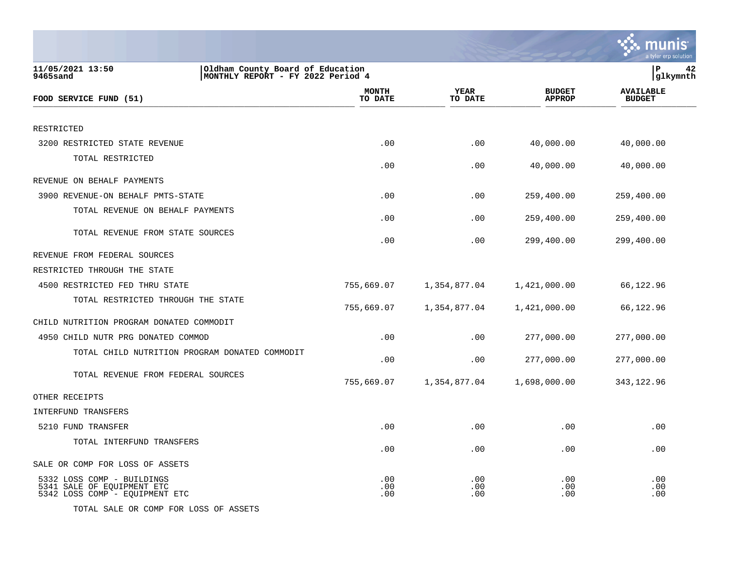|                                                                                                       |                         |                        |                                | a tyler erp solution              |
|-------------------------------------------------------------------------------------------------------|-------------------------|------------------------|--------------------------------|-----------------------------------|
| 11/05/2021 13:50<br>Oldham County Board of Education<br>9465sand<br>MONTHLY REPORT - FY 2022 Period 4 |                         |                        |                                | P<br>42<br>glkymnth               |
| FOOD SERVICE FUND (51)                                                                                | <b>MONTH</b><br>TO DATE | <b>YEAR</b><br>TO DATE | <b>BUDGET</b><br><b>APPROP</b> | <b>AVAILABLE</b><br><b>BUDGET</b> |
| RESTRICTED                                                                                            |                         |                        |                                |                                   |
| 3200 RESTRICTED STATE REVENUE                                                                         | .00                     | .00                    | 40,000.00                      | 40,000.00                         |
| TOTAL RESTRICTED                                                                                      | .00                     | .00                    | 40,000.00                      | 40,000.00                         |
| REVENUE ON BEHALF PAYMENTS                                                                            |                         |                        |                                |                                   |
| 3900 REVENUE-ON BEHALF PMTS-STATE                                                                     | .00                     | .00                    | 259,400.00                     | 259,400.00                        |
| TOTAL REVENUE ON BEHALF PAYMENTS                                                                      | .00                     | .00                    | 259,400.00                     | 259,400.00                        |
| TOTAL REVENUE FROM STATE SOURCES                                                                      | .00                     | .00                    | 299,400.00                     | 299,400.00                        |
| REVENUE FROM FEDERAL SOURCES                                                                          |                         |                        |                                |                                   |
| RESTRICTED THROUGH THE STATE                                                                          |                         |                        |                                |                                   |
| 4500 RESTRICTED FED THRU STATE                                                                        | 755,669.07              | 1,354,877.04           | 1,421,000.00                   | 66,122.96                         |
| TOTAL RESTRICTED THROUGH THE STATE                                                                    | 755,669.07              | 1,354,877.04           | 1,421,000.00                   | 66,122.96                         |
| CHILD NUTRITION PROGRAM DONATED COMMODIT                                                              |                         |                        |                                |                                   |
| 4950 CHILD NUTR PRG DONATED COMMOD                                                                    | .00                     | .00                    | 277,000.00                     | 277,000.00                        |
| TOTAL CHILD NUTRITION PROGRAM DONATED COMMODIT                                                        | .00                     | .00                    | 277,000.00                     | 277,000.00                        |
| TOTAL REVENUE FROM FEDERAL SOURCES                                                                    | 755,669.07              | 1,354,877.04           | 1,698,000.00                   | 343,122.96                        |
| OTHER RECEIPTS                                                                                        |                         |                        |                                |                                   |
| INTERFUND TRANSFERS                                                                                   |                         |                        |                                |                                   |
| 5210 FUND TRANSFER                                                                                    | .00                     | .00                    | .00                            | .00                               |
| TOTAL INTERFUND TRANSFERS                                                                             | .00                     | .00                    | .00                            | .00                               |
| SALE OR COMP FOR LOSS OF ASSETS                                                                       |                         |                        |                                |                                   |
| 5332 LOSS COMP - BUILDINGS<br>5341 SALE OF EQUIPMENT ETC<br>5342 LOSS COMP - EQUIPMENT ETC            | .00<br>.00<br>.00       | .00<br>.00<br>.00      | $.00 \,$<br>.00.<br>.00        | .00<br>.00<br>.00                 |
| TOTAL SALE OR COMP FOR LOSS OF ASSETS                                                                 |                         |                        |                                |                                   |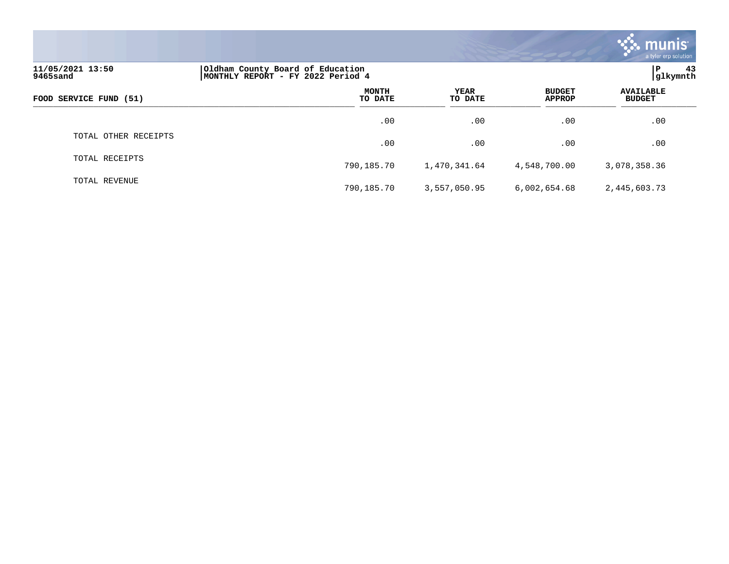|                                                                                                       |                  |                 |                                | $\sim$ munis<br>a tyler erp solution |
|-------------------------------------------------------------------------------------------------------|------------------|-----------------|--------------------------------|--------------------------------------|
| 11/05/2021 13:50<br>Oldham County Board of Education<br>MONTHLY REPORT - FY 2022 Period 4<br>9465sand |                  |                 |                                |                                      |
| FOOD SERVICE FUND (51)                                                                                | MONTH<br>TO DATE | YEAR<br>TO DATE | <b>BUDGET</b><br><b>APPROP</b> | <b>AVAILABLE</b><br><b>BUDGET</b>    |
|                                                                                                       | .00              | $.00 \,$        | .00                            | .00                                  |
| TOTAL OTHER RECEIPTS                                                                                  | .00              | .00             | .00                            | .00                                  |
| TOTAL RECEIPTS                                                                                        | 790,185.70       | 1,470,341.64    | 4,548,700.00                   | 3,078,358.36                         |
| TOTAL REVENUE                                                                                         | 790,185.70       | 3,557,050.95    | 6,002,654.68                   | 2,445,603.73                         |

 $\sim$   $\sim$   $\sim$   $\sim$   $\sim$   $\sim$   $\sim$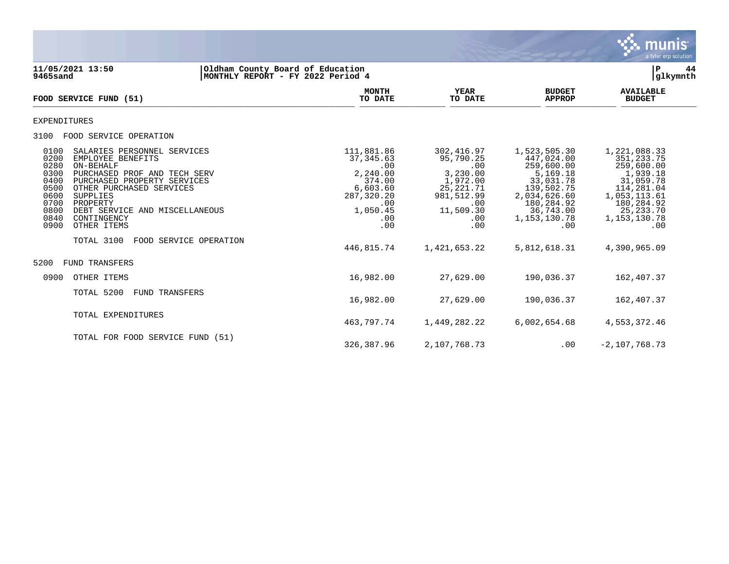

**11/05/2021 13:50 |Oldham County Board of Education |P 44 MONTHLY REPORT - FY 2022 Period 4 MONTH AVAILABLE YEAR BUDGET** AVAILABLE **FOOD SERVICE FUND (51) TO DATE TO DATE APPROP BUDGET**   $\frac{10 \text{ BFR}}{10 \text{ BFR}}$ EXPENDITURES 3100 FOOD SERVICE OPERATION 0100 SALARIES PERSONNEL SERVICES (111,881.86 302,416.97 1,523,505.30 1,221,088.33<br>0200 EMPLOYEE BENEFITS (351,233.75 37,345.63 95,790.25 447,024.00 351,233.75 0200 EMPLOYEE BENEFITS 37,345.63 95,790.25 447,024.00 351,233.75 0280 ON-BEHALF .00 .00 259,600.00 259,600.00 0300 PURCHASED PROF AND TECH SERV 2,240.00 3,230.00 5,169.18 1,939.18 0400 PURCHASED PROPERTY SERVICES 374.00 374.00 1,972.00<br>0500 OTHER PURCHASED SERVICES 376,603.60 3.50 0500 OTHER PURCHASED SERVICES 6,603.60 6,603.60 25,221.71 139,502.75 114,281.04<br>1,053,113.61 0600 3UPPLIES 9,034,626.60 1,053,113.61 0600 SUPPLIES 287,320.20 981,512.99 2,034,626.60 1,053,113.61 0700 PROPERTY .00 .00 180,284.92 180,284.92 0700 PROPERTY 180,284.92 1.00<br>0800 DEBT SERVICE AND MISCELLANEOUS 1,050.45 1,050.45 1,050.45 11,509.30 36,743.00 25,233.70<br>0840 CONTINGENCY 1,153,130.78 1,153,130.78 1,153,130.78 0840 CONTINGENCY .00 .00 1,153,130.78 1,153,130.78 0900 OTHER ITEMS TOTAL 3100 FOOD SERVICE OPERATION 446,815.74 1,421,653.22 5,812,618.31 4,390,965.09 5200 FUND TRANSFERS 0900 OTHER ITEMS 16,982.00 27,629.00 190,036.37 162,407.37 TOTAL 5200 FUND TRANSFERS 16,982.00 27,629.00 190,036.37 162,407.37 TOTAL EXPENDITURES 463,797.74 1,449,282.22 6,002,654.68 4,553,372.46 TOTAL FOR FOOD SERVICE FUND (51)

326,387.96 2,107,768.73 .00 -2,107,768.73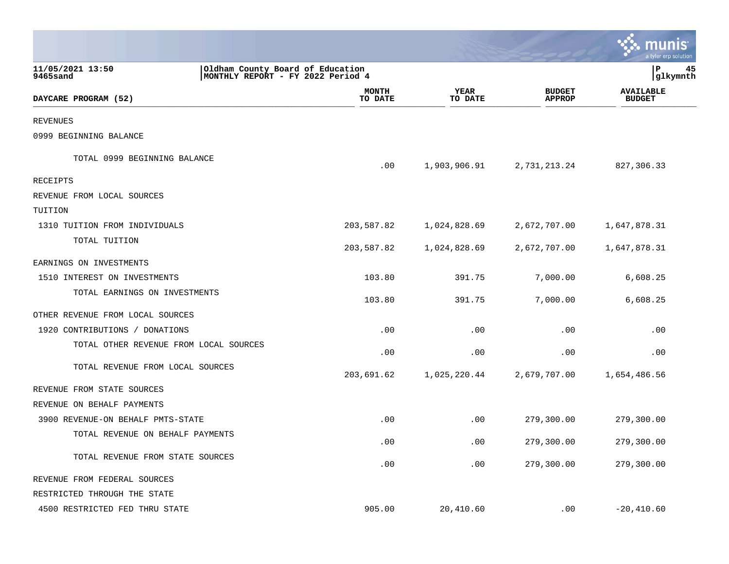|                                        |                                                                       |                         |                        |                                | nıs<br>a tyler erp solution       |    |
|----------------------------------------|-----------------------------------------------------------------------|-------------------------|------------------------|--------------------------------|-----------------------------------|----|
| 11/05/2021 13:50<br>9465sand           | Oldham County Board of Education<br>MONTHLY REPORT - FY 2022 Period 4 |                         |                        |                                | l P<br> glkymnth                  | 45 |
| DAYCARE PROGRAM (52)                   |                                                                       | <b>MONTH</b><br>TO DATE | <b>YEAR</b><br>TO DATE | <b>BUDGET</b><br><b>APPROP</b> | <b>AVAILABLE</b><br><b>BUDGET</b> |    |
| <b>REVENUES</b>                        |                                                                       |                         |                        |                                |                                   |    |
| 0999 BEGINNING BALANCE                 |                                                                       |                         |                        |                                |                                   |    |
| TOTAL 0999 BEGINNING BALANCE           |                                                                       | .00                     | 1,903,906.91           | 2,731,213.24                   | 827,306.33                        |    |
| RECEIPTS                               |                                                                       |                         |                        |                                |                                   |    |
| REVENUE FROM LOCAL SOURCES             |                                                                       |                         |                        |                                |                                   |    |
| TUITION                                |                                                                       |                         |                        |                                |                                   |    |
| 1310 TUITION FROM INDIVIDUALS          |                                                                       | 203,587.82              | 1,024,828.69           | 2,672,707.00                   | 1,647,878.31                      |    |
| TOTAL TUITION                          |                                                                       | 203,587.82              | 1,024,828.69           | 2,672,707.00                   | 1,647,878.31                      |    |
| EARNINGS ON INVESTMENTS                |                                                                       |                         |                        |                                |                                   |    |
| 1510 INTEREST ON INVESTMENTS           |                                                                       | 103.80                  | 391.75                 | 7,000.00                       | 6,608.25                          |    |
| TOTAL EARNINGS ON INVESTMENTS          |                                                                       | 103.80                  | 391.75                 | 7,000.00                       | 6,608.25                          |    |
| OTHER REVENUE FROM LOCAL SOURCES       |                                                                       |                         |                        |                                |                                   |    |
| 1920 CONTRIBUTIONS / DONATIONS         |                                                                       | .00                     | .00                    | .00                            | .00                               |    |
| TOTAL OTHER REVENUE FROM LOCAL SOURCES |                                                                       | .00                     | .00                    | .00                            | .00                               |    |
| TOTAL REVENUE FROM LOCAL SOURCES       |                                                                       | 203,691.62              | 1,025,220.44           | 2,679,707.00                   | 1,654,486.56                      |    |
| REVENUE FROM STATE SOURCES             |                                                                       |                         |                        |                                |                                   |    |
| REVENUE ON BEHALF PAYMENTS             |                                                                       |                         |                        |                                |                                   |    |
| 3900 REVENUE-ON BEHALF PMTS-STATE      |                                                                       | .00                     | .00                    | 279,300.00                     | 279,300.00                        |    |
| TOTAL REVENUE ON BEHALF PAYMENTS       |                                                                       | .00                     | .00                    | 279,300.00                     | 279,300.00                        |    |
| TOTAL REVENUE FROM STATE SOURCES       |                                                                       | .00                     | .00                    | 279,300.00                     | 279,300.00                        |    |
| REVENUE FROM FEDERAL SOURCES           |                                                                       |                         |                        |                                |                                   |    |
| RESTRICTED THROUGH THE STATE           |                                                                       |                         |                        |                                |                                   |    |
| 4500 RESTRICTED FED THRU STATE         |                                                                       | 905.00                  | 20,410.60              | .00                            | $-20,410.60$                      |    |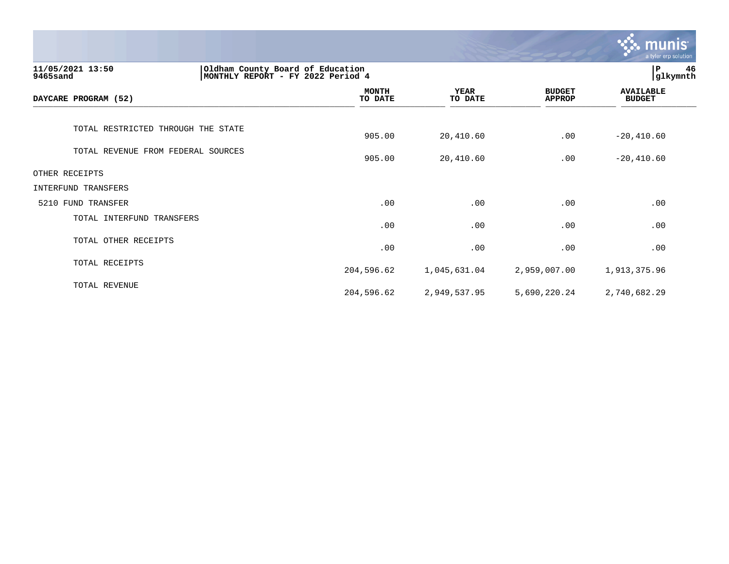|                                                                                                       |                         |                        |                                | munis<br>a tyler erp solution     |
|-------------------------------------------------------------------------------------------------------|-------------------------|------------------------|--------------------------------|-----------------------------------|
| Oldham County Board of Education<br>11/05/2021 13:50<br>MONTHLY REPORT - FY 2022 Period 4<br>9465sand |                         |                        |                                | 46<br>P<br>glkymnth               |
| DAYCARE PROGRAM (52)                                                                                  | <b>MONTH</b><br>TO DATE | <b>YEAR</b><br>TO DATE | <b>BUDGET</b><br><b>APPROP</b> | <b>AVAILABLE</b><br><b>BUDGET</b> |
| TOTAL RESTRICTED THROUGH THE STATE                                                                    | 905.00                  | 20,410.60              | .00                            | $-20, 410.60$                     |
| TOTAL REVENUE FROM FEDERAL SOURCES                                                                    | 905.00                  | 20,410.60              | .00                            | $-20, 410.60$                     |
| OTHER RECEIPTS                                                                                        |                         |                        |                                |                                   |
| INTERFUND TRANSFERS                                                                                   |                         |                        |                                |                                   |
| 5210 FUND TRANSFER                                                                                    | .00                     | .00                    | .00                            | .00                               |
| TOTAL INTERFUND TRANSFERS                                                                             | .00                     | .00                    | .00                            | .00                               |
| TOTAL OTHER RECEIPTS                                                                                  | .00                     | .00                    | .00                            | .00                               |
| TOTAL RECEIPTS                                                                                        | 204,596.62              | 1,045,631.04           | 2,959,007.00                   | 1,913,375.96                      |
| TOTAL REVENUE                                                                                         | 204,596.62              | 2,949,537.95           | 5,690,220.24                   | 2,740,682.29                      |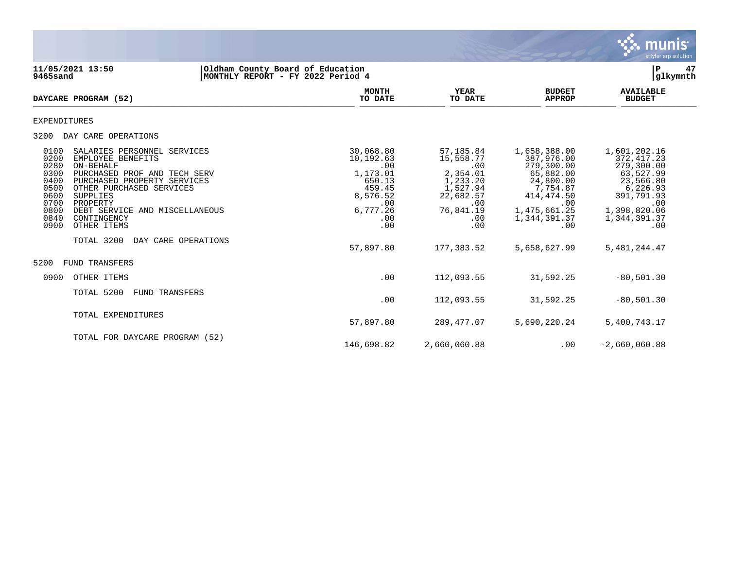

**11/05/2021 13:50 |Oldham County Board of Education |P 47 MONTHLY REPORT - FY 2022 Period 4 MONTH AVAILABLE YEAR BUDGET** AVAILABLE **DAYCARE PROGRAM (52) TO DATE TO DATE APPROP BUDGET** DAILARE FROGRAM (32) EXPENDITURES 3200 DAY CARE OPERATIONS 0100 SALARIES PERSONNEL SERVICES (1,601,202.16 30,068.80 57,185.84 1,658,388.00 1,601,202.16 0200 1,601,202.16<br>10,192.63 15,558.77 387,976.00 372,417.23 0200 EMPLOYEE BENEFITS 10,192.63 15,558.77 387,976.00 372,417.23 0280 ON-BEHALF .00 .00 279,300.00 279,300.00 0300 PURCHASED PROF AND TECH SERV  $1,173.01$  2,354.01 65,882.00 63,527.99<br>0400 PURCHASED PROPERTY SERVICES 650.13 650.13 1,233.20 24,800.00 23,566.80 0400 PURCHASED PROPERTY SERVICES 650.13 1,233.20 24,800.00 23,566.80<br>1,527.94 7,754.87 6,226.93 6,226.93 6,226.93 0500 OTHER PURCHASED SERVICES (6.226.93) 459.45 459.45 459.45 459.45 459.45 459.45 459.45 459.46 459.46 459.46<br>0600 OG00 SUPPLIES (3.474.50 391,791.93 0600 SUPPLIES 8,576.52 22,682.57 414,474.50 391,791.93 0700 PROPERTY .00 .00 .00 .00 00 PROPERTY --- 1999 0700 PROPERTY<br>00 0.00 0800 DEBT SERVICE AND MISCELLANEOUS 6,777.26 6,777.26 76,841.19 1,475,661.25 1,398,820.06<br>1,344,391.37 1,344,391.37 1,344,391.37 0840 CONTINGENCY .00 .00 1,344,391.37 1,344,391.37 0900 OTHER ITEMS TOTAL 3200 DAY CARE OPERATIONS 57,897.80 177,383.52 5,658,627.99 5,481,244.47 5200 FUND TRANSFERS 0900 OTHER ITEMS .00 112,093.55 31,592.25 -80,501.30 TOTAL 5200 FUND TRANSFERS .00 112,093.55 31,592.25 -80,501.30 TOTAL EXPENDITURES 57,897.80 289,477.07 5,690,220.24 5,400,743.17 TOTAL FOR DAYCARE PROGRAM (52)

146,698.82 2,660,060.88 .00 -2,660,060.88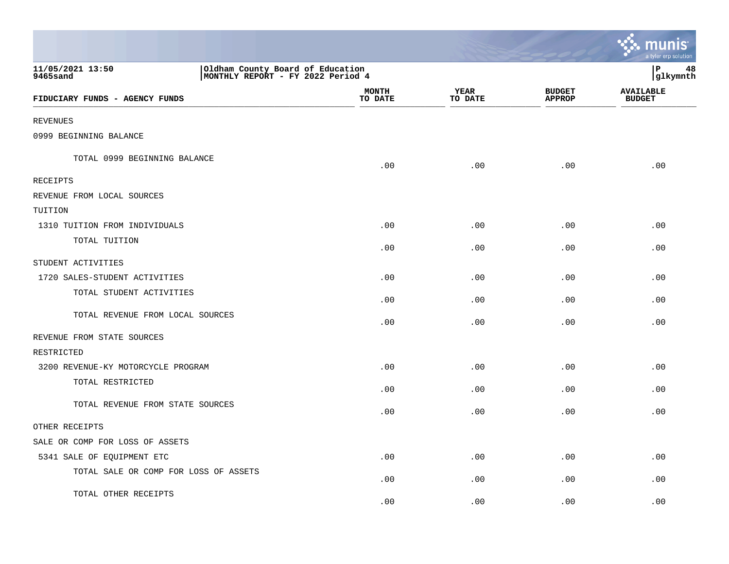|                                                                                                       |                         |                        |                                | a tyler erp solution              |
|-------------------------------------------------------------------------------------------------------|-------------------------|------------------------|--------------------------------|-----------------------------------|
| 11/05/2021 13:50<br>Oldham County Board of Education<br>MONTHLY REPORT - FY 2022 Period 4<br>9465sand |                         |                        |                                | P<br>48<br>glkymnth               |
| FIDUCIARY FUNDS - AGENCY FUNDS                                                                        | <b>MONTH</b><br>TO DATE | <b>YEAR</b><br>TO DATE | <b>BUDGET</b><br><b>APPROP</b> | <b>AVAILABLE</b><br><b>BUDGET</b> |
| <b>REVENUES</b>                                                                                       |                         |                        |                                |                                   |
| 0999 BEGINNING BALANCE                                                                                |                         |                        |                                |                                   |
| TOTAL 0999 BEGINNING BALANCE                                                                          | .00                     | .00                    | .00                            | .00                               |
| RECEIPTS                                                                                              |                         |                        |                                |                                   |
| REVENUE FROM LOCAL SOURCES                                                                            |                         |                        |                                |                                   |
| TUITION                                                                                               |                         |                        |                                |                                   |
| 1310 TUITION FROM INDIVIDUALS                                                                         | .00                     | .00                    | .00                            | .00                               |
| TOTAL TUITION                                                                                         | .00                     | .00                    | .00                            | .00                               |
| STUDENT ACTIVITIES                                                                                    |                         |                        |                                |                                   |
| 1720 SALES-STUDENT ACTIVITIES                                                                         | .00                     | .00                    | .00                            | .00                               |
| TOTAL STUDENT ACTIVITIES                                                                              | .00                     | .00                    | .00                            | .00                               |
| TOTAL REVENUE FROM LOCAL SOURCES                                                                      | .00                     | .00                    | .00                            | .00                               |
| REVENUE FROM STATE SOURCES                                                                            |                         |                        |                                |                                   |
| RESTRICTED                                                                                            |                         |                        |                                |                                   |
| 3200 REVENUE-KY MOTORCYCLE PROGRAM                                                                    | .00                     | .00                    | .00                            | .00                               |
| TOTAL RESTRICTED                                                                                      | .00                     | .00                    | .00                            | .00                               |
| TOTAL REVENUE FROM STATE SOURCES                                                                      | .00                     | .00                    | .00                            | .00                               |
| OTHER RECEIPTS                                                                                        |                         |                        |                                |                                   |
| SALE OR COMP FOR LOSS OF ASSETS                                                                       |                         |                        |                                |                                   |
| 5341 SALE OF EQUIPMENT ETC                                                                            | .00                     | .00                    | .00                            | .00                               |
| TOTAL SALE OR COMP FOR LOSS OF ASSETS                                                                 | .00                     | .00                    | .00                            | .00                               |
| TOTAL OTHER RECEIPTS                                                                                  | .00                     | .00                    | .00                            | .00                               |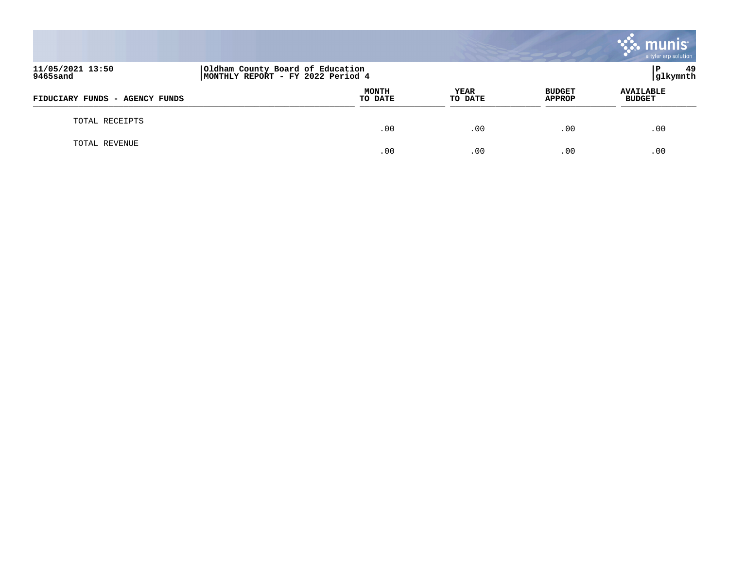|                                |                                                                        |                 |                                | $\cdot$ munis $\cdot$<br>a tyler erp solution |
|--------------------------------|------------------------------------------------------------------------|-----------------|--------------------------------|-----------------------------------------------|
| 11/05/2021 13:50<br>9465sand   | Oldham County Board of Education<br> MONTHLY REPORT - FY 2022 Period 4 |                 |                                | -49<br>P<br> glkymnth                         |
| FIDUCIARY FUNDS - AGENCY FUNDS | <b>MONTH</b><br>TO DATE                                                | YEAR<br>TO DATE | <b>BUDGET</b><br><b>APPROP</b> | <b>AVAILABLE</b><br><b>BUDGET</b>             |
| TOTAL RECEIPTS                 | .00                                                                    | .00             | .00                            | .00                                           |
| TOTAL REVENUE                  | .00                                                                    | .00             | .00                            | .00                                           |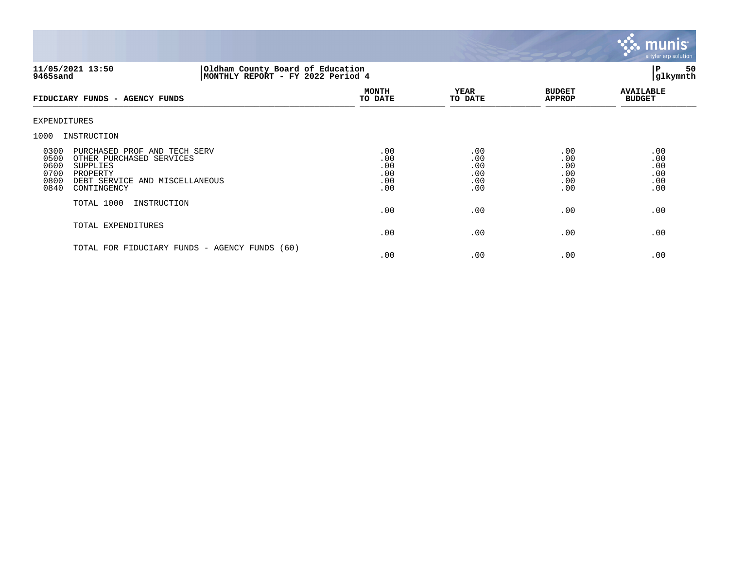

# **11/05/2021 13:50 |Oldham County Board of Education |P 50 9465sand |MONTHLY REPORT - FY 2022 Period 4 |glkymnth**

| FIDUCIARY FUNDS - AGENCY FUNDS                                                                                                                                                           | <b>MONTH</b><br>TO DATE                | <b>YEAR</b><br>TO DATE                 | <b>BUDGET</b><br><b>APPROP</b>         | <b>AVAILABLE</b><br><b>BUDGET</b>      |
|------------------------------------------------------------------------------------------------------------------------------------------------------------------------------------------|----------------------------------------|----------------------------------------|----------------------------------------|----------------------------------------|
| EXPENDITURES                                                                                                                                                                             |                                        |                                        |                                        |                                        |
| 1000<br>INSTRUCTION                                                                                                                                                                      |                                        |                                        |                                        |                                        |
| 0300<br>PURCHASED PROF AND TECH SERV<br>0500<br>OTHER PURCHASED SERVICES<br>0600<br><b>SUPPLIES</b><br>0700<br>PROPERTY<br>0800<br>DEBT SERVICE AND MISCELLANEOUS<br>0840<br>CONTINGENCY | .00<br>.00<br>.00<br>.00<br>.00<br>.00 | .00<br>.00<br>.00<br>.00<br>.00<br>.00 | .00<br>.00<br>.00<br>.00<br>.00<br>.00 | .00<br>.00<br>.00<br>.00<br>.00<br>.00 |
| TOTAL 1000<br>INSTRUCTION                                                                                                                                                                | .00                                    | .00                                    | .00                                    | .00                                    |
| TOTAL EXPENDITURES                                                                                                                                                                       | .00                                    | .00                                    | .00                                    | .00                                    |
| TOTAL FOR FIDUCIARY FUNDS - AGENCY FUNDS (60)                                                                                                                                            | .00                                    | .00                                    | .00                                    | .00                                    |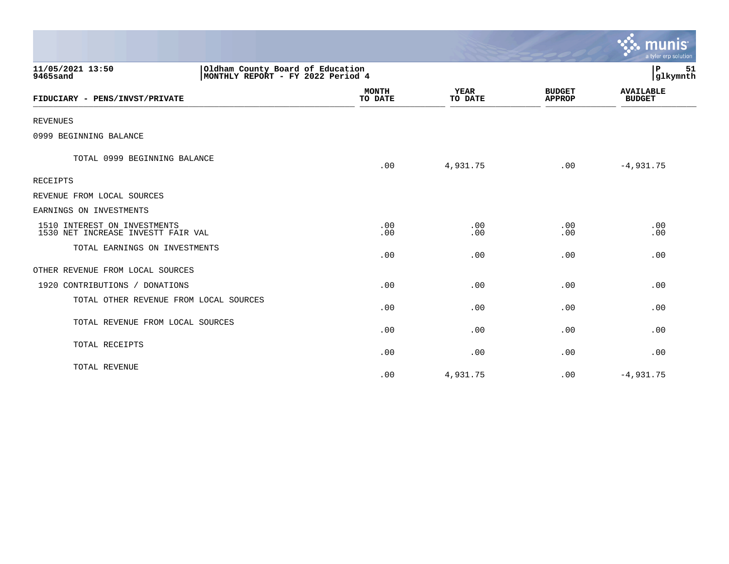|                                                                    |                                                                       |                         |                        |                                | ः munis<br>a tyler erp solution   |
|--------------------------------------------------------------------|-----------------------------------------------------------------------|-------------------------|------------------------|--------------------------------|-----------------------------------|
| 11/05/2021 13:50<br>9465sand                                       | Oldham County Board of Education<br>MONTHLY REPORT - FY 2022 Period 4 |                         |                        |                                | P<br>51<br>glkymnth               |
| FIDUCIARY - PENS/INVST/PRIVATE                                     |                                                                       | <b>MONTH</b><br>TO DATE | <b>YEAR</b><br>TO DATE | <b>BUDGET</b><br><b>APPROP</b> | <b>AVAILABLE</b><br><b>BUDGET</b> |
| <b>REVENUES</b>                                                    |                                                                       |                         |                        |                                |                                   |
| 0999 BEGINNING BALANCE                                             |                                                                       |                         |                        |                                |                                   |
| TOTAL 0999 BEGINNING BALANCE                                       |                                                                       | .00                     | 4,931.75               | .00                            | $-4,931.75$                       |
| <b>RECEIPTS</b>                                                    |                                                                       |                         |                        |                                |                                   |
| REVENUE FROM LOCAL SOURCES                                         |                                                                       |                         |                        |                                |                                   |
| EARNINGS ON INVESTMENTS                                            |                                                                       |                         |                        |                                |                                   |
| 1510 INTEREST ON INVESTMENTS<br>1530 NET INCREASE INVESTT FAIR VAL |                                                                       | .00<br>.00              | .00<br>.00             | .00<br>.00                     | .00<br>.00                        |
| TOTAL EARNINGS ON INVESTMENTS                                      |                                                                       | .00                     | .00                    | .00                            | .00                               |
| OTHER REVENUE FROM LOCAL SOURCES                                   |                                                                       |                         |                        |                                |                                   |
| 1920 CONTRIBUTIONS / DONATIONS                                     |                                                                       | .00                     | .00                    | .00                            | .00                               |
| TOTAL OTHER REVENUE FROM LOCAL SOURCES                             |                                                                       | .00                     | .00                    | .00                            | .00                               |
| TOTAL REVENUE FROM LOCAL SOURCES                                   |                                                                       | .00                     | .00                    | .00                            | .00                               |
| TOTAL RECEIPTS                                                     |                                                                       | .00                     | .00                    | .00                            | .00                               |
| TOTAL REVENUE                                                      |                                                                       | .00                     | 4,931.75               | .00                            | $-4,931.75$                       |

and the contract of the contract of the contract of the contract of the contract of the contract of the contract of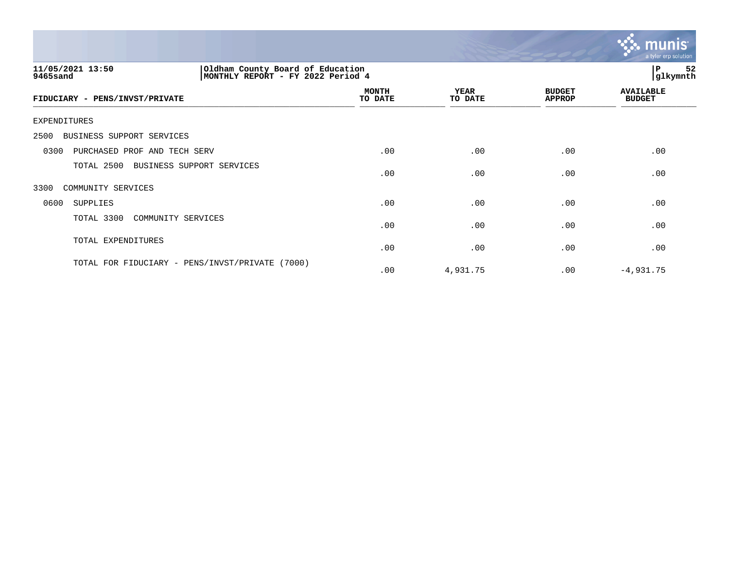

| Oldham County Board of Education<br>11/05/2021 13:50<br>MONTHLY REPORT - FY 2022 Period 4<br>9465sand |                         |                 |                                | 52<br> P<br>glkymnth              |  |  |
|-------------------------------------------------------------------------------------------------------|-------------------------|-----------------|--------------------------------|-----------------------------------|--|--|
| FIDUCIARY - PENS/INVST/PRIVATE                                                                        | <b>MONTH</b><br>TO DATE | YEAR<br>TO DATE | <b>BUDGET</b><br><b>APPROP</b> | <b>AVAILABLE</b><br><b>BUDGET</b> |  |  |
| EXPENDITURES                                                                                          |                         |                 |                                |                                   |  |  |
| BUSINESS SUPPORT SERVICES<br>2500                                                                     |                         |                 |                                |                                   |  |  |
| PURCHASED PROF AND TECH SERV<br>0300                                                                  | .00                     | .00             | .00                            | .00                               |  |  |
| TOTAL 2500<br>BUSINESS SUPPORT SERVICES                                                               | .00                     | .00             | .00                            | .00                               |  |  |
| COMMUNITY SERVICES<br>3300                                                                            |                         |                 |                                |                                   |  |  |
| 0600<br>SUPPLIES                                                                                      | .00                     | .00             | .00                            | .00                               |  |  |
| TOTAL 3300<br>COMMUNITY SERVICES                                                                      | .00                     | .00             | .00                            | .00                               |  |  |
| TOTAL EXPENDITURES                                                                                    | .00                     | .00             | .00                            | .00                               |  |  |
| TOTAL FOR FIDUCIARY - PENS/INVST/PRIVATE<br>(7000)                                                    | .00                     | 4,931.75        | .00                            | $-4,931.75$                       |  |  |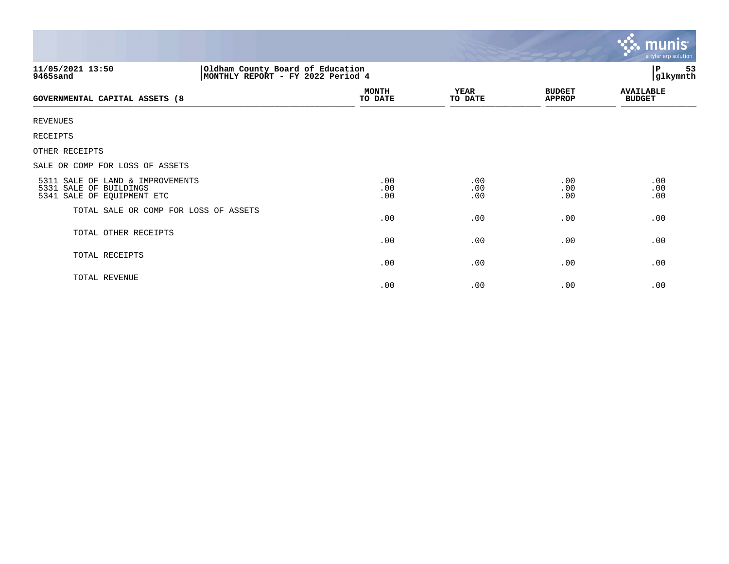|                                                                                                        |                         |                        |                                | <b>munis</b><br>a tyler erp solution |
|--------------------------------------------------------------------------------------------------------|-------------------------|------------------------|--------------------------------|--------------------------------------|
| Oldham County Board of Education<br> MONTHLY REPORT - FY 2022 Period 4<br>11/05/2021 13:50<br>9465sand |                         |                        |                                | 53<br>P<br>glkymnth                  |
| GOVERNMENTAL CAPITAL ASSETS (8                                                                         | <b>MONTH</b><br>TO DATE | <b>YEAR</b><br>TO DATE | <b>BUDGET</b><br><b>APPROP</b> | <b>AVAILABLE</b><br><b>BUDGET</b>    |
| <b>REVENUES</b>                                                                                        |                         |                        |                                |                                      |
| <b>RECEIPTS</b>                                                                                        |                         |                        |                                |                                      |
| OTHER RECEIPTS                                                                                         |                         |                        |                                |                                      |
| SALE OR COMP FOR LOSS OF ASSETS                                                                        |                         |                        |                                |                                      |
| 5311 SALE OF LAND & IMPROVEMENTS<br>5331 SALE OF BUILDINGS<br>5341 SALE OF EQUIPMENT ETC               | .00<br>.00<br>.00       | .00<br>.00<br>.00      | .00<br>.00<br>.00              | .00<br>.00<br>.00                    |
| TOTAL SALE OR COMP FOR LOSS OF ASSETS                                                                  | .00                     | .00                    | .00                            | .00                                  |
| TOTAL OTHER RECEIPTS                                                                                   | .00                     | .00                    | .00                            | .00                                  |
| TOTAL RECEIPTS                                                                                         | .00                     | .00                    | .00                            | .00                                  |
| TOTAL REVENUE                                                                                          | .00                     | .00                    | .00                            | .00                                  |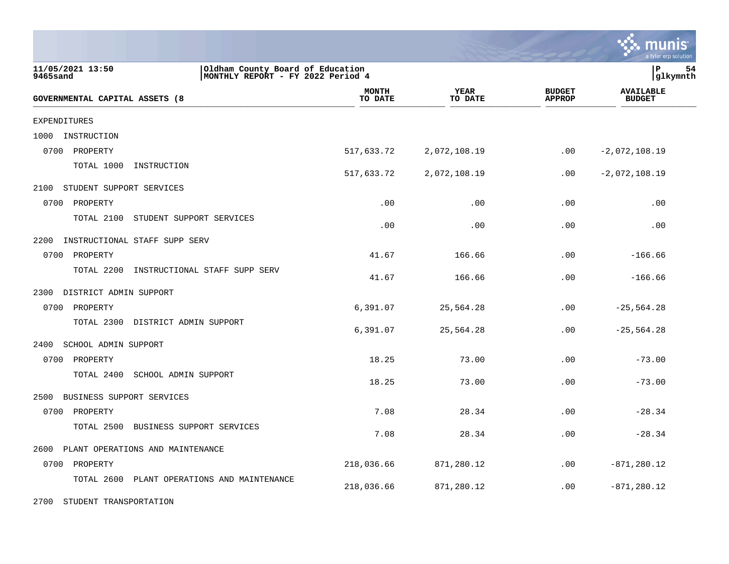|                                                                                                       |                         |                 |                                | a tyler erp solution              |
|-------------------------------------------------------------------------------------------------------|-------------------------|-----------------|--------------------------------|-----------------------------------|
| 11/05/2021 13:50<br>Oldham County Board of Education<br>9465sand<br>MONTHLY REPORT - FY 2022 Period 4 |                         |                 |                                | P<br>54<br> glkymnth              |
| GOVERNMENTAL CAPITAL ASSETS (8                                                                        | <b>MONTH</b><br>TO DATE | YEAR<br>TO DATE | <b>BUDGET</b><br><b>APPROP</b> | <b>AVAILABLE</b><br><b>BUDGET</b> |
| <b>EXPENDITURES</b>                                                                                   |                         |                 |                                |                                   |
| INSTRUCTION<br>1000                                                                                   |                         |                 |                                |                                   |
| 0700<br>PROPERTY                                                                                      | 517,633.72              | 2,072,108.19    | .00                            | $-2,072,108.19$                   |
| TOTAL 1000<br>INSTRUCTION                                                                             | 517,633.72              | 2,072,108.19    | .00                            | $-2,072,108.19$                   |
| 2100<br>STUDENT SUPPORT SERVICES                                                                      |                         |                 |                                |                                   |
| 0700<br>PROPERTY                                                                                      | .00                     | .00             | .00                            | .00                               |
| TOTAL 2100<br>STUDENT SUPPORT SERVICES                                                                | .00                     | .00             | .00                            | .00                               |
| INSTRUCTIONAL STAFF SUPP SERV<br>2200                                                                 |                         |                 |                                |                                   |
| 0700<br>PROPERTY                                                                                      | 41.67                   | 166.66          | .00                            | $-166.66$                         |
| INSTRUCTIONAL STAFF SUPP SERV<br>TOTAL 2200                                                           | 41.67                   | 166.66          | .00                            | $-166.66$                         |
| 2300 DISTRICT ADMIN SUPPORT                                                                           |                         |                 |                                |                                   |
| 0700<br>PROPERTY                                                                                      | 6,391.07                | 25,564.28       | .00                            | $-25, 564.28$                     |
| TOTAL 2300<br>DISTRICT ADMIN SUPPORT                                                                  | 6,391.07                | 25,564.28       | .00                            | $-25, 564.28$                     |
| SCHOOL ADMIN SUPPORT<br>2400                                                                          |                         |                 |                                |                                   |
| 0700 PROPERTY                                                                                         | 18.25                   | 73.00           | .00                            | $-73.00$                          |
| TOTAL 2400<br>SCHOOL ADMIN SUPPORT                                                                    | 18.25                   | 73.00           | .00                            | $-73.00$                          |
| 2500<br>BUSINESS SUPPORT SERVICES                                                                     |                         |                 |                                |                                   |
| 0700 PROPERTY                                                                                         | 7.08                    | 28.34           | .00                            | $-28.34$                          |
| TOTAL 2500<br>BUSINESS SUPPORT SERVICES                                                               | 7.08                    | 28.34           | .00                            | $-28.34$                          |
| 2600<br>PLANT OPERATIONS AND MAINTENANCE                                                              |                         |                 |                                |                                   |
| 0700 PROPERTY                                                                                         | 218,036.66              | 871,280.12      | .00                            | $-871, 280.12$                    |
| TOTAL 2600<br>PLANT OPERATIONS AND MAINTENANCE                                                        | 218,036.66              | 871,280.12      | .00                            | $-871, 280.12$                    |
| 2700<br>STUDENT TRANSPORTATION                                                                        |                         |                 |                                |                                   |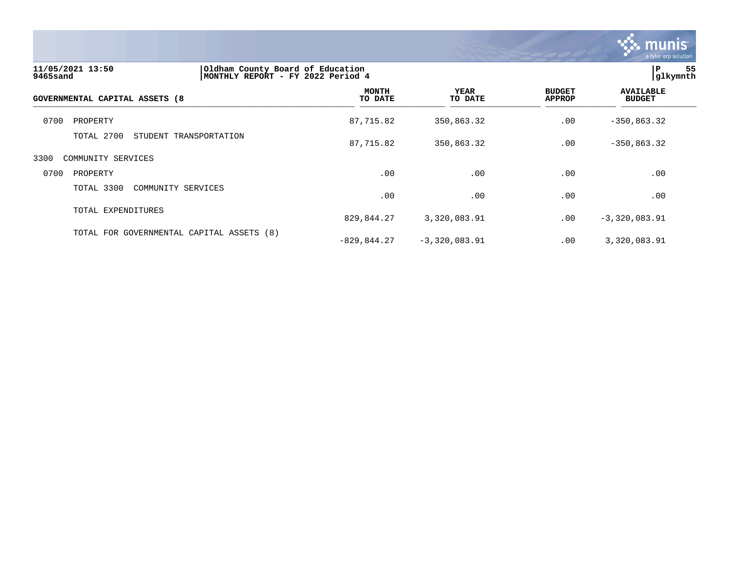

| 11/05/2021 13:50<br>9465sand   | Oldham County Board of Education<br>MONTHLY REPORT - FY 2022 Period 4 |                         |                        |                                | IP.<br>glkymnth                   | 55 |
|--------------------------------|-----------------------------------------------------------------------|-------------------------|------------------------|--------------------------------|-----------------------------------|----|
| GOVERNMENTAL CAPITAL ASSETS (8 |                                                                       | <b>MONTH</b><br>TO DATE | <b>YEAR</b><br>TO DATE | <b>BUDGET</b><br><b>APPROP</b> | <b>AVAILABLE</b><br><b>BUDGET</b> |    |
| 0700<br>PROPERTY               |                                                                       | 87,715.82               | 350,863.32             | .00                            | $-350, 863.32$                    |    |
| TOTAL 2700                     | STUDENT TRANSPORTATION                                                | 87,715.82               | 350,863.32             | .00                            | $-350, 863.32$                    |    |
| 3300<br>COMMUNITY SERVICES     |                                                                       |                         |                        |                                |                                   |    |
| 0700<br>PROPERTY               |                                                                       | .00                     | .00                    | .00                            | .00                               |    |
| TOTAL 3300                     | COMMUNITY SERVICES                                                    | .00                     | .00                    | .00                            | .00                               |    |
| TOTAL EXPENDITURES             |                                                                       | 829,844.27              | 3,320,083.91           | .00                            | $-3,320,083.91$                   |    |
|                                | TOTAL FOR GOVERNMENTAL CAPITAL ASSETS (8)                             | $-829, 844.27$          | $-3,320,083.91$        | .00                            | 3,320,083.91                      |    |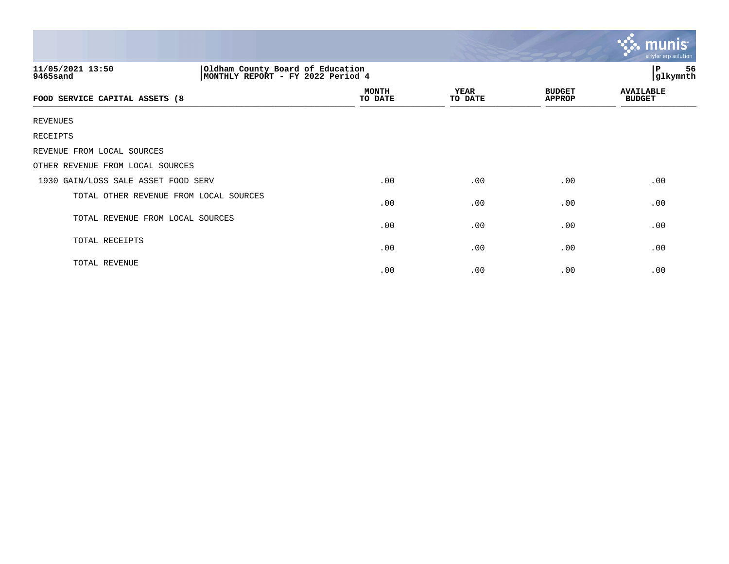|                                        |                                                                       |                 |                                | $\ddotsc$ munis<br>a tyler erp solution |  |
|----------------------------------------|-----------------------------------------------------------------------|-----------------|--------------------------------|-----------------------------------------|--|
| 11/05/2021 13:50<br>9465sand           | Oldham County Board of Education<br>MONTHLY REPORT - FY 2022 Period 4 |                 |                                | P<br>56<br>glkymnth                     |  |
| FOOD SERVICE CAPITAL ASSETS (8         | <b>MONTH</b><br>TO DATE                                               | YEAR<br>TO DATE | <b>BUDGET</b><br><b>APPROP</b> | <b>AVAILABLE</b><br><b>BUDGET</b>       |  |
| <b>REVENUES</b>                        |                                                                       |                 |                                |                                         |  |
| RECEIPTS                               |                                                                       |                 |                                |                                         |  |
| REVENUE FROM LOCAL SOURCES             |                                                                       |                 |                                |                                         |  |
| OTHER REVENUE FROM LOCAL SOURCES       |                                                                       |                 |                                |                                         |  |
| 1930 GAIN/LOSS SALE ASSET FOOD SERV    | .00                                                                   | .00             | .00                            | .00                                     |  |
| TOTAL OTHER REVENUE FROM LOCAL SOURCES | .00                                                                   | .00             | .00                            | .00                                     |  |
| TOTAL REVENUE FROM LOCAL SOURCES       | .00                                                                   | .00             | .00                            | .00                                     |  |
| TOTAL RECEIPTS                         | .00                                                                   | .00             | .00                            | .00                                     |  |
| TOTAL REVENUE                          | .00                                                                   | .00             | .00                            | .00                                     |  |

the contract of the contract of the contract of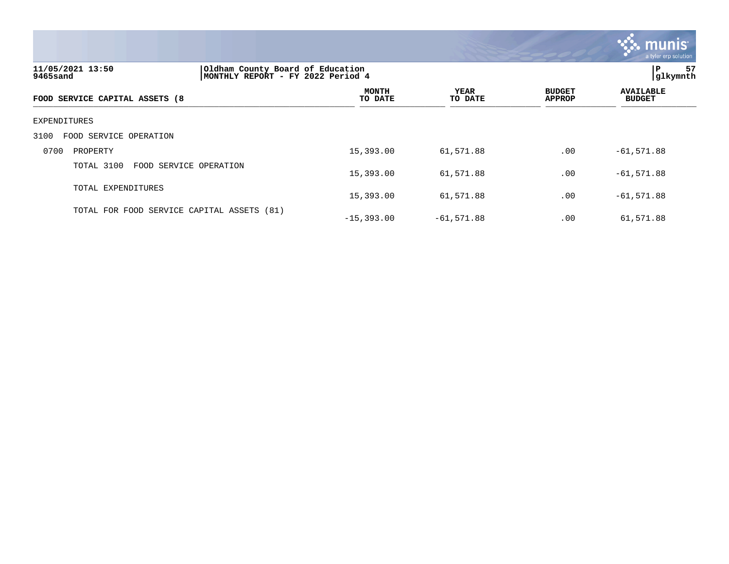

| 11/05/2021 13:50<br>9465sand               | Oldham County Board of Education<br>MONTHLY REPORT - FY 2022 Period 4 | l P<br>57<br>glkymnth  |                                |                                   |
|--------------------------------------------|-----------------------------------------------------------------------|------------------------|--------------------------------|-----------------------------------|
| FOOD SERVICE CAPITAL ASSETS (8             | <b>MONTH</b><br>TO DATE                                               | <b>YEAR</b><br>TO DATE | <b>BUDGET</b><br><b>APPROP</b> | <b>AVAILABLE</b><br><b>BUDGET</b> |
| EXPENDITURES                               |                                                                       |                        |                                |                                   |
| 3100<br>FOOD SERVICE OPERATION             |                                                                       |                        |                                |                                   |
| 0700<br>PROPERTY                           | 15,393.00                                                             | 61,571.88              | .00                            | $-61, 571.88$                     |
| TOTAL 3100<br>FOOD SERVICE OPERATION       | 15,393.00                                                             | 61,571.88              | .00                            | $-61, 571.88$                     |
| TOTAL EXPENDITURES                         | 15,393.00                                                             | 61,571.88              | .00                            | $-61,571.88$                      |
| TOTAL FOR FOOD SERVICE CAPITAL ASSETS (81) | $-15,393.00$                                                          | $-61,571.88$           | .00                            | 61,571.88                         |